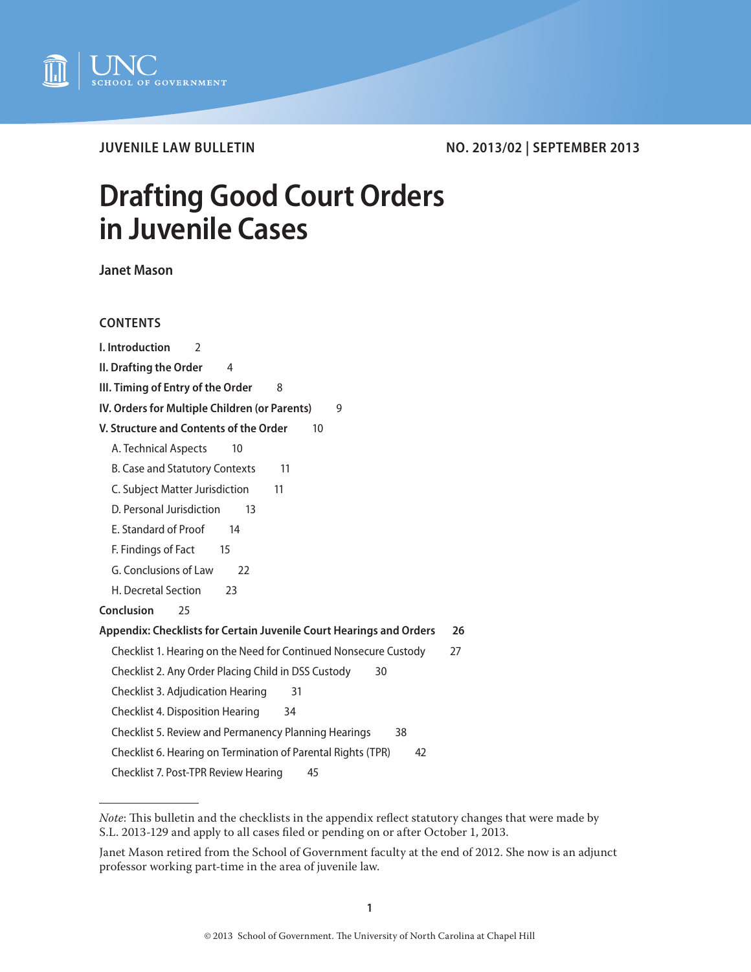

**JUVENILE LAW BULLETIN NO. 2013/02 | SEPTEMBER 2013**

# **Drafting Good Court Orders in Juvenile Cases**

**Janet Mason**

# **CONTENTS**

| I. Introduction<br>$\mathcal{P}$                                                 |
|----------------------------------------------------------------------------------|
| II. Drafting the Order<br>4                                                      |
| III. Timing of Entry of the Order<br>8                                           |
| IV. Orders for Multiple Children (or Parents)<br>9                               |
| V. Structure and Contents of the Order<br>10 <sup>1</sup>                        |
| A. Technical Aspects<br>10                                                       |
| <b>B. Case and Statutory Contexts</b><br>11                                      |
| C. Subject Matter Jurisdiction<br>11                                             |
| D. Personal Jurisdiction<br>13                                                   |
| E. Standard of Proof<br>14                                                       |
| F. Findings of Fact<br>15                                                        |
| G. Conclusions of Law<br>22                                                      |
| H. Decretal Section<br>23                                                        |
| Conclusion<br>25                                                                 |
| <b>Appendix: Checklists for Certain Juvenile Court Hearings and Orders</b><br>26 |
| Checklist 1. Hearing on the Need for Continued Nonsecure Custody<br>27           |
| Checklist 2. Any Order Placing Child in DSS Custody<br>30                        |
| <b>Checklist 3. Adjudication Hearing</b><br>31                                   |
| <b>Checklist 4. Disposition Hearing</b><br>34                                    |
| Checklist 5. Review and Permanency Planning Hearings<br>38                       |
| Checklist 6. Hearing on Termination of Parental Rights (TPR)<br>42               |
| Checklist 7. Post-TPR Review Hearing<br>45                                       |

*Note*: This bulletin and the checklists in the appendix reflect statutory changes that were made by S.L. 2013-129 and apply to all cases filed or pending on or after October 1, 2013.

Janet Mason retired from the School of Government faculty at the end of 2012. She now is an adjunct professor working part-time in the area of juvenile law.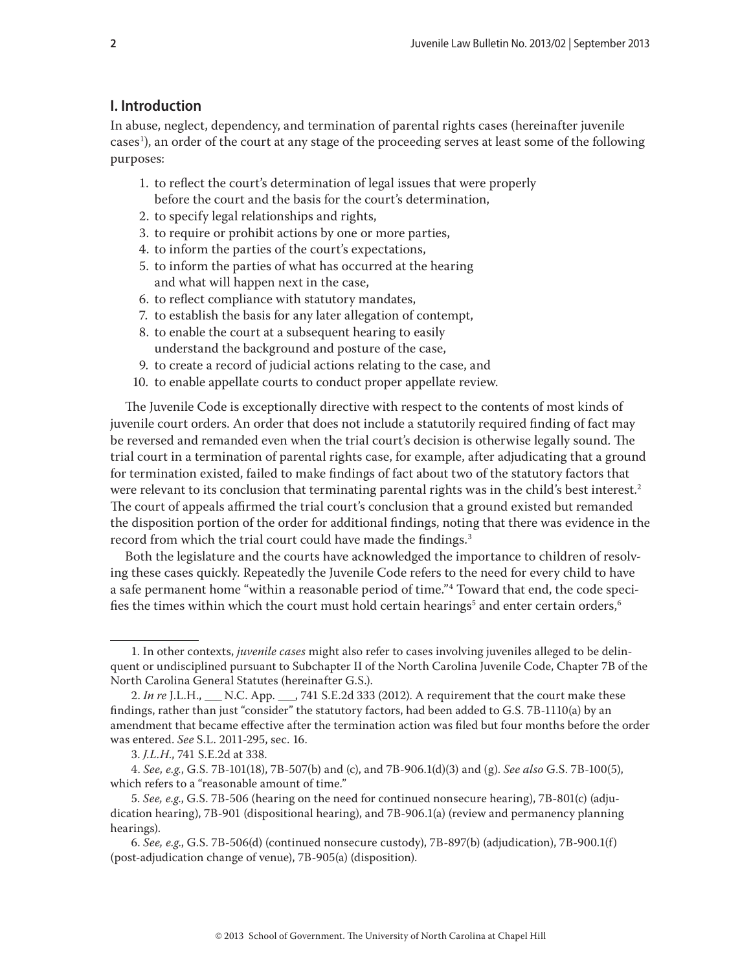# <span id="page-1-0"></span>**I. Introduction**

In abuse, neglect, dependency, and termination of parental rights cases (hereinafter juvenile cases<sup>1</sup>), an order of the court at any stage of the proceeding serves at least some of the following purposes:

- 1. to reflect the court's determination of legal issues that were properly before the court and the basis for the court's determination,
- 2. to specify legal relationships and rights,
- 3. to require or prohibit actions by one or more parties,
- 4. to inform the parties of the court's expectations,
- 5. to inform the parties of what has occurred at the hearing and what will happen next in the case,
- 6. to reflect compliance with statutory mandates,
- 7. to establish the basis for any later allegation of contempt,
- 8. to enable the court at a subsequent hearing to easily understand the background and posture of the case,
- 9. to create a record of judicial actions relating to the case, and
- 10. to enable appellate courts to conduct proper appellate review.

The Juvenile Code is exceptionally directive with respect to the contents of most kinds of juvenile court orders. An order that does not include a statutorily required finding of fact may be reversed and remanded even when the trial court's decision is otherwise legally sound. The trial court in a termination of parental rights case, for example, after adjudicating that a ground for termination existed, failed to make findings of fact about two of the statutory factors that were relevant to its conclusion that terminating parental rights was in the child's best interest.<sup>2</sup> The court of appeals affirmed the trial court's conclusion that a ground existed but remanded the disposition portion of the order for additional findings, noting that there was evidence in the record from which the trial court could have made the findings.<sup>3</sup>

Both the legislature and the courts have acknowledged the importance to children of resolving these cases quickly. Repeatedly the Juvenile Code refers to the need for every child to have a safe permanent home "within a reasonable period of time."4 Toward that end, the code specifies the times within which the court must hold certain hearings $^5$  and enter certain orders, $^6$ 

<sup>1.</sup> In other contexts, *juvenile cases* might also refer to cases involving juveniles alleged to be delinquent or undisciplined pursuant to Subchapter II of the North Carolina Juvenile Code, Chapter 7B of the North Carolina General Statutes (hereinafter G.S.).

<sup>2.</sup> *In re* J.L.H., \_\_\_ N.C. App. \_\_, 741 S.E.2d 333 (2012). A requirement that the court make these findings, rather than just "consider" the statutory factors, had been added to G.S. 7B-1110(a) by an amendment that became effective after the termination action was filed but four months before the order was entered. *See* S.L. 2011-295, sec. 16.

<sup>3.</sup> *J.L.H*., 741 S.E.2d at 338.

<sup>4.</sup> *See, e.g.*, G.S. 7B-101(18), 7B-507(b) and (c), and 7B-906.1(d)(3) and (g). *See also* G.S. 7B-100(5), which refers to a "reasonable amount of time."

<sup>5.</sup> *See, e.g*., G.S. 7B-506 (hearing on the need for continued nonsecure hearing), 7B-801(c) (adjudication hearing), 7B-901 (dispositional hearing), and 7B-906.1(a) (review and permanency planning hearings).

<sup>6.</sup> *See, e.g*., G.S. 7B-506(d) (continued nonsecure custody), 7B-897(b) (adjudication), 7B-900.1(f) (post-adjudication change of venue), 7B-905(a) (disposition).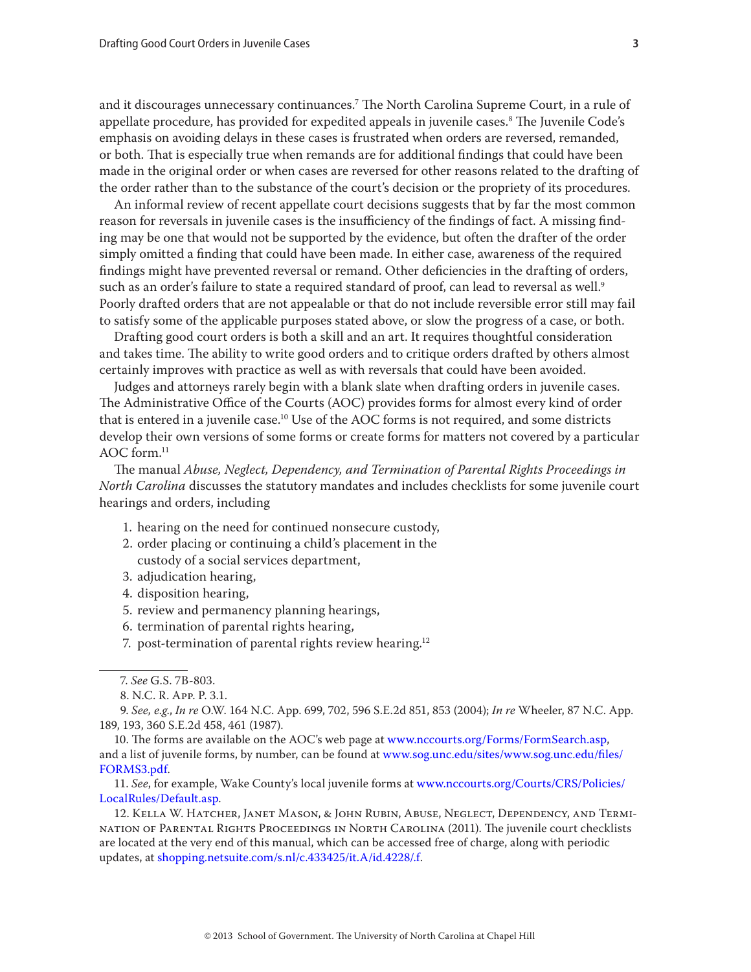and it discourages unnecessary continuances.7 The North Carolina Supreme Court, in a rule of appellate procedure, has provided for expedited appeals in juvenile cases.<sup>8</sup> The Juvenile Code's emphasis on avoiding delays in these cases is frustrated when orders are reversed, remanded, or both. That is especially true when remands are for additional findings that could have been made in the original order or when cases are reversed for other reasons related to the drafting of the order rather than to the substance of the court's decision or the propriety of its procedures.

An informal review of recent appellate court decisions suggests that by far the most common reason for reversals in juvenile cases is the insufficiency of the findings of fact. A missing finding may be one that would not be supported by the evidence, but often the drafter of the order simply omitted a finding that could have been made. In either case, awareness of the required findings might have prevented reversal or remand. Other deficiencies in the drafting of orders, such as an order's failure to state a required standard of proof, can lead to reversal as well.<sup>9</sup> Poorly drafted orders that are not appealable or that do not include reversible error still may fail to satisfy some of the applicable purposes stated above, or slow the progress of a case, or both.

Drafting good court orders is both a skill and an art. It requires thoughtful consideration and takes time. The ability to write good orders and to critique orders drafted by others almost certainly improves with practice as well as with reversals that could have been avoided.

Judges and attorneys rarely begin with a blank slate when drafting orders in juvenile cases. The Administrative Office of the Courts (AOC) provides forms for almost every kind of order that is entered in a juvenile case.<sup>10</sup> Use of the AOC forms is not required, and some districts develop their own versions of some forms or create forms for matters not covered by a particular AOC form.<sup>11</sup>

The manual *Abuse, Neglect, Dependency, and Termination of Parental Rights Proceedings in North Carolina* discusses the statutory mandates and includes checklists for some juvenile court hearings and orders, including

- 1. hearing on the need for continued nonsecure custody,
- 2. order placing or continuing a child's placement in the custody of a social services department,
- 3. adjudication hearing,
- 4. disposition hearing,
- 5. review and permanency planning hearings,
- 6. termination of parental rights hearing,
- 7. post-termination of parental rights review hearing.<sup>12</sup>

<sup>7.</sup> *See* G.S. 7B-803.

<sup>8.</sup> N.C. R. App. P. 3.1.

<sup>9.</sup> *See, e.g*., *In re* O.W. 164 N.C. App. 699, 702, 596 S.E.2d 851, 853 (2004); *In re* Wheeler, 87 N.C. App. 189, 193, 360 S.E.2d 458, 461 (1987).

<sup>10.</sup> The forms are available on the AOC's web page at [www.nccourts.org/Forms/FormSearch.asp,](www.nccourts.org/Forms/FormSearch.asp) and a list of juvenile forms, by number, can be found at [www.sog.unc.edu/sites/www.sog.unc.edu/files/](www.sog.unc.edu/sites/www.sog.unc.edu/files/FORMS3.pdf) [FORMS3.pdf.](www.sog.unc.edu/sites/www.sog.unc.edu/files/FORMS3.pdf)

<sup>11.</sup> *See*, for example, Wake County's local juvenile forms at [www.nccourts.org/Courts/CRS/Policies/](www.nccourts.org/Courts/CRS/Policies/LocalRules/Default.asp) [LocalRules/Default.asp](www.nccourts.org/Courts/CRS/Policies/LocalRules/Default.asp).

<sup>12.</sup> Kella W. Hatcher, Janet Mason, & John Rubin, Abuse, Neglect, Dependency, and Termination of Parental Rights Proceedings in North Carolina (2011). The juvenile court checklists are located at the very end of this manual, which can be accessed free of charge, along with periodic updates, at [shopping.netsuite.com/s.nl/c.433425/it.A/id.4228/.f.](shopping.netsuite.com/s.nl/c.433425/it.A/id.4228/.f)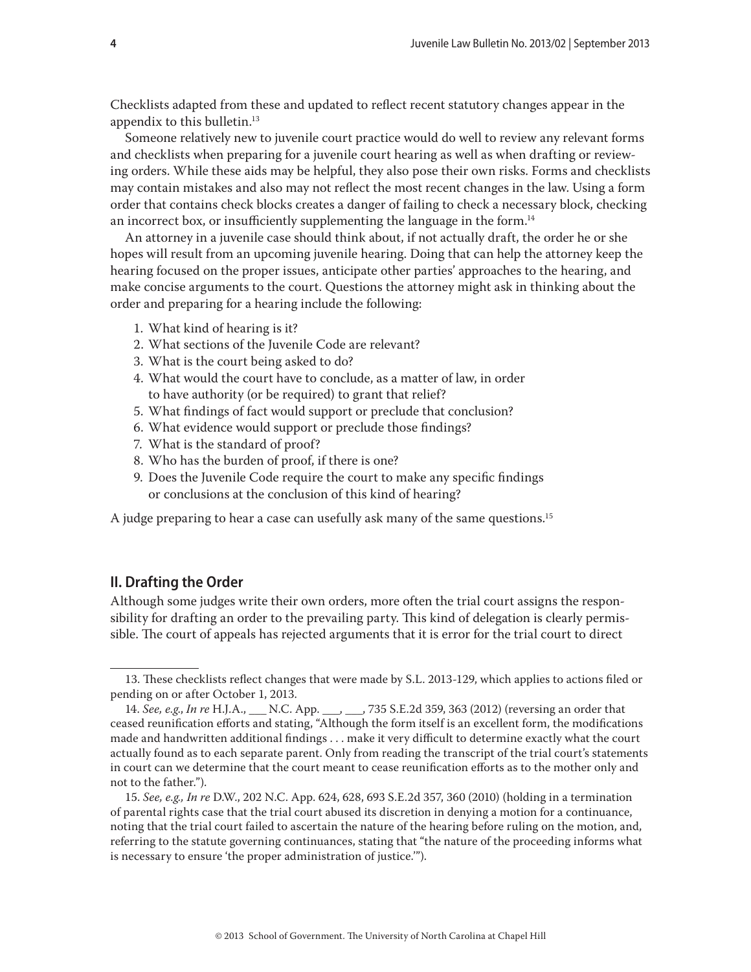<span id="page-3-0"></span>Checklists adapted from these and updated to reflect recent statutory changes appear in the appendix to this bulletin.13

Someone relatively new to juvenile court practice would do well to review any relevant forms and checklists when preparing for a juvenile court hearing as well as when drafting or reviewing orders. While these aids may be helpful, they also pose their own risks. Forms and checklists may contain mistakes and also may not reflect the most recent changes in the law. Using a form order that contains check blocks creates a danger of failing to check a necessary block, checking an incorrect box, or insufficiently supplementing the language in the form.<sup>14</sup>

An attorney in a juvenile case should think about, if not actually draft, the order he or she hopes will result from an upcoming juvenile hearing. Doing that can help the attorney keep the hearing focused on the proper issues, anticipate other parties' approaches to the hearing, and make concise arguments to the court. Questions the attorney might ask in thinking about the order and preparing for a hearing include the following:

- 1. What kind of hearing is it?
- 2. What sections of the Juvenile Code are relevant?
- 3. What is the court being asked to do?
- 4. What would the court have to conclude, as a matter of law, in order to have authority (or be required) to grant that relief?
- 5. What findings of fact would support or preclude that conclusion?
- 6. What evidence would support or preclude those findings?
- 7. What is the standard of proof?
- 8. Who has the burden of proof, if there is one?
- 9. Does the Juvenile Code require the court to make any specific findings or conclusions at the conclusion of this kind of hearing?

A judge preparing to hear a case can usefully ask many of the same questions.<sup>15</sup>

# **II. Drafting the Order**

Although some judges write their own orders, more often the trial court assigns the responsibility for drafting an order to the prevailing party. This kind of delegation is clearly permissible. The court of appeals has rejected arguments that it is error for the trial court to direct

<sup>13.</sup> These checklists reflect changes that were made by S.L. 2013-129, which applies to actions filed or pending on or after October 1, 2013.

<sup>14.</sup> *See, e.g*., *In re* H.J.A., \_\_\_ N.C. App. \_\_\_, \_\_\_, 735 S.E.2d 359, 363 (2012) (reversing an order that ceased reunification efforts and stating, "Although the form itself is an excellent form, the modifications made and handwritten additional findings . . . make it very difficult to determine exactly what the court actually found as to each separate parent. Only from reading the transcript of the trial court's statements in court can we determine that the court meant to cease reunification efforts as to the mother only and not to the father.").

<sup>15.</sup> *See, e.g., In re* D.W., 202 N.C. App. 624, 628, 693 S.E.2d 357, 360 (2010) (holding in a termination of parental rights case that the trial court abused its discretion in denying a motion for a continuance, noting that the trial court failed to ascertain the nature of the hearing before ruling on the motion, and, referring to the statute governing continuances, stating that "the nature of the proceeding informs what is necessary to ensure 'the proper administration of justice.'").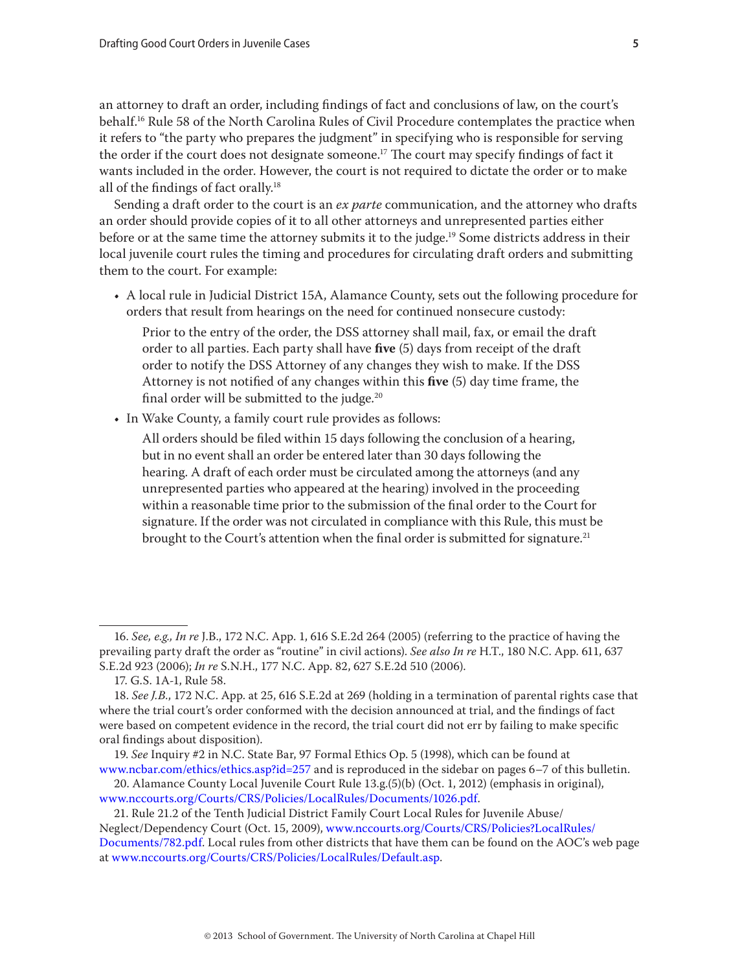an attorney to draft an order, including findings of fact and conclusions of law, on the court's behalf.16 Rule 58 of the North Carolina Rules of Civil Procedure contemplates the practice when it refers to "the party who prepares the judgment" in specifying who is responsible for serving the order if the court does not designate someone.<sup>17</sup> The court may specify findings of fact it wants included in the order. However, the court is not required to dictate the order or to make all of the findings of fact orally.18

Sending a draft order to the court is an *ex parte* communication, and the attorney who drafts an order should provide copies of it to all other attorneys and unrepresented parties either before or at the same time the attorney submits it to the judge.<sup>19</sup> Some districts address in their local juvenile court rules the timing and procedures for circulating draft orders and submitting them to the court. For example:

• A local rule in Judicial District 15A, Alamance County, sets out the following procedure for orders that result from hearings on the need for continued nonsecure custody:

Prior to the entry of the order, the DSS attorney shall mail, fax, or email the draft order to all parties. Each party shall have **five** (5) days from receipt of the draft order to notify the DSS Attorney of any changes they wish to make. If the DSS Attorney is not notified of any changes within this **five** (5) day time frame, the final order will be submitted to the judge. $20$ 

• In Wake County, a family court rule provides as follows:

All orders should be filed within 15 days following the conclusion of a hearing, but in no event shall an order be entered later than 30 days following the hearing. A draft of each order must be circulated among the attorneys (and any unrepresented parties who appeared at the hearing) involved in the proceeding within a reasonable time prior to the submission of the final order to the Court for signature. If the order was not circulated in compliance with this Rule, this must be brought to the Court's attention when the final order is submitted for signature.<sup>21</sup>

<sup>16.</sup> *See, e.g., In re* J.B., 172 N.C. App. 1, 616 S.E.2d 264 (2005) (referring to the practice of having the prevailing party draft the order as "routine" in civil actions). *See also In re* H.T., 180 N.C. App. 611, 637 S.E.2d 923 (2006); *In re* S.N.H., 177 N.C. App. 82, 627 S.E.2d 510 (2006).

<sup>17.</sup> G.S. 1A-1, Rule 58.

<sup>18.</sup> *See J.B.*, 172 N.C. App. at 25, 616 S.E.2d at 269 (holding in a termination of parental rights case that where the trial court's order conformed with the decision announced at trial, and the findings of fact were based on competent evidence in the record, the trial court did not err by failing to make specific oral findings about disposition).

<sup>19.</sup> *See* Inquiry #2 in N.C. State Bar, 97 Formal Ethics Op. 5 (1998), which can be found at <www.ncbar.com/ethics/ethics.asp?id=257>and is reproduced in the sidebar on pages 6–7 of this bulletin.

<sup>20.</sup> Alamance County Local Juvenile Court Rule 13.g.(5)(b) (Oct. 1, 2012) (emphasis in original), <www.nccourts.org/Courts/CRS/Policies/LocalRules/Documents/1026.pdf>.

<sup>21.</sup> Rule 21.2 of the Tenth Judicial District Family Court Local Rules for Juvenile Abuse/ Neglect/Dependency Court (Oct. 15, 2009), [www.nccourts.org/Courts/CRS/Policies?LocalRules/](www.nccourts.org/Courts/CRS/Policies?LocalRules/Documents/782.pdf) [Documents/782.pdf.](www.nccourts.org/Courts/CRS/Policies?LocalRules/Documents/782.pdf) Local rules from other districts that have them can be found on the AOC's web page at [www.nccourts.org/Courts/CRS/Policies/LocalRules/Default.asp.](www.nccourts.org/Courts/CRS/Policies/LocalRules/Default.asp)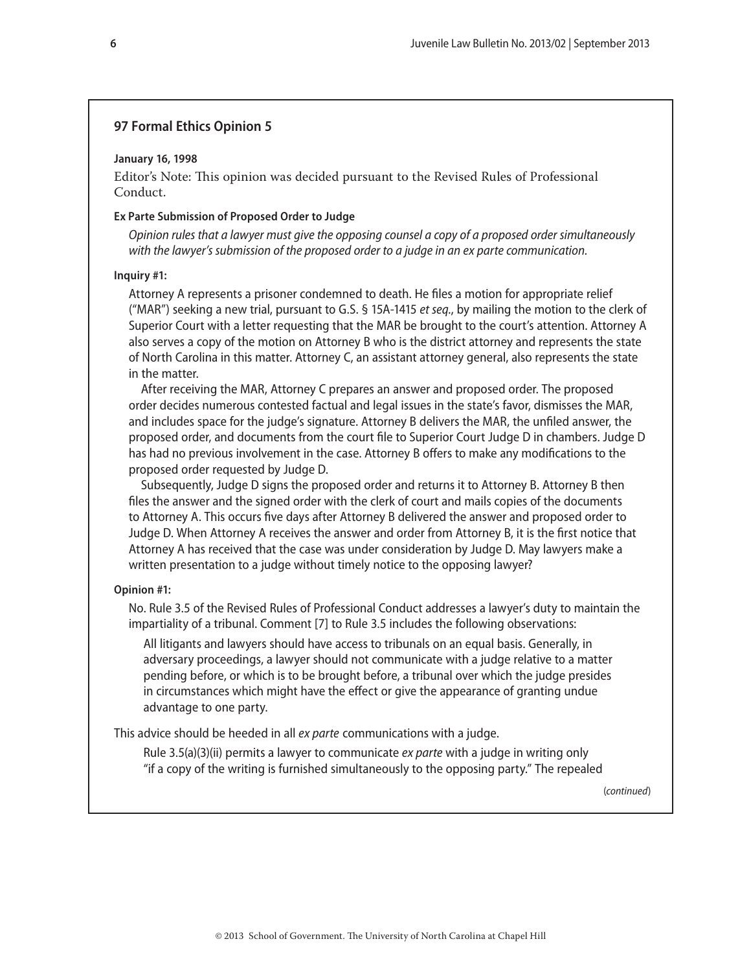## **97 Formal Ethics Opinion 5**

#### **January 16, 1998**

Editor's Note: This opinion was decided pursuant to the Revised Rules of Professional Conduct.

#### **Ex Parte Submission of Proposed Order to Judge**

*Opinion rules that a lawyer must give the opposing counsel a copy of a proposed order simultaneously with the lawyer's submission of the proposed order to a judge in an ex parte communication.*

# **Inquiry #1:**

Attorney A represents a prisoner condemned to death. He files a motion for appropriate relief ("MAR") seeking a new trial, pursuant to G.S. § 15A-1415 *et seq.*, by mailing the motion to the clerk of Superior Court with a letter requesting that the MAR be brought to the court's attention. Attorney A also serves a copy of the motion on Attorney B who is the district attorney and represents the state of North Carolina in this matter. Attorney C, an assistant attorney general, also represents the state in the matter.

After receiving the MAR, Attorney C prepares an answer and proposed order. The proposed order decides numerous contested factual and legal issues in the state's favor, dismisses the MAR, and includes space for the judge's signature. Attorney B delivers the MAR, the unfiled answer, the proposed order, and documents from the court file to Superior Court Judge D in chambers. Judge D has had no previous involvement in the case. Attorney B offers to make any modifications to the proposed order requested by Judge D.

Subsequently, Judge D signs the proposed order and returns it to Attorney B. Attorney B then files the answer and the signed order with the clerk of court and mails copies of the documents to Attorney A. This occurs five days after Attorney B delivered the answer and proposed order to Judge D. When Attorney A receives the answer and order from Attorney B, it is the first notice that Attorney A has received that the case was under consideration by Judge D. May lawyers make a written presentation to a judge without timely notice to the opposing lawyer?

#### **Opinion #1:**

No. Rule 3.5 of the Revised Rules of Professional Conduct addresses a lawyer's duty to maintain the impartiality of a tribunal. Comment [7] to Rule 3.5 includes the following observations:

All litigants and lawyers should have access to tribunals on an equal basis. Generally, in adversary proceedings, a lawyer should not communicate with a judge relative to a matter pending before, or which is to be brought before, a tribunal over which the judge presides in circumstances which might have the effect or give the appearance of granting undue advantage to one party.

This advice should be heeded in all *ex parte* communications with a judge.

Rule 3.5(a)(3)(ii) permits a lawyer to communicate *ex parte* with a judge in writing only "if a copy of the writing is furnished simultaneously to the opposing party." The repealed

(*continued*)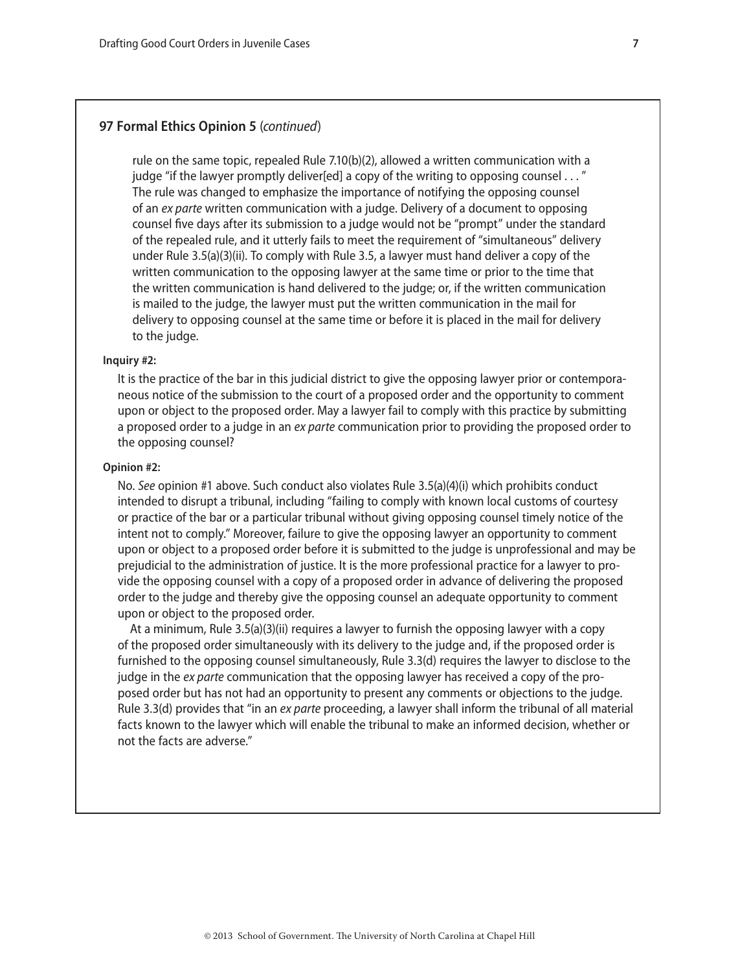#### **97 Formal Ethics Opinion 5** (*continued*)

rule on the same topic, repealed Rule 7.10(b)(2), allowed a written communication with a judge "if the lawyer promptly deliver[ed] a copy of the writing to opposing counsel . . . " The rule was changed to emphasize the importance of notifying the opposing counsel of an *ex parte* written communication with a judge. Delivery of a document to opposing counsel five days after its submission to a judge would not be "prompt" under the standard of the repealed rule, and it utterly fails to meet the requirement of "simultaneous" delivery under Rule 3.5(a)(3)(ii). To comply with Rule 3.5, a lawyer must hand deliver a copy of the written communication to the opposing lawyer at the same time or prior to the time that the written communication is hand delivered to the judge; or, if the written communication is mailed to the judge, the lawyer must put the written communication in the mail for delivery to opposing counsel at the same time or before it is placed in the mail for delivery to the judge.

#### **Inquiry #2:**

It is the practice of the bar in this judicial district to give the opposing lawyer prior or contemporaneous notice of the submission to the court of a proposed order and the opportunity to comment upon or object to the proposed order. May a lawyer fail to comply with this practice by submitting a proposed order to a judge in an *ex parte* communication prior to providing the proposed order to the opposing counsel?

#### **Opinion #2:**

No. *See* opinion #1 above. Such conduct also violates Rule 3.5(a)(4)(i) which prohibits conduct intended to disrupt a tribunal, including "failing to comply with known local customs of courtesy or practice of the bar or a particular tribunal without giving opposing counsel timely notice of the intent not to comply." Moreover, failure to give the opposing lawyer an opportunity to comment upon or object to a proposed order before it is submitted to the judge is unprofessional and may be prejudicial to the administration of justice. It is the more professional practice for a lawyer to provide the opposing counsel with a copy of a proposed order in advance of delivering the proposed order to the judge and thereby give the opposing counsel an adequate opportunity to comment upon or object to the proposed order.

At a minimum, Rule 3.5(a)(3)(ii) requires a lawyer to furnish the opposing lawyer with a copy of the proposed order simultaneously with its delivery to the judge and, if the proposed order is furnished to the opposing counsel simultaneously, Rule 3.3(d) requires the lawyer to disclose to the judge in the *ex parte* communication that the opposing lawyer has received a copy of the proposed order but has not had an opportunity to present any comments or objections to the judge. Rule 3.3(d) provides that "in an *ex parte* proceeding, a lawyer shall inform the tribunal of all material facts known to the lawyer which will enable the tribunal to make an informed decision, whether or not the facts are adverse."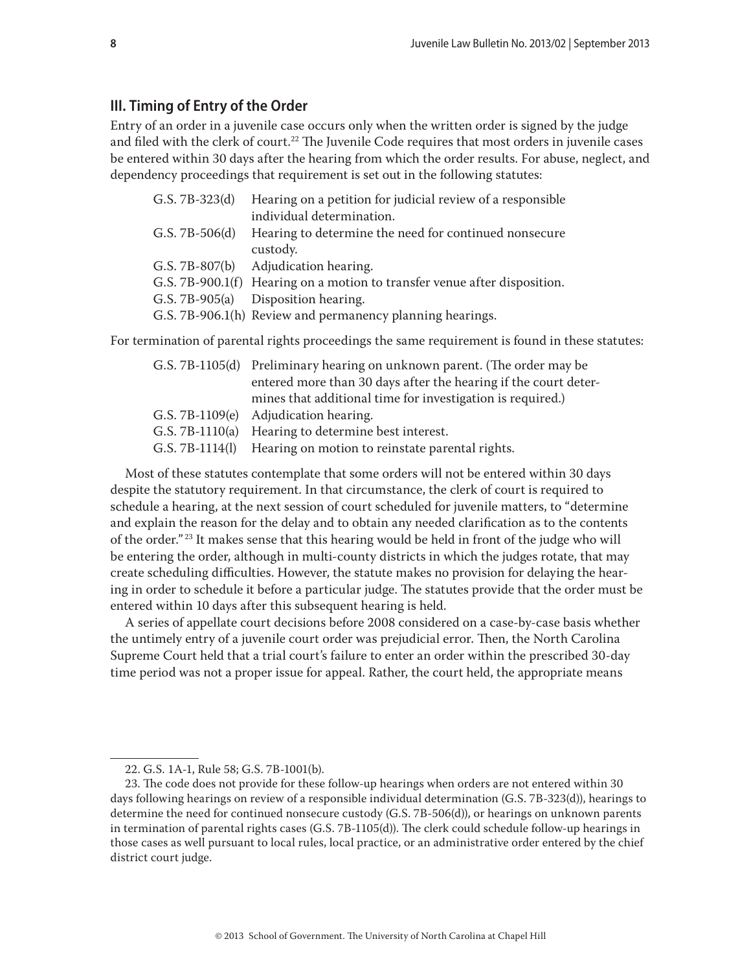# <span id="page-7-0"></span>**III. Timing of Entry of the Order**

Entry of an order in a juvenile case occurs only when the written order is signed by the judge and filed with the clerk of court.<sup>22</sup> The Juvenile Code requires that most orders in juvenile cases be entered within 30 days after the hearing from which the order results. For abuse, neglect, and dependency proceedings that requirement is set out in the following statutes:

| $G.S. 7B-323(d)$ | Hearing on a petition for judicial review of a responsible                |
|------------------|---------------------------------------------------------------------------|
|                  | individual determination.                                                 |
| $G.S. 7B-506(d)$ | Hearing to determine the need for continued nonsecure                     |
|                  | custody.                                                                  |
|                  | G.S. 7B-807(b) Adjudication hearing.                                      |
|                  | G.S. 7B-900.1(f) Hearing on a motion to transfer venue after disposition. |
|                  | G.S. 7B-905(a) Disposition hearing.                                       |
|                  | G.S. 7B-906.1(h) Review and permanency planning hearings.                 |
|                  |                                                                           |

For termination of parental rights proceedings the same requirement is found in these statutes:

| G.S. 7B-1105(d) Preliminary hearing on unknown parent. (The order may be |
|--------------------------------------------------------------------------|
| entered more than 30 days after the hearing if the court deter-          |
| mines that additional time for investigation is required.)               |
| G.S. 7B-1109(e) Adjudication hearing.                                    |
| G.S. 7B-1110(a) Hearing to determine best interest.                      |
| G.S. 7B-1114(l) Hearing on motion to reinstate parental rights.          |
|                                                                          |

Most of these statutes contemplate that some orders will not be entered within 30 days despite the statutory requirement. In that circumstance, the clerk of court is required to schedule a hearing, at the next session of court scheduled for juvenile matters, to "determine and explain the reason for the delay and to obtain any needed clarification as to the contents of the order." 23 It makes sense that this hearing would be held in front of the judge who will be entering the order, although in multi-county districts in which the judges rotate, that may create scheduling difficulties. However, the statute makes no provision for delaying the hearing in order to schedule it before a particular judge. The statutes provide that the order must be entered within 10 days after this subsequent hearing is held.

A series of appellate court decisions before 2008 considered on a case-by-case basis whether the untimely entry of a juvenile court order was prejudicial error. Then, the North Carolina Supreme Court held that a trial court's failure to enter an order within the prescribed 30-day time period was not a proper issue for appeal. Rather, the court held, the appropriate means

<sup>22.</sup> G.S. 1A-1, Rule 58; G.S. 7B-1001(b).

<sup>23.</sup> The code does not provide for these follow-up hearings when orders are not entered within 30 days following hearings on review of a responsible individual determination (G.S. 7B-323(d)), hearings to determine the need for continued nonsecure custody (G.S. 7B-506(d)), or hearings on unknown parents in termination of parental rights cases (G.S. 7B-1105(d)). The clerk could schedule follow-up hearings in those cases as well pursuant to local rules, local practice, or an administrative order entered by the chief district court judge.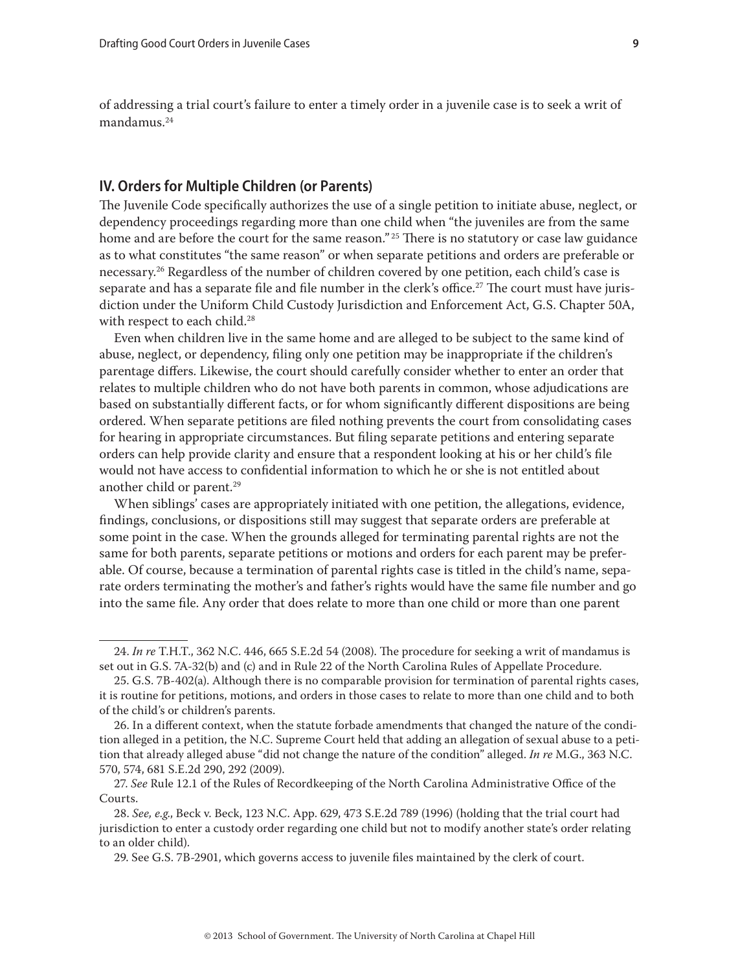<span id="page-8-0"></span>of addressing a trial court's failure to enter a timely order in a juvenile case is to seek a writ of mandamus.24

# **IV. Orders for Multiple Children (or Parents)**

The Juvenile Code specifically authorizes the use of a single petition to initiate abuse, neglect, or dependency proceedings regarding more than one child when "the juveniles are from the same home and are before the court for the same reason."<sup>25</sup> There is no statutory or case law guidance as to what constitutes "the same reason" or when separate petitions and orders are preferable or necessary.<sup>26</sup> Regardless of the number of children covered by one petition, each child's case is separate and has a separate file and file number in the clerk's office.<sup>27</sup> The court must have jurisdiction under the Uniform Child Custody Jurisdiction and Enforcement Act, G.S. Chapter 50A, with respect to each child.<sup>28</sup>

Even when children live in the same home and are alleged to be subject to the same kind of abuse, neglect, or dependency, filing only one petition may be inappropriate if the children's parentage differs. Likewise, the court should carefully consider whether to enter an order that relates to multiple children who do not have both parents in common, whose adjudications are based on substantially different facts, or for whom significantly different dispositions are being ordered. When separate petitions are filed nothing prevents the court from consolidating cases for hearing in appropriate circumstances. But filing separate petitions and entering separate orders can help provide clarity and ensure that a respondent looking at his or her child's file would not have access to confidential information to which he or she is not entitled about another child or parent.<sup>29</sup>

When siblings' cases are appropriately initiated with one petition, the allegations, evidence, findings, conclusions, or dispositions still may suggest that separate orders are preferable at some point in the case. When the grounds alleged for terminating parental rights are not the same for both parents, separate petitions or motions and orders for each parent may be preferable. Of course, because a termination of parental rights case is titled in the child's name, separate orders terminating the mother's and father's rights would have the same file number and go into the same file. Any order that does relate to more than one child or more than one parent

<sup>24.</sup> *In re* T.H.T., 362 N.C. 446, 665 S.E.2d 54 (2008). The procedure for seeking a writ of mandamus is set out in G.S. 7A-32(b) and (c) and in Rule 22 of the North Carolina Rules of Appellate Procedure.

<sup>25.</sup> G.S. 7B-402(a). Although there is no comparable provision for termination of parental rights cases, it is routine for petitions, motions, and orders in those cases to relate to more than one child and to both of the child's or children's parents.

<sup>26.</sup> In a different context, when the statute forbade amendments that changed the nature of the condition alleged in a petition, the N.C. Supreme Court held that adding an allegation of sexual abuse to a petition that already alleged abuse "did not change the nature of the condition" alleged. *In re* M.G., 363 N.C. 570, 574, 681 S.E.2d 290, 292 (2009).

<sup>27.</sup> *See* Rule 12.1 of the Rules of Recordkeeping of the North Carolina Administrative Office of the Courts.

<sup>28.</sup> *See, e.g*., Beck v. Beck, 123 N.C. App. 629, 473 S.E.2d 789 (1996) (holding that the trial court had jurisdiction to enter a custody order regarding one child but not to modify another state's order relating to an older child).

<sup>29.</sup> See G.S. 7B-2901, which governs access to juvenile files maintained by the clerk of court.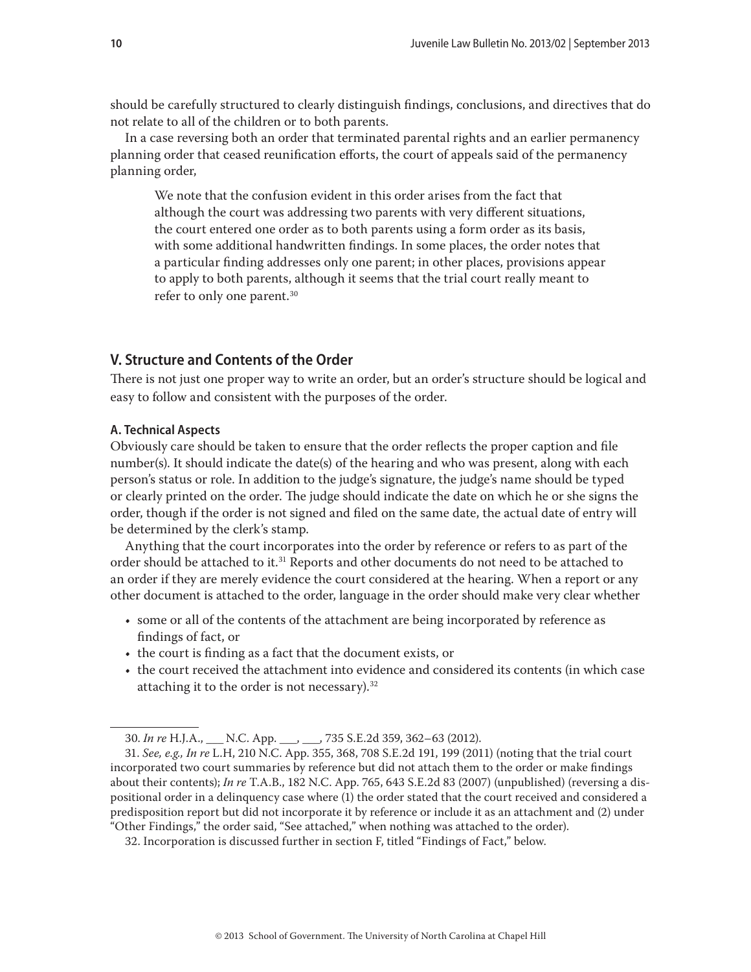<span id="page-9-0"></span>should be carefully structured to clearly distinguish findings, conclusions, and directives that do not relate to all of the children or to both parents.

In a case reversing both an order that terminated parental rights and an earlier permanency planning order that ceased reunification efforts, the court of appeals said of the permanency planning order,

We note that the confusion evident in this order arises from the fact that although the court was addressing two parents with very different situations, the court entered one order as to both parents using a form order as its basis, with some additional handwritten findings. In some places, the order notes that a particular finding addresses only one parent; in other places, provisions appear to apply to both parents, although it seems that the trial court really meant to refer to only one parent.30

# **V. Structure and Contents of the Order**

There is not just one proper way to write an order, but an order's structure should be logical and easy to follow and consistent with the purposes of the order.

#### **A. Technical Aspects**

Obviously care should be taken to ensure that the order reflects the proper caption and file number(s). It should indicate the date(s) of the hearing and who was present, along with each person's status or role. In addition to the judge's signature, the judge's name should be typed or clearly printed on the order. The judge should indicate the date on which he or she signs the order, though if the order is not signed and filed on the same date, the actual date of entry will be determined by the clerk's stamp.

Anything that the court incorporates into the order by reference or refers to as part of the order should be attached to it.<sup>31</sup> Reports and other documents do not need to be attached to an order if they are merely evidence the court considered at the hearing. When a report or any other document is attached to the order, language in the order should make very clear whether

- some or all of the contents of the attachment are being incorporated by reference as findings of fact, or
- the court is finding as a fact that the document exists, or
- the court received the attachment into evidence and considered its contents (in which case attaching it to the order is not necessary).<sup>32</sup>

<sup>30.</sup> *In re* H.J.A., \_\_\_ N.C. App. \_\_\_, \_\_\_, 735 S.E.2d 359, 362–63 (2012).

<sup>31.</sup> *See, e.g., In re* L.H, 210 N.C. App. 355, 368, 708 S.E.2d 191, 199 (2011) (noting that the trial court incorporated two court summaries by reference but did not attach them to the order or make findings about their contents); *In re* T.A.B., 182 N.C. App. 765, 643 S.E.2d 83 (2007) (unpublished) (reversing a dispositional order in a delinquency case where (1) the order stated that the court received and considered a predisposition report but did not incorporate it by reference or include it as an attachment and (2) under "Other Findings," the order said, "See attached," when nothing was attached to the order).

<sup>32.</sup> Incorporation is discussed further in section F, titled "Findings of Fact," below.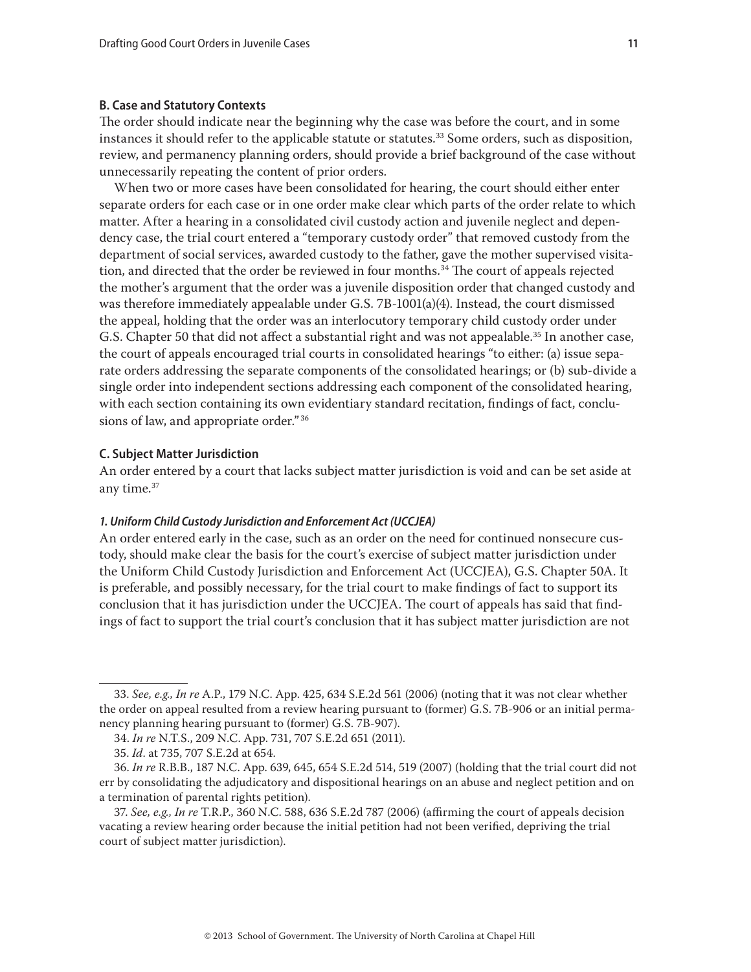#### <span id="page-10-0"></span>**B. Case and Statutory Contexts**

The order should indicate near the beginning why the case was before the court, and in some instances it should refer to the applicable statute or statutes.<sup>33</sup> Some orders, such as disposition, review, and permanency planning orders, should provide a brief background of the case without unnecessarily repeating the content of prior orders.

When two or more cases have been consolidated for hearing, the court should either enter separate orders for each case or in one order make clear which parts of the order relate to which matter. After a hearing in a consolidated civil custody action and juvenile neglect and dependency case, the trial court entered a "temporary custody order" that removed custody from the department of social services, awarded custody to the father, gave the mother supervised visitation, and directed that the order be reviewed in four months.<sup>34</sup> The court of appeals rejected the mother's argument that the order was a juvenile disposition order that changed custody and was therefore immediately appealable under G.S. 7B-1001(a)(4). Instead, the court dismissed the appeal, holding that the order was an interlocutory temporary child custody order under G.S. Chapter 50 that did not affect a substantial right and was not appealable.<sup>35</sup> In another case, the court of appeals encouraged trial courts in consolidated hearings "to either: (a) issue separate orders addressing the separate components of the consolidated hearings; or (b) sub-divide a single order into independent sections addressing each component of the consolidated hearing, with each section containing its own evidentiary standard recitation, findings of fact, conclusions of law, and appropriate order." <sup>36</sup>

#### **C. Subject Matter Jurisdiction**

An order entered by a court that lacks subject matter jurisdiction is void and can be set aside at any time.<sup>37</sup>

#### *1. Uniform Child Custody Jurisdiction and Enforcement Act (UCCJEA)*

An order entered early in the case, such as an order on the need for continued nonsecure custody, should make clear the basis for the court's exercise of subject matter jurisdiction under the Uniform Child Custody Jurisdiction and Enforcement Act (UCCJEA), G.S. Chapter 50A. It is preferable, and possibly necessary, for the trial court to make findings of fact to support its conclusion that it has jurisdiction under the UCCJEA. The court of appeals has said that findings of fact to support the trial court's conclusion that it has subject matter jurisdiction are not

<sup>33.</sup> *See, e.g., In re* A.P., 179 N.C. App. 425, 634 S.E.2d 561 (2006) (noting that it was not clear whether the order on appeal resulted from a review hearing pursuant to (former) G.S. 7B-906 or an initial permanency planning hearing pursuant to (former) G.S. 7B-907).

<sup>34.</sup> *In re* N.T.S., 209 N.C. App. 731, 707 S.E.2d 651 (2011).

<sup>35.</sup> *Id*. at 735, 707 S.E.2d at 654.

<sup>36.</sup> *In re* R.B.B., 187 N.C. App. 639, 645, 654 S.E.2d 514, 519 (2007) (holding that the trial court did not err by consolidating the adjudicatory and dispositional hearings on an abuse and neglect petition and on a termination of parental rights petition).

<sup>37.</sup> *See, e.g., In re* T.R.P., 360 N.C. 588, 636 S.E.2d 787 (2006) (affirming the court of appeals decision vacating a review hearing order because the initial petition had not been verified, depriving the trial court of subject matter jurisdiction).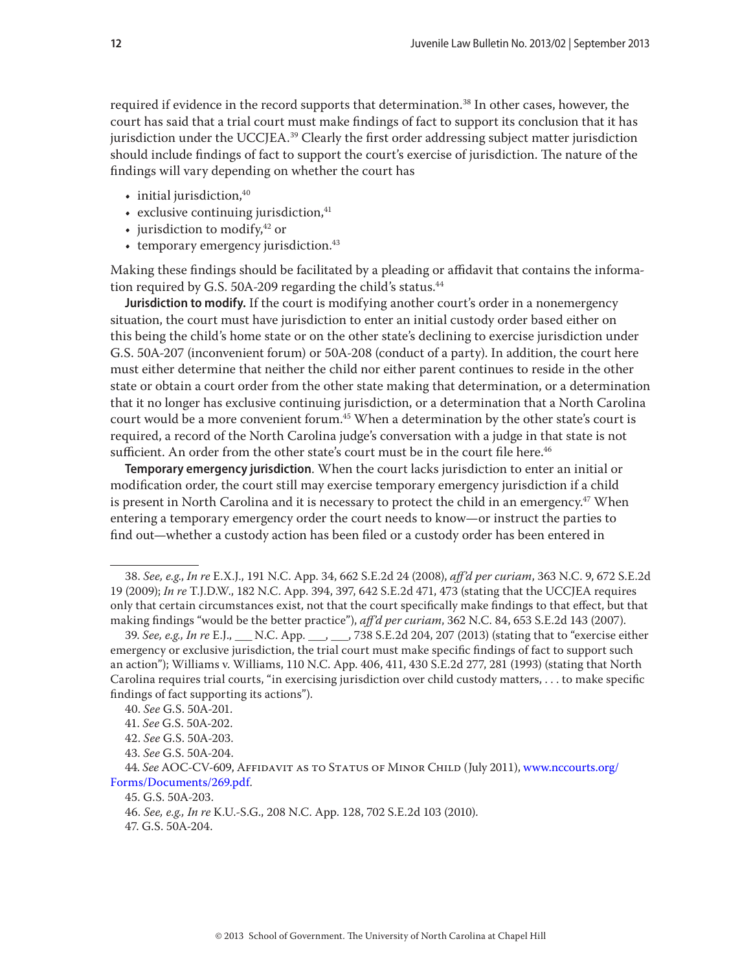required if evidence in the record supports that determination.<sup>38</sup> In other cases, however, the court has said that a trial court must make findings of fact to support its conclusion that it has jurisdiction under the UCCJEA.<sup>39</sup> Clearly the first order addressing subject matter jurisdiction should include findings of fact to support the court's exercise of jurisdiction. The nature of the findings will vary depending on whether the court has

- $\bullet$  initial jurisdiction, $40$
- exclusive continuing jurisdiction, $41$
- $\bullet$  jurisdiction to modify,<sup>42</sup> or
- $\bullet$  temporary emergency jurisdiction.<sup>43</sup>

Making these findings should be facilitated by a pleading or affidavit that contains the information required by G.S. 50A-209 regarding the child's status. $44$ 

**Jurisdiction to modify.** If the court is modifying another court's order in a nonemergency situation, the court must have jurisdiction to enter an initial custody order based either on this being the child's home state or on the other state's declining to exercise jurisdiction under G.S. 50A-207 (inconvenient forum) or 50A-208 (conduct of a party). In addition, the court here must either determine that neither the child nor either parent continues to reside in the other state or obtain a court order from the other state making that determination, or a determination that it no longer has exclusive continuing jurisdiction, or a determination that a North Carolina court would be a more convenient forum.<sup>45</sup> When a determination by the other state's court is required, a record of the North Carolina judge's conversation with a judge in that state is not sufficient. An order from the other state's court must be in the court file here.<sup>46</sup>

**Temporary emergency jurisdiction**. When the court lacks jurisdiction to enter an initial or modification order, the court still may exercise temporary emergency jurisdiction if a child is present in North Carolina and it is necessary to protect the child in an emergency.<sup>47</sup> When entering a temporary emergency order the court needs to know—or instruct the parties to find out—whether a custody action has been filed or a custody order has been entered in

<sup>38.</sup> *See, e.g*., *In re* E.X.J., 191 N.C. App. 34, 662 S.E.2d 24 (2008), *aff'd per curiam*, 363 N.C. 9, 672 S.E.2d 19 (2009); *In re* T.J.D.W., 182 N.C. App. 394, 397, 642 S.E.2d 471, 473 (stating that the UCCJEA requires only that certain circumstances exist, not that the court specifically make findings to that effect, but that making findings "would be the better practice"), *aff'd per curiam*, 362 N.C. 84, 653 S.E.2d 143 (2007).

<sup>39.</sup> *See, e.g., In re* E.J., \_\_\_ N.C. App. \_\_\_, \_\_\_, 738 S.E.2d 204, 207 (2013) (stating that to "exercise either emergency or exclusive jurisdiction, the trial court must make specific findings of fact to support such an action"); [Williams v. Williams, 110 N.C. App. 406, 411, 430 S.E.2d 277, 281 \(1993\)](http://web2.westlaw.com/find/default.wl?mt=NorthCarolina&db=711&rs=WLW13.04&tc=-1&rp=%2ffind%2fdefault.wl&findtype=Y&ordoc=2029793929&serialnum=1993116844&vr=2.0&fn=_top&sv=Split&tf=-1&referencepositiontype=S&pbc=617FDEC5&referenceposition=281&utid=2) (stating that North Carolina requires trial courts, "in exercising jurisdiction over child custody matters, . . . to make specific findings of fact supporting its actions").

<sup>40.</sup> *See* G.S. 50A-201.

<sup>41.</sup> *See* G.S. 50A-202.

<sup>42.</sup> *See* G.S. 50A-203.

<sup>43.</sup> *See* G.S. 50A-204.

<sup>44.</sup> *See* AOC-CV-609, Affidavit as to Status of Minor Child (July 2011), [www.nccourts.org/](www.nccourts.org/Forms/Documents/269.pdf) [Forms/Documents/269.pdf.](www.nccourts.org/Forms/Documents/269.pdf)

<sup>45.</sup> G.S. 50A-203.

<sup>46.</sup> *See, e.g., In re* K.U.-S.G., 208 N.C. App. 128, 702 S.E.2d 103 (2010).

<sup>47.</sup> G.S. 50A-204.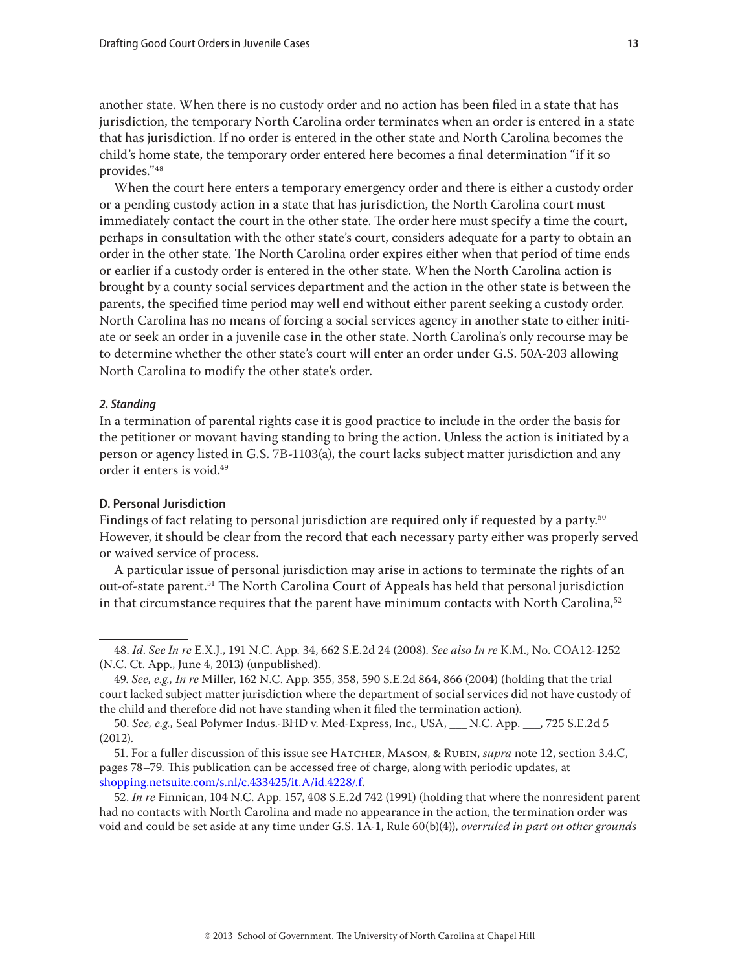<span id="page-12-0"></span>another state. When there is no custody order and no action has been filed in a state that has jurisdiction, the temporary North Carolina order terminates when an order is entered in a state that has jurisdiction. If no order is entered in the other state and North Carolina becomes the child's home state, the temporary order entered here becomes a final determination "if it so provides."48

When the court here enters a temporary emergency order and there is either a custody order or a pending custody action in a state that has jurisdiction, the North Carolina court must immediately contact the court in the other state. The order here must specify a time the court, perhaps in consultation with the other state's court, considers adequate for a party to obtain an order in the other state. The North Carolina order expires either when that period of time ends or earlier if a custody order is entered in the other state. When the North Carolina action is brought by a county social services department and the action in the other state is between the parents, the specified time period may well end without either parent seeking a custody order. North Carolina has no means of forcing a social services agency in another state to either initiate or seek an order in a juvenile case in the other state. North Carolina's only recourse may be to determine whether the other state's court will enter an order under G.S. 50A-203 allowing North Carolina to modify the other state's order.

#### *2. Standing*

In a termination of parental rights case it is good practice to include in the order the basis for the petitioner or movant having standing to bring the action. Unless the action is initiated by a person or agency listed in G.S. 7B-1103(a), the court lacks subject matter jurisdiction and any order it enters is void.49

#### **D. Personal Jurisdiction**

Findings of fact relating to personal jurisdiction are required only if requested by a party.<sup>50</sup> However, it should be clear from the record that each necessary party either was properly served or waived service of process.

A particular issue of personal jurisdiction may arise in actions to terminate the rights of an out-of-state parent.<sup>51</sup> The North Carolina Court of Appeals has held that personal jurisdiction in that circumstance requires that the parent have minimum contacts with North Carolina, $^{52}$ 

<sup>48.</sup> *Id*. *See In re* E.X.J., 191 N.C. App. 34, 662 S.E.2d 24 (2008). *See also In re* K.M., No. COA12-1252 (N.C. Ct. App., June 4, 2013) (unpublished).

<sup>49.</sup> *See, e.g., In re* Miller, 162 N.C. App. 355, 358, 590 S.E.2d 864, 866 (2004) (holding that the trial court lacked subject matter jurisdiction where the department of social services did not have custody of the child and therefore did not have standing when it filed the termination action).

<sup>50.</sup> *See, e.g.,* Seal Polymer Indus.-BHD v. Med-Express, Inc., USA, \_\_\_ N.C. App. \_\_\_, 725 S.E.2d 5 (2012).

<sup>51.</sup> For a fuller discussion of this issue see Hatcher, Mason, & Rubin, *supra* note 12, section 3.4.C, pages 78–79. This publication can be accessed free of charge, along with periodic updates, at <shopping.netsuite.com/s.nl/c.433425/it.A/id.4228/.f>.

<sup>52.</sup> *In re* Finnican, 104 N.C. App. 157, 408 S.E.2d 742 (1991) (holding that where the nonresident parent had no contacts with North Carolina and made no appearance in the action, the termination order was void and could be set aside at any time under G.S. 1A-1, Rule 60(b)(4)), *overruled in part on other grounds*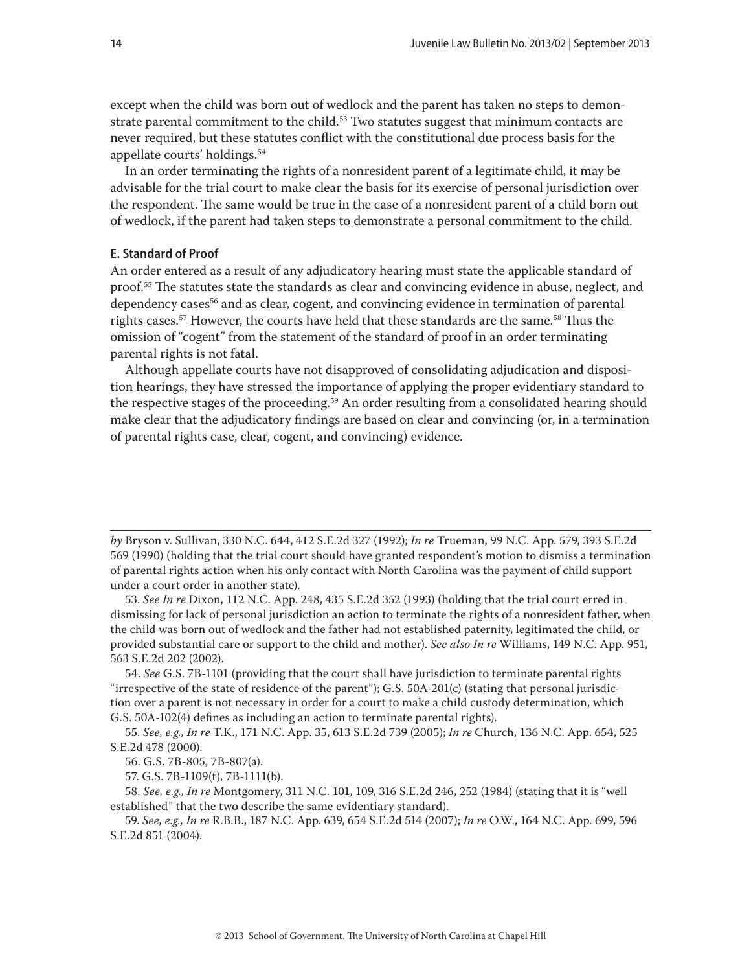<span id="page-13-0"></span>except when the child was born out of wedlock and the parent has taken no steps to demonstrate parental commitment to the child.<sup>53</sup> Two statutes suggest that minimum contacts are never required, but these statutes conflict with the constitutional due process basis for the appellate courts' holdings.54

In an order terminating the rights of a nonresident parent of a legitimate child, it may be advisable for the trial court to make clear the basis for its exercise of personal jurisdiction over the respondent. The same would be true in the case of a nonresident parent of a child born out of wedlock, if the parent had taken steps to demonstrate a personal commitment to the child.

#### **E. Standard of Proof**

An order entered as a result of any adjudicatory hearing must state the applicable standard of proof.55 The statutes state the standards as clear and convincing evidence in abuse, neglect, and dependency cases<sup>56</sup> and as clear, cogent, and convincing evidence in termination of parental rights cases.<sup>57</sup> However, the courts have held that these standards are the same.<sup>58</sup> Thus the omission of "cogent" from the statement of the standard of proof in an order terminating parental rights is not fatal.

Although appellate courts have not disapproved of consolidating adjudication and disposition hearings, they have stressed the importance of applying the proper evidentiary standard to the respective stages of the proceeding.<sup>59</sup> An order resulting from a consolidated hearing should make clear that the adjudicatory findings are based on clear and convincing (or, in a termination of parental rights case, clear, cogent, and convincing) evidence.

*by* Bryson v. Sullivan, 330 N.C. 644, 412 S.E.2d 327 (1992); *In re* Trueman, 99 N.C. App. 579, 393 S.E.2d 569 (1990) (holding that the trial court should have granted respondent's motion to dismiss a termination of parental rights action when his only contact with North Carolina was the payment of child support under a court order in another state).

<sup>53.</sup> *See In re* Dixon, 112 N.C. App. 248, 435 S.E.2d 352 (1993) (holding that the trial court erred in dismissing for lack of personal jurisdiction an action to terminate the rights of a nonresident father, when the child was born out of wedlock and the father had not established paternity, legitimated the child, or provided substantial care or support to the child and mother). *See also In re* Williams, 149 N.C. App. 951, 563 S.E.2d 202 (2002).

<sup>54.</sup> *See* G.S. 7B-1101 (providing that the court shall have jurisdiction to terminate parental rights "irrespective of the state of residence of the parent"); G.S. 50A-201(c) (stating that personal jurisdiction over a parent is not necessary in order for a court to make a child custody determination, which G.S. 50A-102(4) defines as including an action to terminate parental rights).

<sup>55.</sup> *See, e.g., In re* T.K., 171 N.C. App. 35, 613 S.E.2d 739 (2005); *In re* Church, 136 N.C. App. 654, 525 S.E.2d 478 (2000).

<sup>56.</sup> G.S. 7B-805, 7B-807(a).

<sup>57.</sup> G.S. 7B-1109(f), 7B-1111(b).

<sup>58.</sup> *See, e.g., In re* Montgomery, 311 N.C. 101, 109, 316 S.E.2d 246, 252 (1984) (stating that it is "well established" that the two describe the same evidentiary standard).

<sup>59.</sup> *See, e.g., In re* R.B.B., 187 N.C. App. 639, 654 S.E.2d 514 (2007); *In re* O.W., 164 N.C. App. 699, 596 S.E.2d 851 (2004).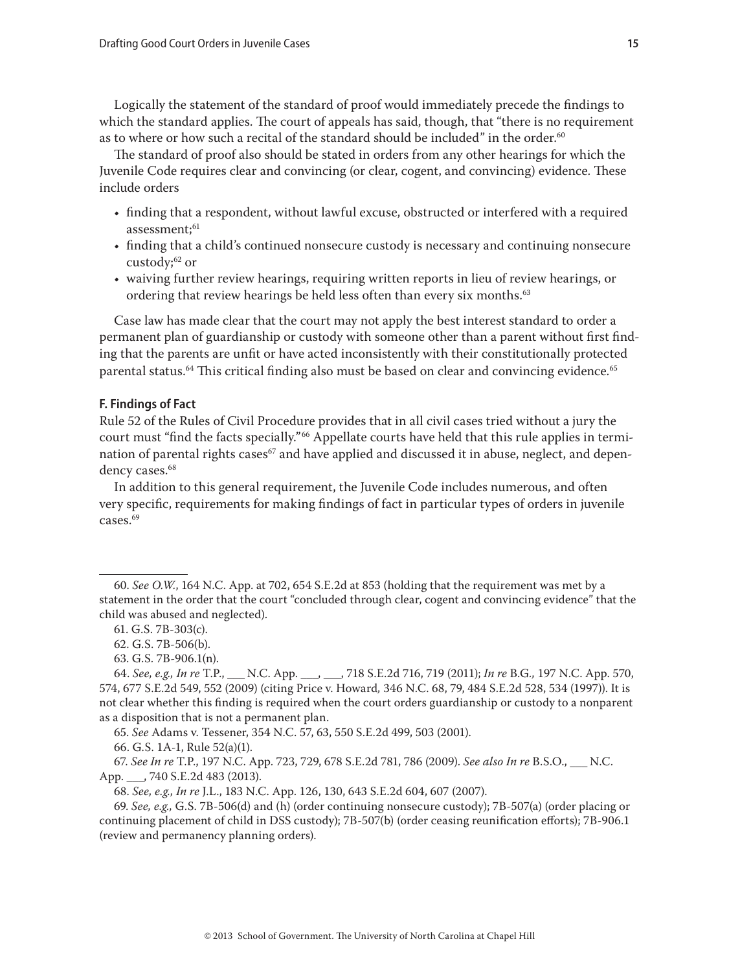<span id="page-14-0"></span>Logically the statement of the standard of proof would immediately precede the findings to which the standard applies. The court of appeals has said, though, that "there is no requirement as to where or how such a recital of the standard should be included" in the order.<sup>60</sup>

The standard of proof also should be stated in orders from any other hearings for which the Juvenile Code requires clear and convincing (or clear, cogent, and convincing) evidence. These include orders

- finding that a respondent, without lawful excuse, obstructed or interfered with a required assessment;<sup>61</sup>
- finding that a child's continued nonsecure custody is necessary and continuing nonsecure custody;<sup>62</sup> or
- waiving further review hearings, requiring written reports in lieu of review hearings, or ordering that review hearings be held less often than every six months.<sup>63</sup>

Case law has made clear that the court may not apply the best interest standard to order a permanent plan of guardianship or custody with someone other than a parent without first finding that the parents are unfit or have acted inconsistently with their constitutionally protected parental status.<sup>64</sup> This critical finding also must be based on clear and convincing evidence.<sup>65</sup>

# **F. Findings of Fact**

Rule 52 of the Rules of Civil Procedure provides that in all civil cases tried without a jury the court must "find the facts specially."66 Appellate courts have held that this rule applies in termination of parental rights cases<sup>67</sup> and have applied and discussed it in abuse, neglect, and dependency cases.<sup>68</sup>

In addition to this general requirement, the Juvenile Code includes numerous, and often very specific, requirements for making findings of fact in particular types of orders in juvenile cases.<sup>69</sup>

65. *See* Adams v. Tessener, 354 N.C. 57, 63, 550 S.E.2d 499, 503 (2001).

66. G.S. 1A-1, Rule 52(a)(1).

67. *See In re* T.P., 197 N.C. App. 723, 729, 678 S.E.2d 781, 786 (2009). *See also In re* B.S.O., \_\_\_ N.C. App. \_\_\_, 740 S.E.2d 483 (2013).

68. *See, e.g., In re* J.L., 183 N.C. App. 126, 130, 643 S.E.2d 604, 607 (2007).

<sup>60.</sup> *See O.W.*, 164 N.C. App. at 702, 654 S.E.2d at 853 (holding that the requirement was met by a statement in the order that the court "concluded through clear, cogent and convincing evidence" that the child was abused and neglected).

<sup>61.</sup> G.S. 7B-303(c).

<sup>62.</sup> G.S. 7B-506(b).

<sup>63.</sup> G.S. 7B-906.1(n).

<sup>64.</sup> *See, e.g., In re* T.P., \_\_\_ N.C. App. \_\_\_, \_\_\_, 718 S.E.2d 716, 719 (2011); *In re* B.G*.,* [197 N.C. App. 570,](http://web2.westlaw.com/find/default.wl?mt=NorthCarolina&db=711&rs=WLW13.04&tc=-1&rp=%2ffind%2fdefault.wl&findtype=Y&ordoc=2026511767&serialnum=2019117843&vr=2.0&fn=_top&sv=Split&tf=-1&referencepositiontype=S&pbc=1A1C2CEB&referenceposition=552&utid=2)  [574, 677 S.E.2d 549, 552 \(2009\)](http://web2.westlaw.com/find/default.wl?mt=NorthCarolina&db=711&rs=WLW13.04&tc=-1&rp=%2ffind%2fdefault.wl&findtype=Y&ordoc=2026511767&serialnum=2019117843&vr=2.0&fn=_top&sv=Split&tf=-1&referencepositiontype=S&pbc=1A1C2CEB&referenceposition=552&utid=2) (citing Price v. Howard*,* [346 N.C. 68, 79, 484 S.E.2d 528, 534 \(1997\)\)](http://web2.westlaw.com/find/default.wl?mt=NorthCarolina&db=711&rs=WLW13.04&tc=-1&rp=%2ffind%2fdefault.wl&findtype=Y&ordoc=2026511767&serialnum=1997106162&vr=2.0&fn=_top&sv=Split&tf=-1&referencepositiontype=S&pbc=1A1C2CEB&referenceposition=534&utid=2). It is not clear whether this finding is required when the court orders guardianship or custody to a nonparent as a disposition that is not a permanent plan.

<sup>69.</sup> *See, e.g.,* G.S. 7B-506(d) and (h) (order continuing nonsecure custody); 7B-507(a) (order placing or continuing placement of child in DSS custody); 7B-507(b) (order ceasing reunification efforts); 7B-906.1 (review and permanency planning orders).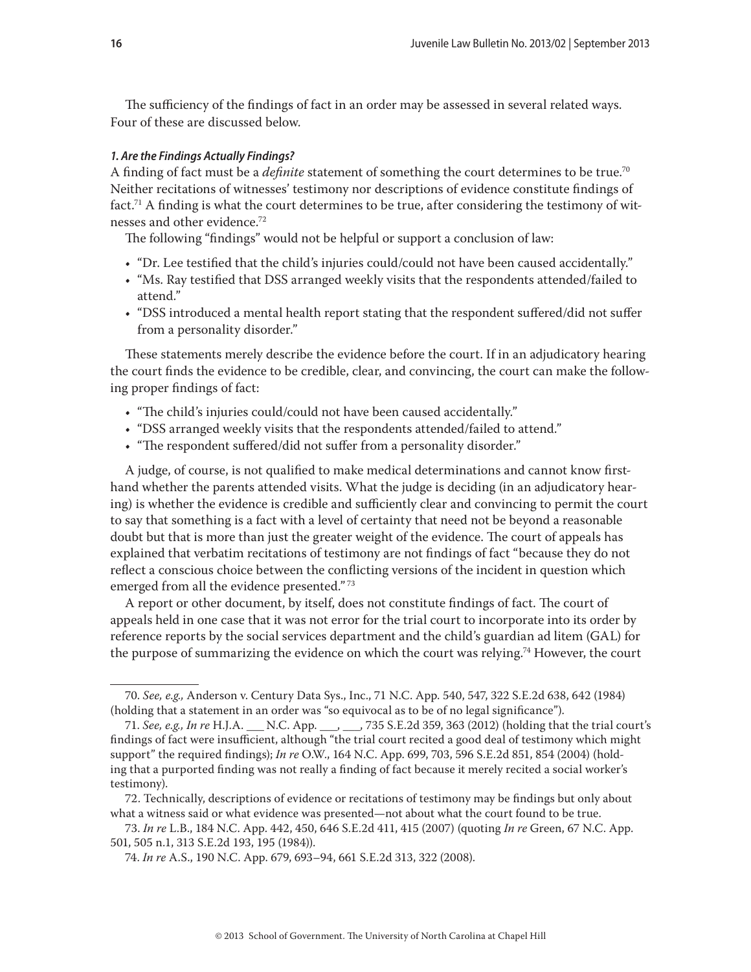The sufficiency of the findings of fact in an order may be assessed in several related ways. Four of these are discussed below.

# *1. Are the Findings Actually Findings?*

A finding of fact must be a *definite* statement of something the court determines to be true.70 Neither recitations of witnesses' testimony nor descriptions of evidence constitute findings of fact.<sup>71</sup> A finding is what the court determines to be true, after considering the testimony of witnesses and other evidence.72

The following "findings" would not be helpful or support a conclusion of law:

- "Dr. Lee testified that the child's injuries could/could not have been caused accidentally."
- "Ms. Ray testified that DSS arranged weekly visits that the respondents attended/failed to attend."
- "DSS introduced a mental health report stating that the respondent suffered/did not suffer from a personality disorder."

These statements merely describe the evidence before the court. If in an adjudicatory hearing the court finds the evidence to be credible, clear, and convincing, the court can make the following proper findings of fact:

- "The child's injuries could/could not have been caused accidentally."
- "DSS arranged weekly visits that the respondents attended/failed to attend."
- "The respondent suffered/did not suffer from a personality disorder."

A judge, of course, is not qualified to make medical determinations and cannot know firsthand whether the parents attended visits. What the judge is deciding (in an adjudicatory hearing) is whether the evidence is credible and sufficiently clear and convincing to permit the court to say that something is a fact with a level of certainty that need not be beyond a reasonable doubt but that is more than just the greater weight of the evidence. The court of appeals has explained that verbatim recitations of testimony are not findings of fact "because they do not reflect a conscious choice between the conflicting versions of the incident in question which emerged from all the evidence presented." <sup>73</sup>

A report or other document, by itself, does not constitute findings of fact. The court of appeals held in one case that it was not error for the trial court to incorporate into its order by reference reports by the social services department and the child's guardian ad litem (GAL) for the purpose of summarizing the evidence on which the court was relying.<sup>74</sup> However, the court

<sup>70.</sup> *See, e.g.,* Anderson v. Century Data Sys., Inc., 71 N.C. App. 540, 547, 322 S.E.2d 638, 642 (1984) (holding that a statement in an order was "so equivocal as to be of no legal significance").

<sup>71.</sup> *See, e.g., In re* H.J.A. \_\_\_ N.C. App. \_\_\_, \_\_\_, 735 S.E.2d 359, 363 (2012) (holding that the trial court's findings of fact were insufficient, although "the trial court recited a good deal of testimony which might support" the required findings); *In re* O.W., 164 N.C. App. 699, 703, 596 S.E.2d 851, 854 (2004) (holding that a purported finding was not really a finding of fact because it merely recited a social worker's testimony).

<sup>72.</sup> Technically, descriptions of evidence or recitations of testimony may be findings but only about what a witness said or what evidence was presented—not about what the court found to be true.

<sup>73.</sup> *In re* L.B., 184 N.C. App. 442, 450, 646 S.E.2d 411, 415 (2007) (quoting *In re* Green, 67 N.C. App. 501, 505 n.1, 313 S.E.2d 193, 195 (1984)).

<sup>74.</sup> *In re* A.S., 190 N.C. App. 679, 693–94, 661 S.E.2d 313, 322 (2008).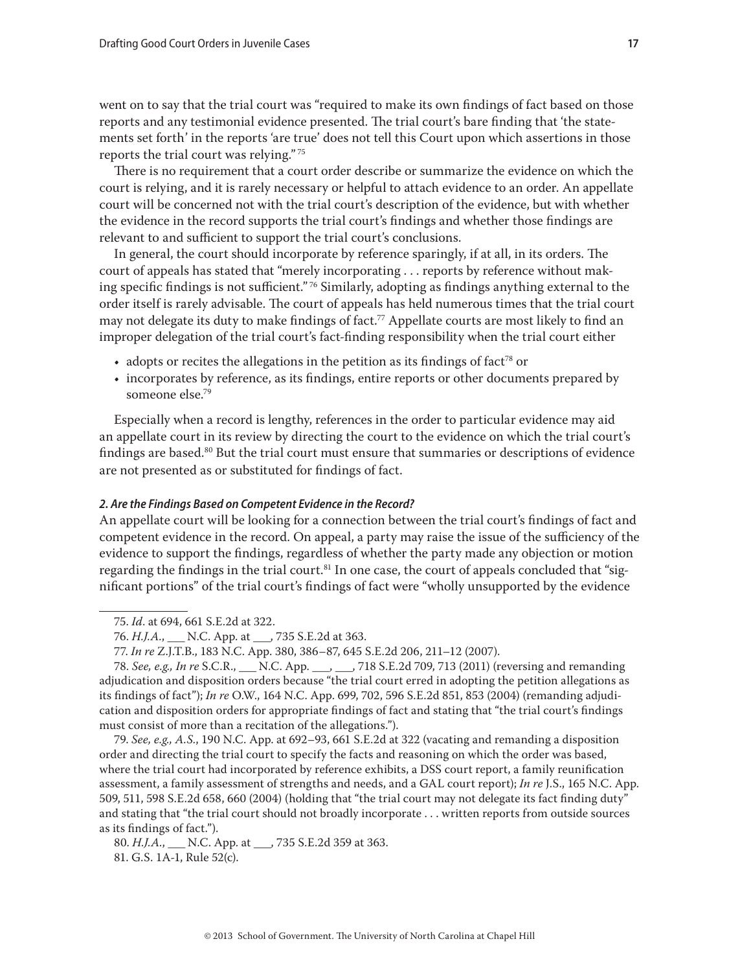went on to say that the trial court was "required to make its own findings of fact based on those reports and any testimonial evidence presented. The trial court's bare finding that 'the statements set forth' in the reports 'are true' does not tell this Court upon which assertions in those reports the trial court was relying." <sup>75</sup>

There is no requirement that a court order describe or summarize the evidence on which the court is relying, and it is rarely necessary or helpful to attach evidence to an order. An appellate court will be concerned not with the trial court's description of the evidence, but with whether the evidence in the record supports the trial court's findings and whether those findings are relevant to and sufficient to support the trial court's conclusions.

In general, the court should incorporate by reference sparingly, if at all, in its orders. The court of appeals has stated that "merely incorporating . . . reports by reference without making specific findings is not sufficient." 76 Similarly, adopting as findings anything external to the order itself is rarely advisable. The court of appeals has held numerous times that the trial court may not delegate its duty to make findings of fact.<sup>77</sup> Appellate courts are most likely to find an improper delegation of the trial court's fact-finding responsibility when the trial court either

- adopts or recites the allegations in the petition as its findings of fact<sup>78</sup> or
- incorporates by reference, as its findings, entire reports or other documents prepared by someone else.79

Especially when a record is lengthy, references in the order to particular evidence may aid an appellate court in its review by directing the court to the evidence on which the trial court's findings are based. $80$  But the trial court must ensure that summaries or descriptions of evidence are not presented as or substituted for findings of fact.

#### *2. Are the Findings Based on Competent Evidence in the Record?*

An appellate court will be looking for a connection between the trial court's findings of fact and competent evidence in the record. On appeal, a party may raise the issue of the sufficiency of the evidence to support the findings, regardless of whether the party made any objection or motion regarding the findings in the trial court.<sup>81</sup> In one case, the court of appeals concluded that "significant portions" of the trial court's findings of fact were "wholly unsupported by the evidence

79. *See, e.g., A.S.*, 190 N.C. App. at 692–93, 661 S.E.2d at 322 (vacating and remanding a disposition order and directing the trial court to specify the facts and reasoning on which the order was based, where the trial court had incorporated by reference exhibits, a DSS court report, a family reunification assessment, a family assessment of strengths and needs, and a GAL court report); *In re* J.S., 165 N.C. App. 509, 511, 598 S.E.2d 658, 660 (2004) (holding that "the trial court may not delegate its fact finding duty" and stating that "the trial court should not broadly incorporate . . . written reports from outside sources as its findings of fact.").

<sup>75.</sup> *Id*. at 694, 661 S.E.2d at 322.

<sup>76.</sup> *H.J.A.*, \_\_\_ N.C. App. at \_\_\_, 735 S.E.2d at 363.

<sup>77.</sup> *In re* Z.J.T.B., 183 N.C. App. 380, 386–87, 645 S.E.2d 206, 211–12 (2007).

<sup>78.</sup> *See, e.g., In re* S.C.R., \_\_\_ N.C. App. \_\_\_, \_\_\_, 718 S.E.2d 709, 713 (2011) (reversing and remanding adjudication and disposition orders because "the trial court erred in adopting the petition allegations as its findings of fact"); *In re* O.W., 164 N.C. App. 699, 702, 596 S.E.2d 851, 853 (2004) (remanding adjudication and disposition orders for appropriate findings of fact and stating that "the trial court's findings must consist of more than a recitation of the allegations.").

<sup>80.</sup> *H.J.A.*, \_\_\_ N.C. App. at \_\_\_, 735 S.E.2d 359 at 363. 81. G.S. 1A-1, Rule 52(c).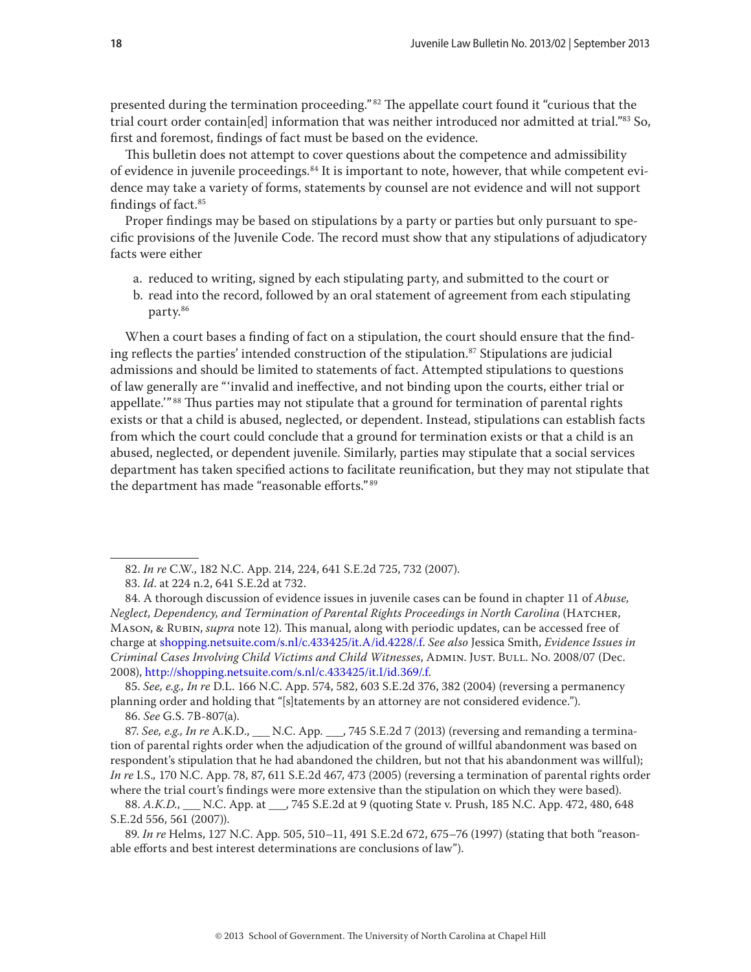presented during the termination proceeding."<sup>82</sup> The appellate court found it "curious that the trial court order contain[ed] information that was neither introduced nor admitted at trial."83 So, first and foremost, findings of fact must be based on the evidence.

This bulletin does not attempt to cover questions about the competence and admissibility of evidence in juvenile proceedings.84 It is important to note, however, that while competent evidence may take a variety of forms, statements by counsel are not evidence and will not support findings of fact.85

Proper findings may be based on stipulations by a party or parties but only pursuant to specific provisions of the Juvenile Code. The record must show that any stipulations of adjudicatory facts were either

- a. reduced to writing, signed by each stipulating party, and submitted to the court or
- b. read into the record, followed by an oral statement of agreement from each stipulating party.86

When a court bases a finding of fact on a stipulation, the court should ensure that the finding reflects the parties' intended construction of the stipulation.<sup>87</sup> Stipulations are judicial admissions and should be limited to statements of fact. Attempted stipulations to questions of law generally are "'invalid and ineffective, and not binding upon the courts, either trial or appellate."<sup>88</sup> Thus parties may not stipulate that a ground for termination of parental rights exists or that a child is abused, neglected, or dependent. Instead, stipulations can establish facts from which the court could conclude that a ground for termination exists or that a child is an abused, neglected, or dependent juvenile. Similarly, parties may stipulate that a social services department has taken specified actions to facilitate reunification, but they may not stipulate that the department has made "reasonable efforts." <sup>89</sup>

85. *See, e.g., In re* D.L. 166 N.C. App. 574, 582, 603 S.E.2d 376, 382 (2004) (reversing a permanency planning order and holding that "[s]tatements by an attorney are not considered evidence.").

86. *See* G.S. 7B-807(a).

87. *See, e.g., In re* A.K.D., \_\_\_ N.C. App. \_\_\_, 745 S.E.2d 7 (2013) (reversing and remanding a termination of parental rights order when the adjudication of the ground of willful abandonment was based on respondent's stipulation that he had abandoned the children, but not that his abandonment was willful); *In re* I.S.*,* 170 N.C. App. 78, 87, 611 S.E.2d 467, 473 (2005) (reversing a termination of parental rights order where the trial court's findings were more extensive than the stipulation on which they were based).

88. *A.K.D.*, \_\_\_ N.C. App. at \_\_\_, 745 S.E.2d at 9 (quoting State v. Prush, 185 N.C. App. 472, 480, 648 S.E.2d 556, 561 (2007)).

89. *In re* Helms, 127 N.C. App. 505, 510–11, 491 S.E.2d 672, 675–76 (1997) (stating that both "reasonable efforts and best interest determinations are conclusions of law").

<sup>82.</sup> *In re* C.W., 182 N.C. App. 214, 224, 641 S.E.2d 725, 732 (2007).

<sup>83.</sup> *Id*. at 224 n.2, 641 S.E.2d at 732.

<sup>84.</sup> A thorough discussion of evidence issues in juvenile cases can be found in chapter 11 of *Abuse, Neglect, Dependency, and Termination of Parental Rights Proceedings in North Carolina* (Hatcher, Mason, & Rubin, *supra* note 12). This manual, along with periodic updates, can be accessed free of charge at [shopping.netsuite.com/s.nl/c.433425/it.A/id.4228/.f.](shopping.netsuite.com/s.nl/c.433425/it.A/id.4228/.f) *See also* Jessica Smith, *Evidence Issues in Criminal Cases Involving Child Victims and Child Witnesses, ADMIN. JUST. BULL. No. 2008/07 (Dec.* 2008),<http://shopping.netsuite.com/s.nl/c.433425/it.I/id.369/.f>.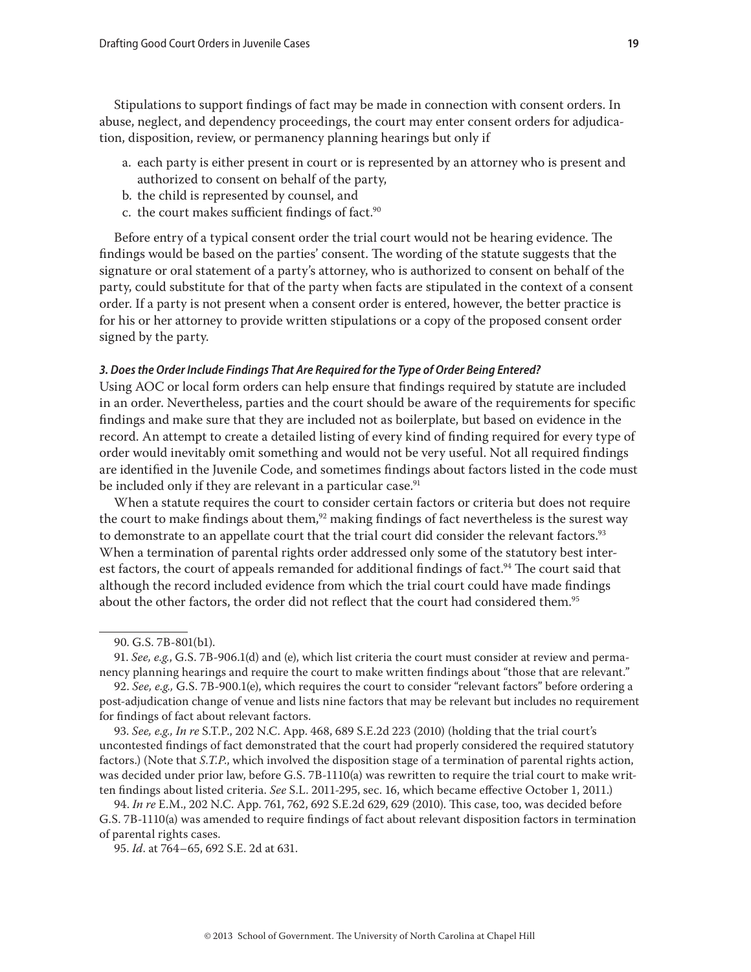Stipulations to support findings of fact may be made in connection with consent orders. In abuse, neglect, and dependency proceedings, the court may enter consent orders for adjudication, disposition, review, or permanency planning hearings but only if

- a. each party is either present in court or is represented by an attorney who is present and authorized to consent on behalf of the party,
- b. the child is represented by counsel, and
- c. the court makes sufficient findings of fact.<sup>90</sup>

Before entry of a typical consent order the trial court would not be hearing evidence. The findings would be based on the parties' consent. The wording of the statute suggests that the signature or oral statement of a party's attorney, who is authorized to consent on behalf of the party, could substitute for that of the party when facts are stipulated in the context of a consent order. If a party is not present when a consent order is entered, however, the better practice is for his or her attorney to provide written stipulations or a copy of the proposed consent order signed by the party.

#### *3. Does the Order Include Findings That Are Required for the Type of Order Being Entered?*

Using AOC or local form orders can help ensure that findings required by statute are included in an order. Nevertheless, parties and the court should be aware of the requirements for specific findings and make sure that they are included not as boilerplate, but based on evidence in the record. An attempt to create a detailed listing of every kind of finding required for every type of order would inevitably omit something and would not be very useful. Not all required findings are identified in the Juvenile Code, and sometimes findings about factors listed in the code must be included only if they are relevant in a particular case.<sup>91</sup>

When a statute requires the court to consider certain factors or criteria but does not require the court to make findings about them,<sup>92</sup> making findings of fact nevertheless is the surest way to demonstrate to an appellate court that the trial court did consider the relevant factors.<sup>93</sup> When a termination of parental rights order addressed only some of the statutory best interest factors, the court of appeals remanded for additional findings of fact.<sup>94</sup> The court said that although the record included evidence from which the trial court could have made findings about the other factors, the order did not reflect that the court had considered them.<sup>95</sup>

93. *See, e.g., In re* S.T.P., 202 N.C. App. 468, 689 S.E.2d 223 (2010) (holding that the trial court's uncontested findings of fact demonstrated that the court had properly considered the required statutory factors.) (Note that *S.T.P*., which involved the disposition stage of a termination of parental rights action, was decided under prior law, before G.S. 7B-1110(a) was rewritten to require the trial court to make written findings about listed criteria. *See* S.L. 2011-295, sec. 16, which became effective October 1, 2011.)

94. *In re* E.M., 202 N.C. App. 761, 762, 692 S.E.2d 629, 629 (2010). This case, too, was decided before G.S. 7B-1110(a) was amended to require findings of fact about relevant disposition factors in termination of parental rights cases.

95. *Id*. at 764–65, 692 S.E. 2d at 631.

<sup>90.</sup> G.S. 7B-801(b1).

<sup>91.</sup> *See, e.g.*, G.S. 7B-906.1(d) and (e), which list criteria the court must consider at review and permanency planning hearings and require the court to make written findings about "those that are relevant."

<sup>92.</sup> *See, e.g.,* G.S. 7B-900.1(e), which requires the court to consider "relevant factors" before ordering a post-adjudication change of venue and lists nine factors that may be relevant but includes no requirement for findings of fact about relevant factors.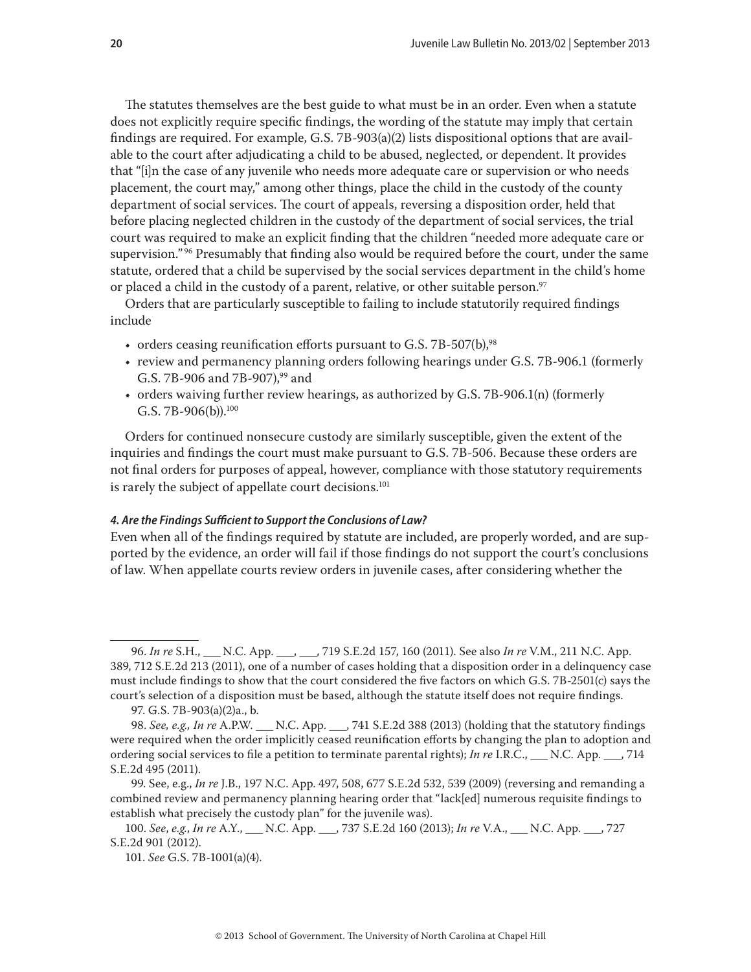The statutes themselves are the best guide to what must be in an order. Even when a statute does not explicitly require specific findings, the wording of the statute may imply that certain findings are required. For example, G.S. 7B-903(a)(2) lists dispositional options that are available to the court after adjudicating a child to be abused, neglected, or dependent. It provides that "[i]n the case of any juvenile who needs more adequate care or supervision or who needs placement, the court may," among other things, place the child in the custody of the county department of social services. The court of appeals, reversing a disposition order, held that before placing neglected children in the custody of the department of social services, the trial court was required to make an explicit finding that the children "needed more adequate care or supervision." <sup>96</sup> Presumably that finding also would be required before the court, under the same statute, ordered that a child be supervised by the social services department in the child's home or placed a child in the custody of a parent, relative, or other suitable person.<sup>97</sup>

Orders that are particularly susceptible to failing to include statutorily required findings include

- orders ceasing reunification efforts pursuant to G.S.  $7B-507(b)$ ,<sup>98</sup>
- review and permanency planning orders following hearings under G.S. 7B-906.1 (formerly G.S. 7B-906 and 7B-907),<sup>99</sup> and
- orders waiving further review hearings, as authorized by G.S. 7B-906.1(n) (formerly G.S. 7B-906(b)).100

Orders for continued nonsecure custody are similarly susceptible, given the extent of the inquiries and findings the court must make pursuant to G.S. 7B-506. Because these orders are not final orders for purposes of appeal, however, compliance with those statutory requirements is rarely the subject of appellate court decisions.<sup>101</sup>

#### *4. Are the Findings Sufficient to Support the Conclusions of Law?*

Even when all of the findings required by statute are included, are properly worded, and are supported by the evidence, an order will fail if those findings do not support the court's conclusions of law. When appellate courts review orders in juvenile cases, after considering whether the

<sup>96.</sup> *In re* S.H., \_\_\_ N.C. App. \_\_\_, \_\_\_, 719 S.E.2d 157, 160 (2011). See also *In re* V.M., 211 N.C. App. 389, 712 S.E.2d 213 (2011), one of a number of cases holding that a disposition order in a delinquency case must include findings to show that the court considered the five factors on which G.S. 7B-2501(c) says the court's selection of a disposition must be based, although the statute itself does not require findings.

<sup>97.</sup> G.S. 7B-903(a)(2)a., b.

<sup>98.</sup> *See, e.g., In re* A.P.W. \_\_\_ N.C. App. \_\_\_, 741 S.E.2d 388 (2013) (holding that the statutory findings were required when the order implicitly ceased reunification efforts by changing the plan to adoption and ordering social services to file a petition to terminate parental rights); *In re* I.R.C., \_\_\_ N.C. App. \_\_\_, 714 S.E.2d 495 (2011).

<sup>99.</sup> See, e.g., *In re* J.B., 197 N.C. App. 497, 508, 677 S.E.2d 532, 539 (2009) (reversing and remanding a combined review and permanency planning hearing order that "lack[ed] numerous requisite findings to establish what precisely the custody plan" for the juvenile was).

<sup>100.</sup> *See*, *e.g.*, *In re* A.Y., \_\_\_ N.C. App. \_\_\_, 737 S.E.2d 160 (2013); *In re* V.A., \_\_\_ N.C. App. \_\_\_, 727 S.E.2d 901 (2012).

<sup>101.</sup> *See* G.S. 7B-1001(a)(4).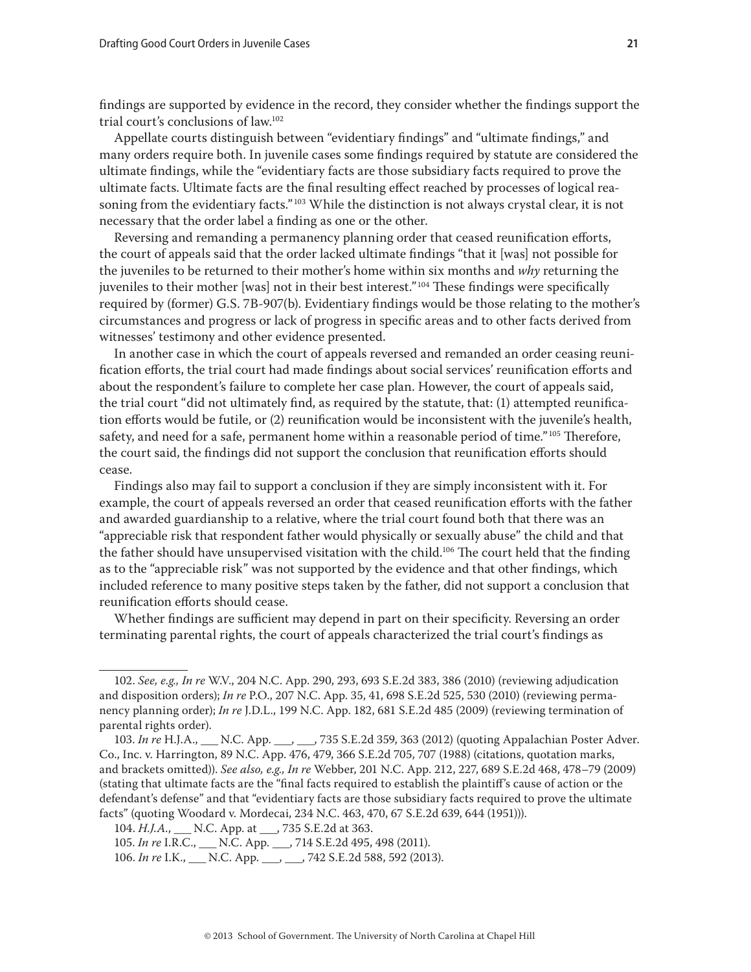findings are supported by evidence in the record, they consider whether the findings support the trial court's conclusions of law.102

Appellate courts distinguish between "evidentiary findings" and "ultimate findings," and many orders require both. In juvenile cases some findings required by statute are considered the ultimate findings, while the "evidentiary facts are those subsidiary facts required to prove the ultimate facts. Ultimate facts are the final resulting effect reached by processes of logical reasoning from the evidentiary facts."<sup>103</sup> While the distinction is not always crystal clear, it is not necessary that the order label a finding as one or the other.

Reversing and remanding a permanency planning order that ceased reunification efforts, the court of appeals said that the order lacked ultimate findings "that it [was] not possible for the juveniles to be returned to their mother's home within six months and *why* returning the juveniles to their mother [was] not in their best interest." 104 These findings were specifically required by (former) G.S. 7B-907(b). Evidentiary findings would be those relating to the mother's circumstances and progress or lack of progress in specific areas and to other facts derived from witnesses' testimony and other evidence presented.

In another case in which the court of appeals reversed and remanded an order ceasing reunification efforts, the trial court had made findings about social services' reunification efforts and about the respondent's failure to complete her case plan. However, the court of appeals said, the trial court "did not ultimately find, as required by the statute, that: (1) attempted reunification efforts would be futile, or (2) reunification would be inconsistent with the juvenile's health, safety, and need for a safe, permanent home within a reasonable period of time."<sup>105</sup> Therefore, the court said, the findings did not support the conclusion that reunification efforts should cease.

Findings also may fail to support a conclusion if they are simply inconsistent with it. For example, the court of appeals reversed an order that ceased reunification efforts with the father and awarded guardianship to a relative, where the trial court found both that there was an "appreciable risk that respondent father would physically or sexually abuse" the child and that the father should have unsupervised visitation with the child.106 The court held that the finding as to the "appreciable risk" was not supported by the evidence and that other findings, which included reference to many positive steps taken by the father, did not support a conclusion that reunification efforts should cease.

Whether findings are sufficient may depend in part on their specificity. Reversing an order terminating parental rights, the court of appeals characterized the trial court's findings as

<sup>102.</sup> *See, e.g., In re* W.V., 204 N.C. App. 290, 293, 693 S.E.2d 383, 386 (2010) (reviewing adjudication and disposition orders); *In re* P.O., 207 N.C. App. 35, 41, 698 S.E.2d 525, 530 (2010) (reviewing permanency planning order); *In re* J.D.L., 199 N.C. App. 182, 681 S.E.2d 485 (2009) (reviewing termination of parental rights order).

<sup>103.</sup> *In re* H.J.A., *\_\_\_ N.C. App. \_\_\_, \_\_, 735 S.E.2d 359, 363 (2012)* (quoting Appalachian Poster Adver. Co., Inc. v. Harrington, 89 N.C. App. 476, 479, 366 S.E.2d 705, 707 (1988) (citations, quotation marks, and brackets omitted)). *See also, e.g., In re* Webber, 201 N.C. App. 212, 227, 689 S.E.2d 468, 478–79 (2009) (stating that ultimate facts are the "final facts required to establish the plaintiff's cause of action or the defendant's defense" and that "evidentiary facts are those subsidiary facts required to prove the ultimate facts" (quoting [Woodard v. Mordecai, 234 N.C. 463, 470, 67 S.E.2d 639, 644 \(1951\)\)](http://web2.westlaw.com/find/default.wl?mt=NorthCarolina&db=711&rs=WLW13.04&tc=-1&rp=%2ffind%2fdefault.wl&findtype=Y&ordoc=2020967629&serialnum=1951104086&vr=2.0&fn=_top&sv=Split&tf=-1&referencepositiontype=S&pbc=BD70B0DD&referenceposition=644&utid=2)).

<sup>104.</sup> *H.J.A.*, \_\_\_ N.C. App. at \_\_\_, 735 S.E.2d at 363.

<sup>105.</sup> *In re* I.R.C., \_\_\_ N.C. App. \_\_\_, 714 S.E.2d 495, 498 (2011).

<sup>106.</sup> *In re* I.K., \_\_\_ N.C. App. \_\_, \_\_, 742 S.E.2d 588, 592 (2013).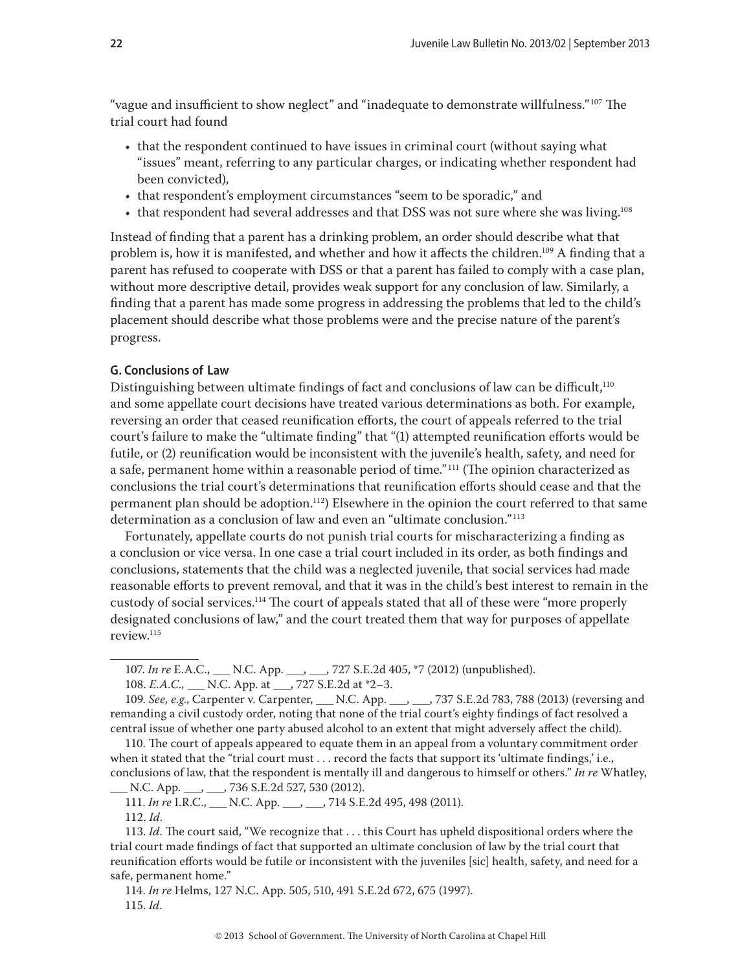"vague and insufficient to show neglect" and "inadequate to demonstrate willfulness." 107 The trial court had found

- that the respondent continued to have issues in criminal court (without saying what "issues" meant, referring to any particular charges, or indicating whether respondent had been convicted),
- that respondent's employment circumstances "seem to be sporadic," and
- that respondent had several addresses and that DSS was not sure where she was living.<sup>108</sup>

Instead of finding that a parent has a drinking problem, an order should describe what that problem is, how it is manifested, and whether and how it affects the children.109 A finding that a parent has refused to cooperate with DSS or that a parent has failed to comply with a case plan, without more descriptive detail, provides weak support for any conclusion of law. Similarly, a finding that a parent has made some progress in addressing the problems that led to the child's placement should describe what those problems were and the precise nature of the parent's progress.

# **G. Conclusions of Law**

Distinguishing between ultimate findings of fact and conclusions of law can be difficult, $110$ and some appellate court decisions have treated various determinations as both. For example, reversing an order that ceased reunification efforts, the court of appeals referred to the trial court's failure to make the "ultimate finding" that "(1) attempted reunification efforts would be futile, or (2) reunification would be inconsistent with the juvenile's health, safety, and need for a safe, permanent home within a reasonable period of time." 111 (The opinion characterized as conclusions the trial court's determinations that reunification efforts should cease and that the permanent plan should be adoption.112) Elsewhere in the opinion the court referred to that same determination as a conclusion of law and even an "ultimate conclusion." <sup>113</sup>

Fortunately, appellate courts do not punish trial courts for mischaracterizing a finding as a conclusion or vice versa. In one case a trial court included in its order, as both findings and conclusions, statements that the child was a neglected juvenile, that social services had made reasonable efforts to prevent removal, and that it was in the child's best interest to remain in the custody of social services.114 The court of appeals stated that all of these were "more properly designated conclusions of law," and the court treated them that way for purposes of appellate review.115

114. *In re* Helms, 127 N.C. App. 505, 510, 491 S.E.2d 672, 675 (1997). 115. *Id*.

<sup>107.</sup> *In re* E.A.C., \_\_\_ N.C. App. \_\_\_, \_\_\_, 727 S.E.2d 405, \*7 (2012) (unpublished).

<sup>108.</sup> *E.A.C.,* \_\_\_ N.C. App. at \_\_\_, 727 S.E.2d at \*2–3.

<sup>109.</sup> *See, e.g*., Carpenter v. Carpenter, \_\_\_ N.C. App. \_\_\_, \_\_\_, 737 S.E.2d 783, 788 (2013) (reversing and remanding a civil custody order, noting that none of the trial court's eighty findings of fact resolved a central issue of whether one party abused alcohol to an extent that might adversely affect the child).

<sup>110.</sup> The court of appeals appeared to equate them in an appeal from a voluntary commitment order when it stated that the "trial court must . . . record the facts that support its 'ultimate findings,' i.e., conclusions of law, that the respondent is mentally ill and dangerous to himself or others." *In re* Whatley,

\_\_\_ N.C. App. \_\_\_, \_\_\_, 736 S.E.2d 527, 530 (2012).

<sup>111.</sup> *In re* I.R.C., \_\_\_ N.C. App. \_\_\_, \_\_, 714 S.E.2d 495, 498 (2011).

<sup>112.</sup> *Id*.

<sup>113.</sup> *Id*. The court said, "We recognize that . . . this Court has upheld dispositional orders where the trial court made findings of fact that supported an ultimate conclusion of law by the trial court that reunification efforts would be futile or inconsistent with the juveniles [sic] health, safety, and need for a safe, permanent home."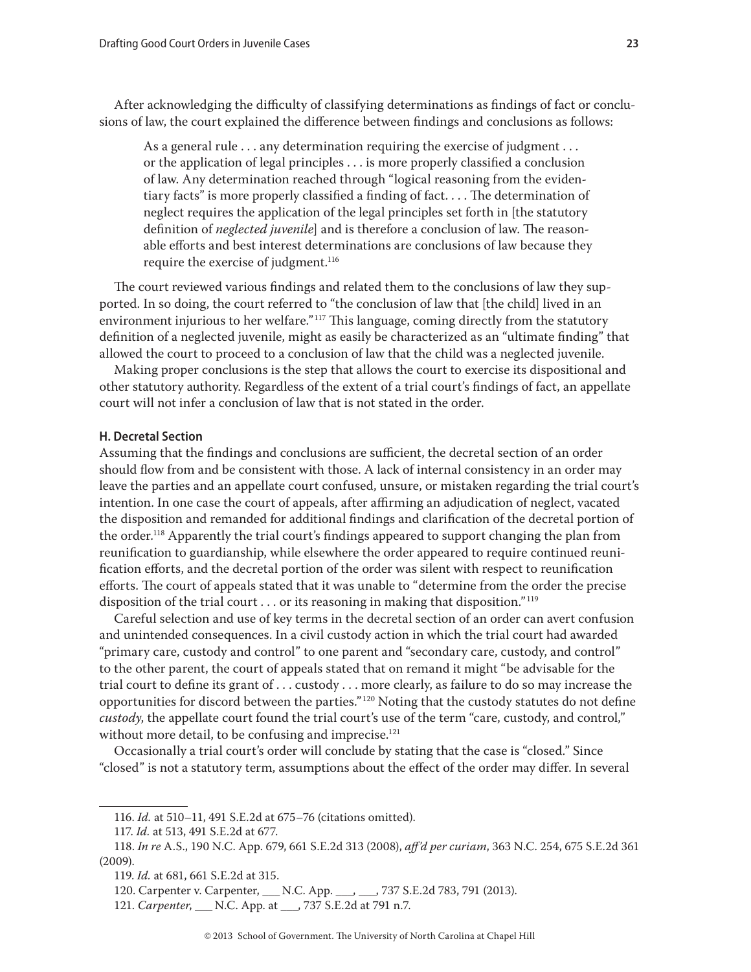<span id="page-22-0"></span>After acknowledging the difficulty of classifying determinations as findings of fact or conclusions of law, the court explained the difference between findings and conclusions as follows:

As a general rule . . . any determination requiring the exercise of judgment . . . or the application of legal principles . . . is more properly classified a conclusion of law. Any determination reached through "logical reasoning from the evidentiary facts" is more properly classified a finding of fact. . . . The determination of neglect requires the application of the legal principles set forth in [the statutory definition of *neglected juvenile*] and is therefore a conclusion of law. The reasonable efforts and best interest determinations are conclusions of law because they require the exercise of judgment.<sup>116</sup>

The court reviewed various findings and related them to the conclusions of law they supported. In so doing, the court referred to "the conclusion of law that [the child] lived in an environment injurious to her welfare."<sup>117</sup> This language, coming directly from the statutory definition of a neglected juvenile, might as easily be characterized as an "ultimate finding" that allowed the court to proceed to a conclusion of law that the child was a neglected juvenile.

Making proper conclusions is the step that allows the court to exercise its dispositional and other statutory authority. Regardless of the extent of a trial court's findings of fact, an appellate court will not infer a conclusion of law that is not stated in the order.

#### **H. Decretal Section**

Assuming that the findings and conclusions are sufficient, the decretal section of an order should flow from and be consistent with those. A lack of internal consistency in an order may leave the parties and an appellate court confused, unsure, or mistaken regarding the trial court's intention. In one case the court of appeals, after affirming an adjudication of neglect, vacated the disposition and remanded for additional findings and clarification of the decretal portion of the order.<sup>118</sup> Apparently the trial court's findings appeared to support changing the plan from reunification to guardianship, while elsewhere the order appeared to require continued reunification efforts, and the decretal portion of the order was silent with respect to reunification efforts. The court of appeals stated that it was unable to "determine from the order the precise disposition of the trial court  $\dots$  or its reasoning in making that disposition."<sup>119</sup>

Careful selection and use of key terms in the decretal section of an order can avert confusion and unintended consequences. In a civil custody action in which the trial court had awarded "primary care, custody and control" to one parent and "secondary care, custody, and control" to the other parent, the court of appeals stated that on remand it might "be advisable for the trial court to define its grant of . . . custody . . . more clearly, as failure to do so may increase the opportunities for discord between the parties." 120 Noting that the custody statutes do not define *custody*, the appellate court found the trial court's use of the term "care, custody, and control," without more detail, to be confusing and imprecise.<sup>121</sup>

Occasionally a trial court's order will conclude by stating that the case is "closed." Since "closed" is not a statutory term, assumptions about the effect of the order may differ. In several

<sup>116.</sup> *Id.* at 510–11, 491 S.E.2d at 675–76 (citations omitted).

<sup>117.</sup> *Id.* at 513, 491 S.E.2d at 677.

<sup>118.</sup> *In re* A.S., 190 N.C. App. 679, 661 S.E.2d 313 (2008), *aff'd per curiam*, 363 N.C. 254, 675 S.E.2d 361 (2009).

<sup>119.</sup> *Id.* at 681, 661 S.E.2d at 315.

<sup>120.</sup> Carpenter v. Carpenter, \_\_\_ N.C. App. \_\_, \_\_, 737 S.E.2d 783, 791 (2013).

<sup>121.</sup> *Carpenter*, \_\_\_ N.C. App. at \_\_\_, 737 S.E.2d at 791 n.7.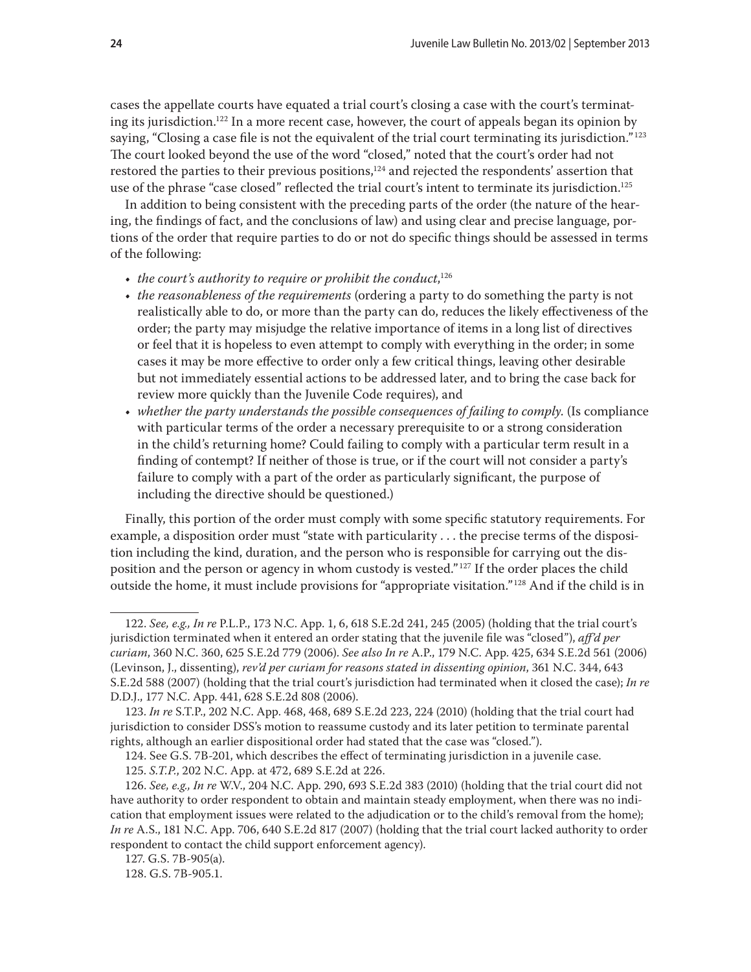cases the appellate courts have equated a trial court's closing a case with the court's terminating its jurisdiction.<sup>122</sup> In a more recent case, however, the court of appeals began its opinion by saying, "Closing a case file is not the equivalent of the trial court terminating its jurisdiction."<sup>123</sup> The court looked beyond the use of the word "closed," noted that the court's order had not restored the parties to their previous positions,<sup>124</sup> and rejected the respondents' assertion that use of the phrase "case closed" reflected the trial court's intent to terminate its jurisdiction.<sup>125</sup>

In addition to being consistent with the preceding parts of the order (the nature of the hearing, the findings of fact, and the conclusions of law) and using clear and precise language, portions of the order that require parties to do or not do specific things should be assessed in terms of the following:

- $\bullet\;$  the court's authority to require or prohibit the conduct, $^{126}$
- *the reasonableness of the requirements* (ordering a party to do something the party is not realistically able to do, or more than the party can do, reduces the likely effectiveness of the order; the party may misjudge the relative importance of items in a long list of directives or feel that it is hopeless to even attempt to comply with everything in the order; in some cases it may be more effective to order only a few critical things, leaving other desirable but not immediately essential actions to be addressed later, and to bring the case back for review more quickly than the Juvenile Code requires), and
- *whether the party understands the possible consequences of failing to comply*. (Is compliance with particular terms of the order a necessary prerequisite to or a strong consideration in the child's returning home? Could failing to comply with a particular term result in a finding of contempt? If neither of those is true, or if the court will not consider a party's failure to comply with a part of the order as particularly significant, the purpose of including the directive should be questioned.)

Finally, this portion of the order must comply with some specific statutory requirements. For example, a disposition order must "state with particularity . . . the precise terms of the disposition including the kind, duration, and the person who is responsible for carrying out the disposition and the person or agency in whom custody is vested." 127 If the order places the child outside the home, it must include provisions for "appropriate visitation." 128 And if the child is in

<sup>122.</sup> *See, e.g., In re* P.L.P., 173 N.C. App. 1, 6, 618 S.E.2d 241, 245 (2005) (holding that the trial court's jurisdiction terminated when it entered an order stating that the juvenile file was "closed"), *aff'd per curiam*, 360 N.C. 360, 625 S.E.2d 779 (2006). *See also In re* A.P., 179 N.C. App. 425, 634 S.E.2d 561 (2006) (Levinson, J., dissenting), *rev'd per curiam for reasons stated in dissenting opinion*, 361 N.C. 344, 643 S.E.2d 588 (2007) (holding that the trial court's jurisdiction had terminated when it closed the case); *In re* D.D.J., 177 N.C. App. 441, 628 S.E.2d 808 (2006).

<sup>123.</sup> *In re* S.T.P., 202 N.C. App. 468, 468, 689 S.E.2d 223, 224 (2010) (holding that the trial court had jurisdiction to consider DSS's motion to reassume custody and its later petition to terminate parental rights, although an earlier dispositional order had stated that the case was "closed.").

<sup>124.</sup> See G.S. 7B-201, which describes the effect of terminating jurisdiction in a juvenile case. 125. *S.T.P.*, 202 N.C. App. at 472, 689 S.E.2d at 226.

<sup>126.</sup> *See, e.g., In re* W.V., 204 N.C. App. 290, 693 S.E.2d 383 (2010) (holding that the trial court did not have authority to order respondent to obtain and maintain steady employment, when there was no indication that employment issues were related to the adjudication or to the child's removal from the home); *In re* A.S., 181 N.C. App. 706, 640 S.E.2d 817 (2007) (holding that the trial court lacked authority to order respondent to contact the child support enforcement agency).

<sup>127.</sup> G.S. 7B-905(a).

<sup>128.</sup> G.S. 7B-905.1.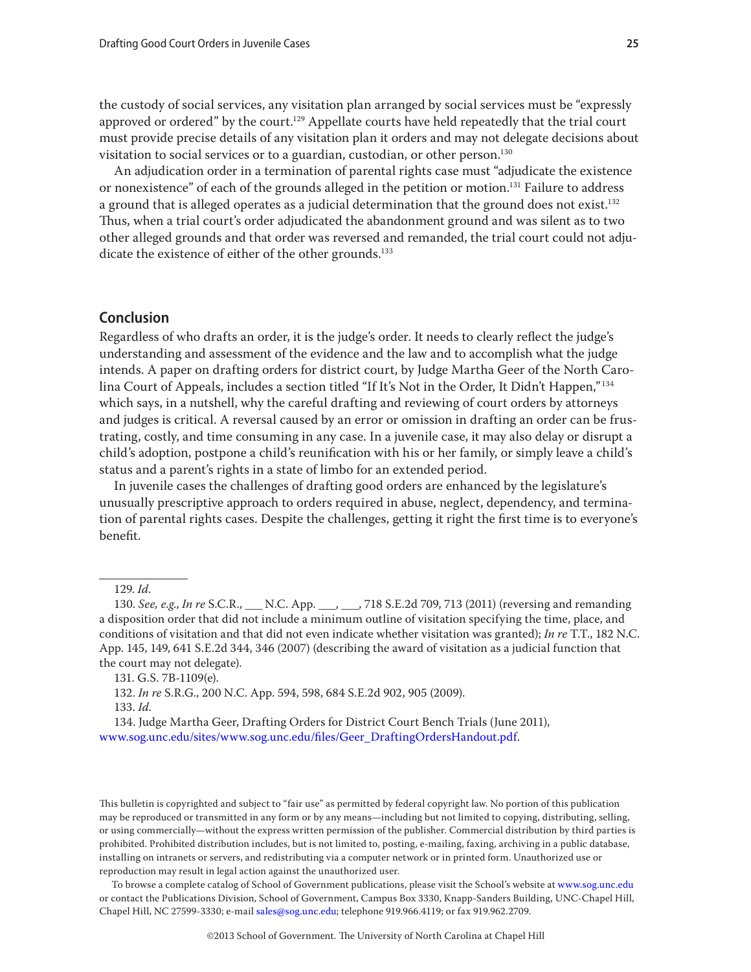<span id="page-24-0"></span>the custody of social services, any visitation plan arranged by social services must be "expressly approved or ordered" by the court.<sup>129</sup> Appellate courts have held repeatedly that the trial court must provide precise details of any visitation plan it orders and may not delegate decisions about visitation to social services or to a guardian, custodian, or other person.<sup>130</sup>

An adjudication order in a termination of parental rights case must "adjudicate the existence or nonexistence" of each of the grounds alleged in the petition or motion.<sup>131</sup> Failure to address a ground that is alleged operates as a judicial determination that the ground does not exist.<sup>132</sup> Thus, when a trial court's order adjudicated the abandonment ground and was silent as to two other alleged grounds and that order was reversed and remanded, the trial court could not adjudicate the existence of either of the other grounds.<sup>133</sup>

# **Conclusion**

Regardless of who drafts an order, it is the judge's order. It needs to clearly reflect the judge's understanding and assessment of the evidence and the law and to accomplish what the judge intends. A paper on drafting orders for district court, by Judge Martha Geer of the North Carolina Court of Appeals, includes a section titled "If It's Not in the Order, It Didn't Happen," <sup>134</sup> which says, in a nutshell, why the careful drafting and reviewing of court orders by attorneys and judges is critical. A reversal caused by an error or omission in drafting an order can be frustrating, costly, and time consuming in any case. In a juvenile case, it may also delay or disrupt a child's adoption, postpone a child's reunification with his or her family, or simply leave a child's status and a parent's rights in a state of limbo for an extended period.

In juvenile cases the challenges of drafting good orders are enhanced by the legislature's unusually prescriptive approach to orders required in abuse, neglect, dependency, and termination of parental rights cases. Despite the challenges, getting it right the first time is to everyone's benefit.

133. *Id.*

134. Judge Martha Geer, Drafting Orders for District Court Bench Trials (June 2011), [www.sog.unc.edu/sites/www.sog.unc.edu/files/Geer\\_DraftingOrdersHandout.pdf.](www.sog.unc.edu/sites/www.sog.unc.edu/files/Geer_DraftingOrdersHandout.pdf)

This bulletin is copyrighted and subject to "fair use" as permitted by federal copyright law. No portion of this publication may be reproduced or transmitted in any form or by any means—including but not limited to copying, distributing, selling, or using commercially—without the express written permission of the publisher. Commercial distribution by third parties is prohibited. Prohibited distribution includes, but is not limited to, posting, e-mailing, faxing, archiving in a public database, installing on intranets or servers, and redistributing via a computer network or in printed form. Unauthorized use or reproduction may result in legal action against the unauthorized user.

To browse a complete catalog of School of Government publications, please visit the School's website at <www.sog.unc.edu> or contact the Publications Division, School of Government, Campus Box 3330, Knapp-Sanders Building, UNC-Chapel Hill, Chapel Hill, NC 27599-3330; e-mail [sales@sog.unc.edu](mailto:sales%40sog.unc.edu?subject=); telephone 919.966.4119; or fax 919.962.2709.

<sup>129.</sup> *Id*.

<sup>130.</sup> *See, e.g*., *In re* S.C.R., \_\_\_ N.C. App. \_\_\_, \_\_\_, 718 S.E.2d 709, 713 (2011) (reversing and remanding a disposition order that did not include a minimum outline of visitation specifying the time, place, and conditions of visitation and that did not even indicate whether visitation was granted); *In re* T.T., 182 N.C. App. 145, 149, 641 S.E.2d 344, 346 (2007) (describing the award of visitation as a judicial function that the court may not delegate).

<sup>131.</sup> G.S. 7B-1109(e).

<sup>132.</sup> *In re* S.R.G., 200 N.C. App. 594, 598, 684 S.E.2d 902, 905 (2009).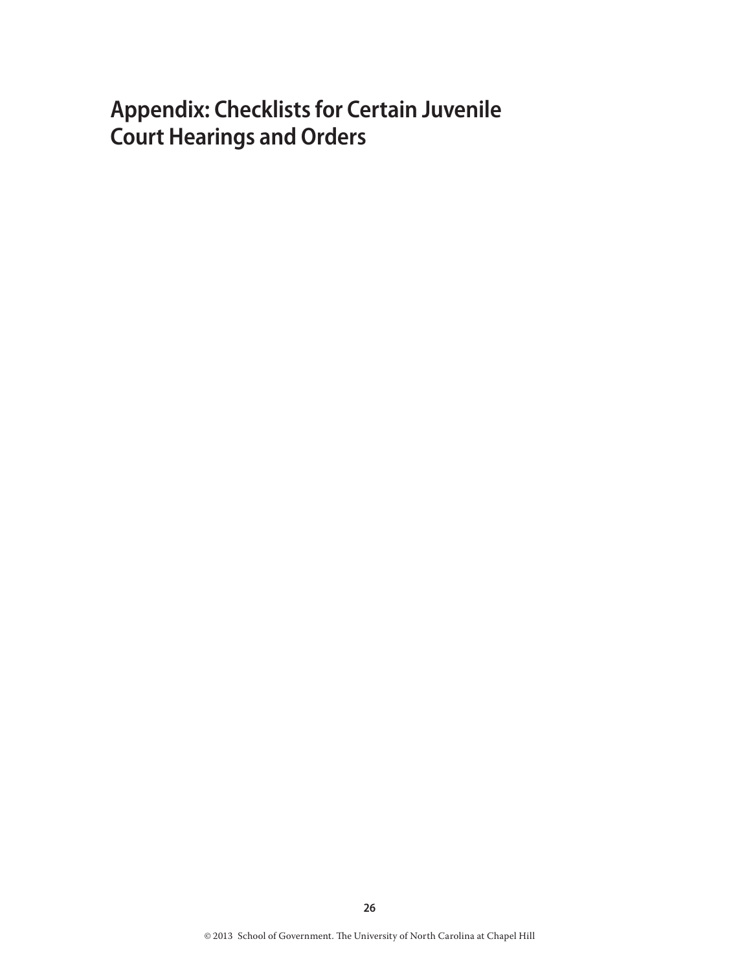# <span id="page-25-0"></span>**Appendix: Checklists for Certain Juvenile Court Hearings and Orders**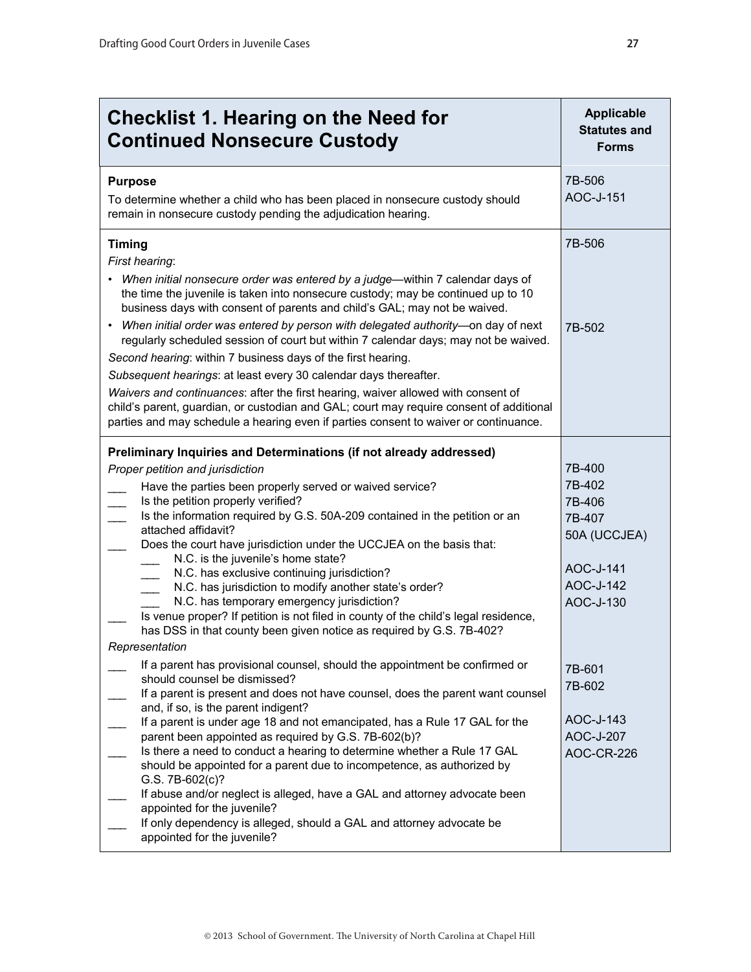<span id="page-26-0"></span>

| Checklist 1. Hearing on the Need for<br><b>Continued Nonsecure Custody</b>                                                                                                                                                                                                                                                                                                                                                                                                                                                                                                                                                                                                                                                                                                                                                                                                            | <b>Applicable</b><br><b>Statutes and</b><br><b>Forms</b>                                    |
|---------------------------------------------------------------------------------------------------------------------------------------------------------------------------------------------------------------------------------------------------------------------------------------------------------------------------------------------------------------------------------------------------------------------------------------------------------------------------------------------------------------------------------------------------------------------------------------------------------------------------------------------------------------------------------------------------------------------------------------------------------------------------------------------------------------------------------------------------------------------------------------|---------------------------------------------------------------------------------------------|
| <b>Purpose</b><br>To determine whether a child who has been placed in nonsecure custody should<br>remain in nonsecure custody pending the adjudication hearing.                                                                                                                                                                                                                                                                                                                                                                                                                                                                                                                                                                                                                                                                                                                       | 7B-506<br>AOC-J-151                                                                         |
| <b>Timing</b><br>First hearing:<br>When initial nonsecure order was entered by a judge—within 7 calendar days of<br>the time the juvenile is taken into nonsecure custody; may be continued up to 10<br>business days with consent of parents and child's GAL; may not be waived.<br>When initial order was entered by person with delegated authority—on day of next<br>$\bullet$<br>regularly scheduled session of court but within 7 calendar days; may not be waived.<br>Second hearing: within 7 business days of the first hearing.<br>Subsequent hearings: at least every 30 calendar days thereafter.<br>Waivers and continuances: after the first hearing, waiver allowed with consent of<br>child's parent, guardian, or custodian and GAL; court may require consent of additional<br>parties and may schedule a hearing even if parties consent to waiver or continuance. | 7B-506<br>7B-502                                                                            |
| Preliminary Inquiries and Determinations (if not already addressed)<br>Proper petition and jurisdiction<br>Have the parties been properly served or waived service?<br>Is the petition properly verified?<br>Is the information required by G.S. 50A-209 contained in the petition or an<br>attached affidavit?<br>Does the court have jurisdiction under the UCCJEA on the basis that:<br>N.C. is the juvenile's home state?<br>N.C. has exclusive continuing jurisdiction?<br>N.C. has jurisdiction to modify another state's order?<br>N.C. has temporary emergency jurisdiction?<br>Is venue proper? If petition is not filed in county of the child's legal residence,<br>has DSS in that county been given notice as required by G.S. 7B-402?<br>Representation                                                                                                                 | 7B-400<br>7B-402<br>7B-406<br>7B-407<br>50A (UCCJEA)<br>AOC-J-141<br>AOC-J-142<br>AOC-J-130 |
| If a parent has provisional counsel, should the appointment be confirmed or<br>should counsel be dismissed?<br>If a parent is present and does not have counsel, does the parent want counsel<br>and, if so, is the parent indigent?<br>If a parent is under age 18 and not emancipated, has a Rule 17 GAL for the<br>parent been appointed as required by G.S. 7B-602(b)?<br>Is there a need to conduct a hearing to determine whether a Rule 17 GAL<br>should be appointed for a parent due to incompetence, as authorized by<br>$G.S. 7B-602(c)?$<br>If abuse and/or neglect is alleged, have a GAL and attorney advocate been<br>appointed for the juvenile?<br>If only dependency is alleged, should a GAL and attorney advocate be<br>appointed for the juvenile?                                                                                                               | 7B-601<br>7B-602<br>AOC-J-143<br>AOC-J-207<br>AOC-CR-226                                    |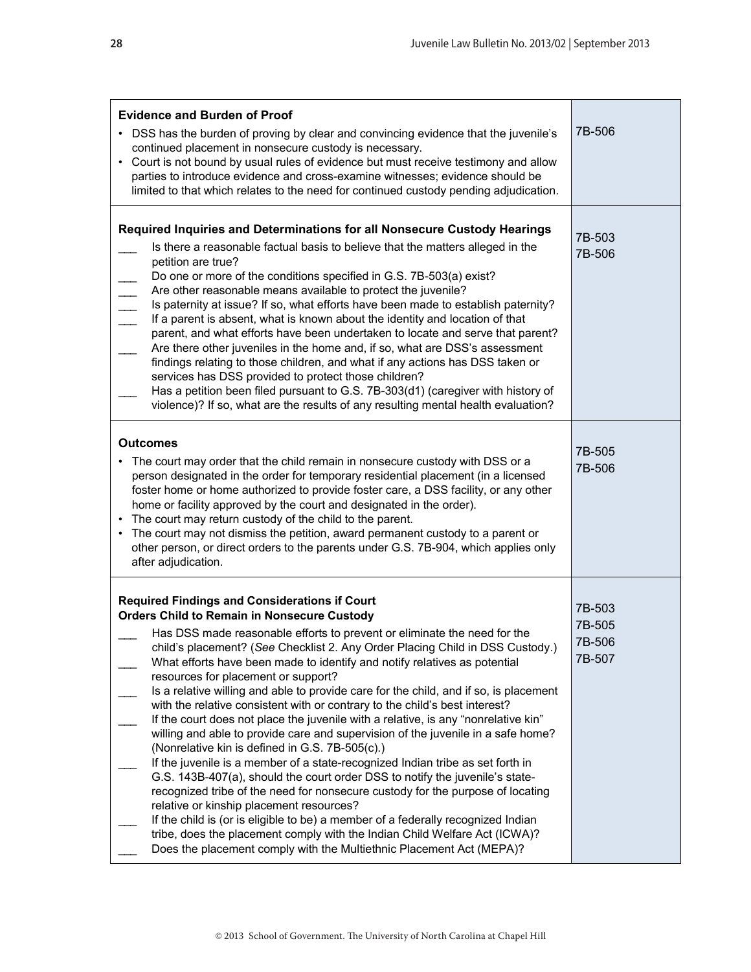| <b>Evidence and Burden of Proof</b><br>DSS has the burden of proving by clear and convincing evidence that the juvenile's<br>$\bullet$<br>continued placement in nonsecure custody is necessary.<br>Court is not bound by usual rules of evidence but must receive testimony and allow<br>$\bullet$<br>parties to introduce evidence and cross-examine witnesses; evidence should be<br>limited to that which relates to the need for continued custody pending adjudication.                                                                                                                                                                                                                                                                                                                                                                                                                                                                                                                                                                                                                                                                                                                                                                                                                                                              | 7B-506                               |
|--------------------------------------------------------------------------------------------------------------------------------------------------------------------------------------------------------------------------------------------------------------------------------------------------------------------------------------------------------------------------------------------------------------------------------------------------------------------------------------------------------------------------------------------------------------------------------------------------------------------------------------------------------------------------------------------------------------------------------------------------------------------------------------------------------------------------------------------------------------------------------------------------------------------------------------------------------------------------------------------------------------------------------------------------------------------------------------------------------------------------------------------------------------------------------------------------------------------------------------------------------------------------------------------------------------------------------------------|--------------------------------------|
| Required Inquiries and Determinations for all Nonsecure Custody Hearings<br>Is there a reasonable factual basis to believe that the matters alleged in the<br>petition are true?<br>Do one or more of the conditions specified in G.S. 7B-503(a) exist?<br>$\equiv$<br>Are other reasonable means available to protect the juvenile?<br>Is paternity at issue? If so, what efforts have been made to establish paternity?<br>If a parent is absent, what is known about the identity and location of that<br>parent, and what efforts have been undertaken to locate and serve that parent?<br>Are there other juveniles in the home and, if so, what are DSS's assessment<br>findings relating to those children, and what if any actions has DSS taken or<br>services has DSS provided to protect those children?<br>Has a petition been filed pursuant to G.S. 7B-303(d1) (caregiver with history of<br>violence)? If so, what are the results of any resulting mental health evaluation?                                                                                                                                                                                                                                                                                                                                               | 7B-503<br>7B-506                     |
| <b>Outcomes</b><br>The court may order that the child remain in nonsecure custody with DSS or a<br>person designated in the order for temporary residential placement (in a licensed<br>foster home or home authorized to provide foster care, a DSS facility, or any other<br>home or facility approved by the court and designated in the order).<br>The court may return custody of the child to the parent.<br>The court may not dismiss the petition, award permanent custody to a parent or<br>$\bullet$<br>other person, or direct orders to the parents under G.S. 7B-904, which applies only<br>after adjudication.                                                                                                                                                                                                                                                                                                                                                                                                                                                                                                                                                                                                                                                                                                               | 7B-505<br>7B-506                     |
| <b>Required Findings and Considerations if Court</b><br><b>Orders Child to Remain in Nonsecure Custody</b><br>Has DSS made reasonable efforts to prevent or eliminate the need for the<br>child's placement? (See Checklist 2. Any Order Placing Child in DSS Custody.)<br>What efforts have been made to identify and notify relatives as potential<br>resources for placement or support?<br>Is a relative willing and able to provide care for the child, and if so, is placement<br>with the relative consistent with or contrary to the child's best interest?<br>If the court does not place the juvenile with a relative, is any "nonrelative kin"<br>willing and able to provide care and supervision of the juvenile in a safe home?<br>(Nonrelative kin is defined in G.S. 7B-505(c).)<br>If the juvenile is a member of a state-recognized Indian tribe as set forth in<br>G.S. 143B-407(a), should the court order DSS to notify the juvenile's state-<br>recognized tribe of the need for nonsecure custody for the purpose of locating<br>relative or kinship placement resources?<br>If the child is (or is eligible to be) a member of a federally recognized Indian<br>tribe, does the placement comply with the Indian Child Welfare Act (ICWA)?<br>Does the placement comply with the Multiethnic Placement Act (MEPA)? | 7B-503<br>7B-505<br>7B-506<br>7B-507 |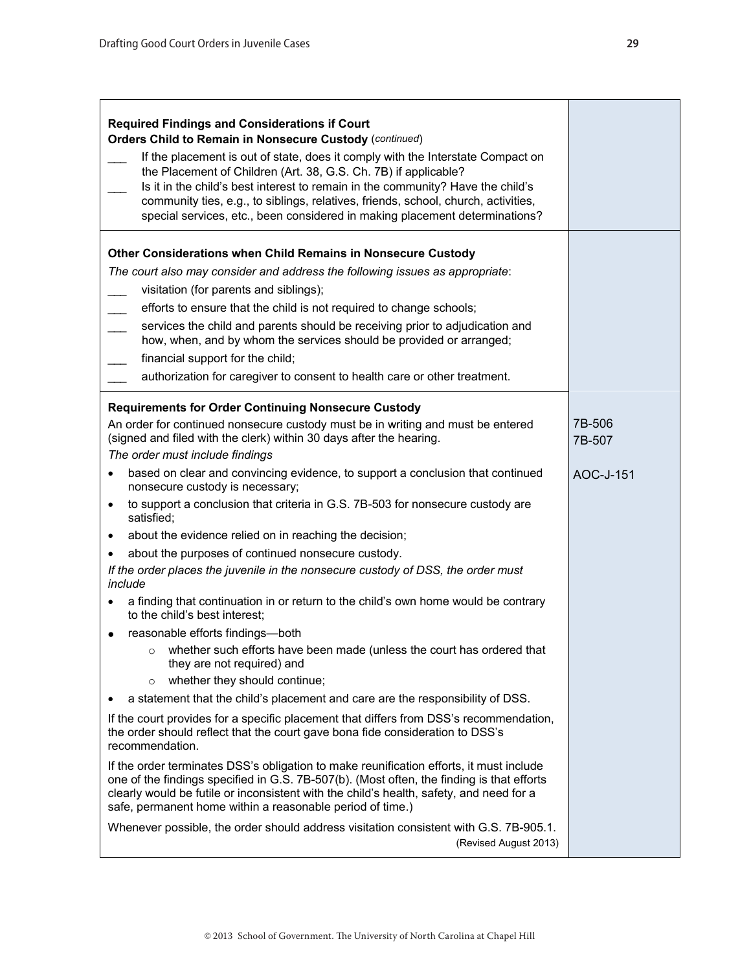| <b>Required Findings and Considerations if Court</b><br><b>Orders Child to Remain in Nonsecure Custody (continued)</b>                                                                                                                                                                                                                       |           |
|----------------------------------------------------------------------------------------------------------------------------------------------------------------------------------------------------------------------------------------------------------------------------------------------------------------------------------------------|-----------|
| If the placement is out of state, does it comply with the Interstate Compact on                                                                                                                                                                                                                                                              |           |
| the Placement of Children (Art. 38, G.S. Ch. 7B) if applicable?                                                                                                                                                                                                                                                                              |           |
| Is it in the child's best interest to remain in the community? Have the child's                                                                                                                                                                                                                                                              |           |
| community ties, e.g., to siblings, relatives, friends, school, church, activities,<br>special services, etc., been considered in making placement determinations?                                                                                                                                                                            |           |
|                                                                                                                                                                                                                                                                                                                                              |           |
| Other Considerations when Child Remains in Nonsecure Custody                                                                                                                                                                                                                                                                                 |           |
| The court also may consider and address the following issues as appropriate:                                                                                                                                                                                                                                                                 |           |
| visitation (for parents and siblings);                                                                                                                                                                                                                                                                                                       |           |
| efforts to ensure that the child is not required to change schools;                                                                                                                                                                                                                                                                          |           |
| services the child and parents should be receiving prior to adjudication and                                                                                                                                                                                                                                                                 |           |
| how, when, and by whom the services should be provided or arranged;                                                                                                                                                                                                                                                                          |           |
| financial support for the child;                                                                                                                                                                                                                                                                                                             |           |
| authorization for caregiver to consent to health care or other treatment.                                                                                                                                                                                                                                                                    |           |
| <b>Requirements for Order Continuing Nonsecure Custody</b>                                                                                                                                                                                                                                                                                   |           |
| An order for continued nonsecure custody must be in writing and must be entered                                                                                                                                                                                                                                                              | 7B-506    |
| (signed and filed with the clerk) within 30 days after the hearing.                                                                                                                                                                                                                                                                          | 7B-507    |
| The order must include findings                                                                                                                                                                                                                                                                                                              |           |
| based on clear and convincing evidence, to support a conclusion that continued<br>nonsecure custody is necessary;                                                                                                                                                                                                                            | AOC-J-151 |
| to support a conclusion that criteria in G.S. 7B-503 for nonsecure custody are<br>$\bullet$<br>satisfied;                                                                                                                                                                                                                                    |           |
| about the evidence relied on in reaching the decision;<br>$\bullet$                                                                                                                                                                                                                                                                          |           |
| about the purposes of continued nonsecure custody.                                                                                                                                                                                                                                                                                           |           |
| If the order places the juvenile in the nonsecure custody of DSS, the order must<br>include                                                                                                                                                                                                                                                  |           |
| a finding that continuation in or return to the child's own home would be contrary<br>$\bullet$<br>to the child's best interest;                                                                                                                                                                                                             |           |
| reasonable efforts findings-both<br>$\bullet$                                                                                                                                                                                                                                                                                                |           |
| whether such efforts have been made (unless the court has ordered that<br>O<br>they are not required) and                                                                                                                                                                                                                                    |           |
| whether they should continue;<br>$\circ$                                                                                                                                                                                                                                                                                                     |           |
| a statement that the child's placement and care are the responsibility of DSS.<br>٠                                                                                                                                                                                                                                                          |           |
| If the court provides for a specific placement that differs from DSS's recommendation,<br>the order should reflect that the court gave bona fide consideration to DSS's<br>recommendation.                                                                                                                                                   |           |
| If the order terminates DSS's obligation to make reunification efforts, it must include<br>one of the findings specified in G.S. 7B-507(b). (Most often, the finding is that efforts<br>clearly would be futile or inconsistent with the child's health, safety, and need for a<br>safe, permanent home within a reasonable period of time.) |           |
| Whenever possible, the order should address visitation consistent with G.S. 7B-905.1.                                                                                                                                                                                                                                                        |           |
| (Revised August 2013)                                                                                                                                                                                                                                                                                                                        |           |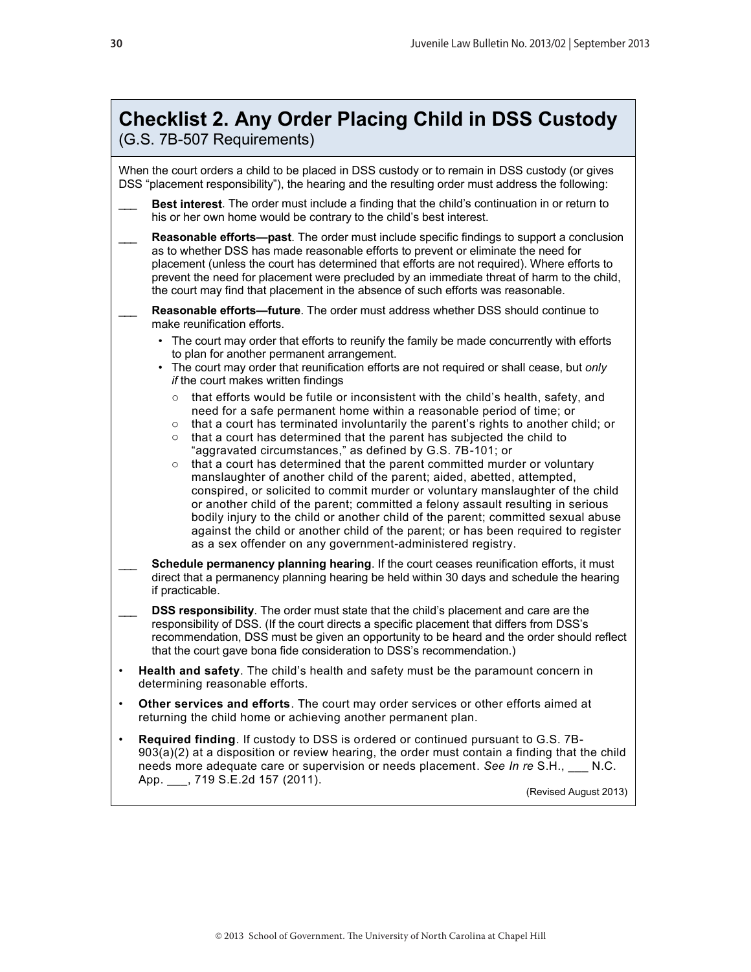# <span id="page-29-0"></span>**Checklist 2. Any Order Placing Child in DSS Custody**

(G.S. 7B-507 Requirements)

When the court orders a child to be placed in DSS custody or to remain in DSS custody (or gives DSS "placement responsibility"), the hearing and the resulting order must address the following: \_\_\_ **Best interest**. The order must include a finding that the child's continuation in or return to his or her own home would be contrary to the child's best interest. \_\_\_ **Reasonable efforts—past**. The order must include specific findings to support a conclusion as to whether DSS has made reasonable efforts to prevent or eliminate the need for placement (unless the court has determined that efforts are not required). Where efforts to prevent the need for placement were precluded by an immediate threat of harm to the child, the court may find that placement in the absence of such efforts was reasonable. \_\_\_ **Reasonable efforts—future**. The order must address whether DSS should continue to make reunification efforts. • The court may order that efforts to reunify the family be made concurrently with efforts to plan for another permanent arrangement. • The court may order that reunification efforts are not required or shall cease, but *only if* the court makes written findings  $\circ$  that efforts would be futile or inconsistent with the child's health, safety, and need for a safe permanent home within a reasonable period of time; or o that a court has terminated involuntarily the parent's rights to another child; or o that a court has determined that the parent has subjected the child to "aggravated circumstances," as defined by G.S. 7B-101; or o that a court has determined that the parent committed murder or voluntary manslaughter of another child of the parent; aided, abetted, attempted, conspired, or solicited to commit murder or voluntary manslaughter of the child or another child of the parent; committed a felony assault resulting in serious bodily injury to the child or another child of the parent; committed sexual abuse against the child or another child of the parent; or has been required to register as a sex offender on any government-administered registry. **Schedule permanency planning hearing.** If the court ceases reunification efforts, it must direct that a permanency planning hearing be held within 30 days and schedule the hearing if practicable. **DSS responsibility**. The order must state that the child's placement and care are the responsibility of DSS. (If the court directs a specific placement that differs from DSS's recommendation, DSS must be given an opportunity to be heard and the order should reflect that the court gave bona fide consideration to DSS's recommendation.) • **Health and safety**. The child's health and safety must be the paramount concern in determining reasonable efforts. • **Other services and efforts**. The court may order services or other efforts aimed at returning the child home or achieving another permanent plan. • **Required finding**. If custody to DSS is ordered or continued pursuant to G.S. 7B-903(a)(2) at a disposition or review hearing, the order must contain a finding that the child needs more adequate care or supervision or needs placement. *See In re* S.H., \_\_\_ N.C. App. , 719 S.E.2d 157 (2011).

(Revised August 2013)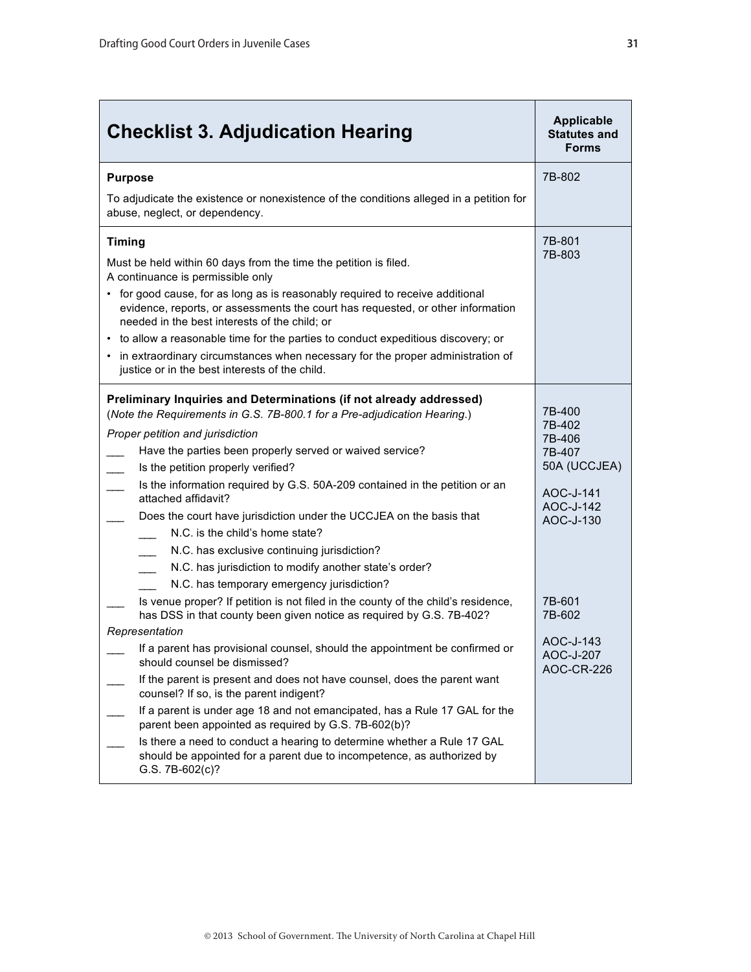<span id="page-30-0"></span>

| <b>Checklist 3. Adjudication Hearing</b>                                                                                                                                                                                                                                                                                                                                                                                                                                                                                                                                                                                                                                                                                                                                                                                  | <b>Applicable</b><br><b>Statutes and</b><br><b>Forms</b>                                                        |
|---------------------------------------------------------------------------------------------------------------------------------------------------------------------------------------------------------------------------------------------------------------------------------------------------------------------------------------------------------------------------------------------------------------------------------------------------------------------------------------------------------------------------------------------------------------------------------------------------------------------------------------------------------------------------------------------------------------------------------------------------------------------------------------------------------------------------|-----------------------------------------------------------------------------------------------------------------|
| <b>Purpose</b><br>To adjudicate the existence or nonexistence of the conditions alleged in a petition for<br>abuse, neglect, or dependency.                                                                                                                                                                                                                                                                                                                                                                                                                                                                                                                                                                                                                                                                               | 7B-802                                                                                                          |
| <b>Timing</b><br>Must be held within 60 days from the time the petition is filed.<br>A continuance is permissible only<br>• for good cause, for as long as is reasonably required to receive additional<br>evidence, reports, or assessments the court has requested, or other information<br>needed in the best interests of the child; or<br>• to allow a reasonable time for the parties to conduct expeditious discovery; or<br>• in extraordinary circumstances when necessary for the proper administration of<br>justice or in the best interests of the child.                                                                                                                                                                                                                                                    | 7B-801<br>7B-803                                                                                                |
| Preliminary Inquiries and Determinations (if not already addressed)<br>(Note the Requirements in G.S. 7B-800.1 for a Pre-adjudication Hearing.)<br>Proper petition and jurisdiction<br>Have the parties been properly served or waived service?<br>Is the petition properly verified?<br>Is the information required by G.S. 50A-209 contained in the petition or an<br>attached affidavit?<br>Does the court have jurisdiction under the UCCJEA on the basis that<br>N.C. is the child's home state?<br>N.C. has exclusive continuing jurisdiction?<br>N.C. has jurisdiction to modify another state's order?<br>N.C. has temporary emergency jurisdiction?<br>Is venue proper? If petition is not filed in the county of the child's residence,<br>has DSS in that county been given notice as required by G.S. 7B-402? | 7B-400<br>7B-402<br>7B-406<br>7B-407<br>50A (UCCJEA)<br>AOC-J-141<br>AOC-J-142<br>AOC-J-130<br>7B-601<br>7B-602 |
| Representation<br>If a parent has provisional counsel, should the appointment be confirmed or<br>should counsel be dismissed?<br>If the parent is present and does not have counsel, does the parent want<br>counsel? If so, is the parent indigent?<br>If a parent is under age 18 and not emancipated, has a Rule 17 GAL for the<br>parent been appointed as required by G.S. 7B-602(b)?<br>Is there a need to conduct a hearing to determine whether a Rule 17 GAL<br>should be appointed for a parent due to incompetence, as authorized by<br>G.S. 7B-602(c)?                                                                                                                                                                                                                                                        | AOC-J-143<br>AOC-J-207<br>AOC-CR-226                                                                            |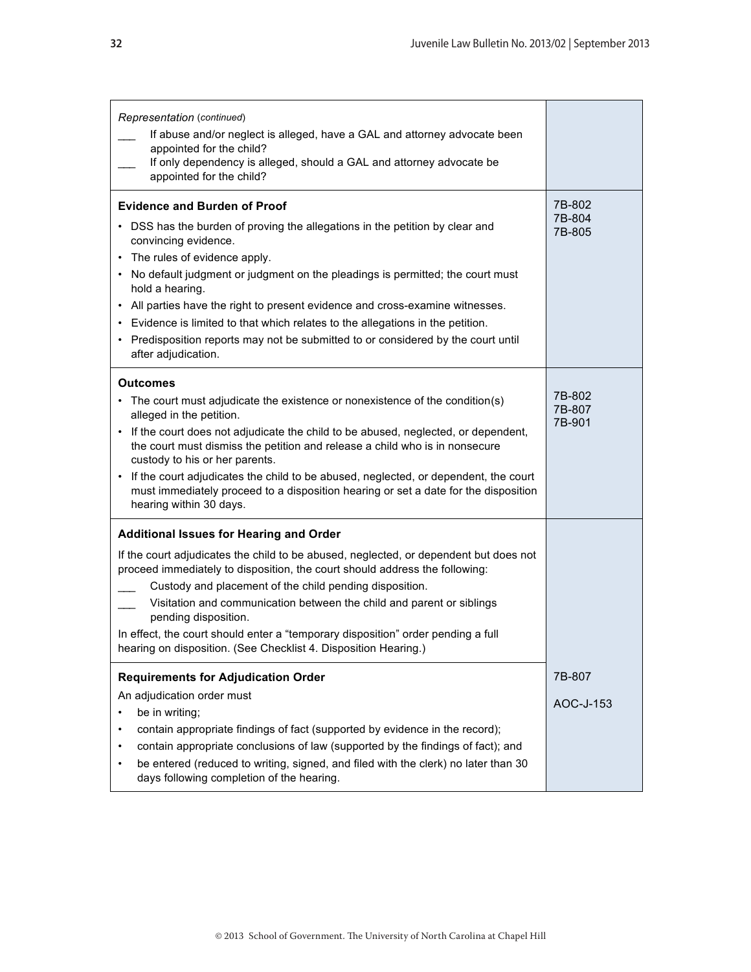| Representation (continued)<br>If abuse and/or neglect is alleged, have a GAL and attorney advocate been<br>appointed for the child?<br>If only dependency is alleged, should a GAL and attorney advocate be<br>appointed for the child?                                                                                                                                                                                                                                                                                                                              |                            |
|----------------------------------------------------------------------------------------------------------------------------------------------------------------------------------------------------------------------------------------------------------------------------------------------------------------------------------------------------------------------------------------------------------------------------------------------------------------------------------------------------------------------------------------------------------------------|----------------------------|
| <b>Evidence and Burden of Proof</b><br>DSS has the burden of proving the allegations in the petition by clear and<br>convincing evidence.<br>The rules of evidence apply.<br>$\bullet$<br>No default judgment or judgment on the pleadings is permitted; the court must<br>hold a hearing.<br>All parties have the right to present evidence and cross-examine witnesses.<br>Evidence is limited to that which relates to the allegations in the petition.<br>Predisposition reports may not be submitted to or considered by the court until<br>after adjudication. | 7B-802<br>7B-804<br>7B-805 |
| <b>Outcomes</b><br>The court must adjudicate the existence or nonexistence of the condition(s)<br>alleged in the petition.<br>If the court does not adjudicate the child to be abused, neglected, or dependent,<br>the court must dismiss the petition and release a child who is in nonsecure<br>custody to his or her parents.<br>If the court adjudicates the child to be abused, neglected, or dependent, the court<br>must immediately proceed to a disposition hearing or set a date for the disposition<br>hearing within 30 days.                            | 7B-802<br>7B-807<br>7B-901 |
| Additional Issues for Hearing and Order<br>If the court adjudicates the child to be abused, neglected, or dependent but does not<br>proceed immediately to disposition, the court should address the following:<br>Custody and placement of the child pending disposition.<br>Visitation and communication between the child and parent or siblings<br>pending disposition.<br>In effect, the court should enter a "temporary disposition" order pending a full<br>hearing on disposition. (See Checklist 4. Disposition Hearing.)                                   |                            |
| <b>Requirements for Adjudication Order</b><br>An adjudication order must<br>be in writing;<br>contain appropriate findings of fact (supported by evidence in the record);<br>$\bullet$<br>contain appropriate conclusions of law (supported by the findings of fact); and<br>$\bullet$<br>be entered (reduced to writing, signed, and filed with the clerk) no later than 30<br>days following completion of the hearing.                                                                                                                                            | 7B-807<br>AOC-J-153        |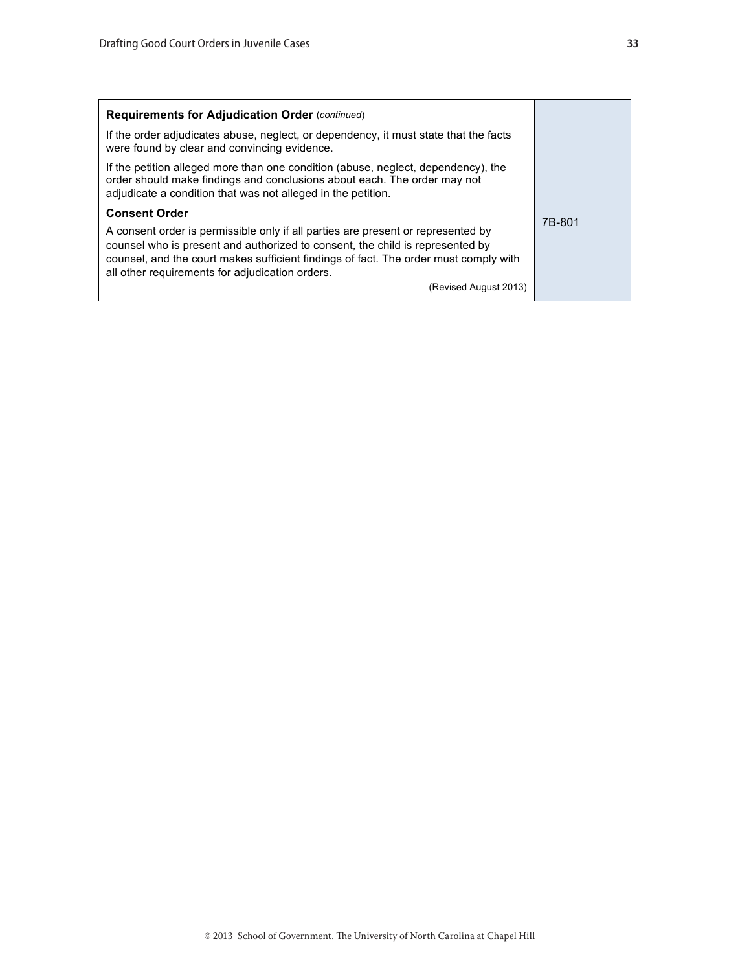| If the order adjudicates abuse, neglect, or dependency, it must state that the facts<br>were found by clear and convincing evidence.<br>If the petition alleged more than one condition (abuse, neglect, dependency), the<br>order should make findings and conclusions about each. The order may not<br>adjudicate a condition that was not alleged in the petition.<br><b>Consent Order</b><br>7B-801<br>A consent order is permissible only if all parties are present or represented by<br>counsel who is present and authorized to consent, the child is represented by<br>counsel, and the court makes sufficient findings of fact. The order must comply with | Requirements for Adjudication Order (continued) |  |
|----------------------------------------------------------------------------------------------------------------------------------------------------------------------------------------------------------------------------------------------------------------------------------------------------------------------------------------------------------------------------------------------------------------------------------------------------------------------------------------------------------------------------------------------------------------------------------------------------------------------------------------------------------------------|-------------------------------------------------|--|
|                                                                                                                                                                                                                                                                                                                                                                                                                                                                                                                                                                                                                                                                      |                                                 |  |
|                                                                                                                                                                                                                                                                                                                                                                                                                                                                                                                                                                                                                                                                      |                                                 |  |
| all other requirements for adjudication orders.<br>(Revised August 2013)                                                                                                                                                                                                                                                                                                                                                                                                                                                                                                                                                                                             |                                                 |  |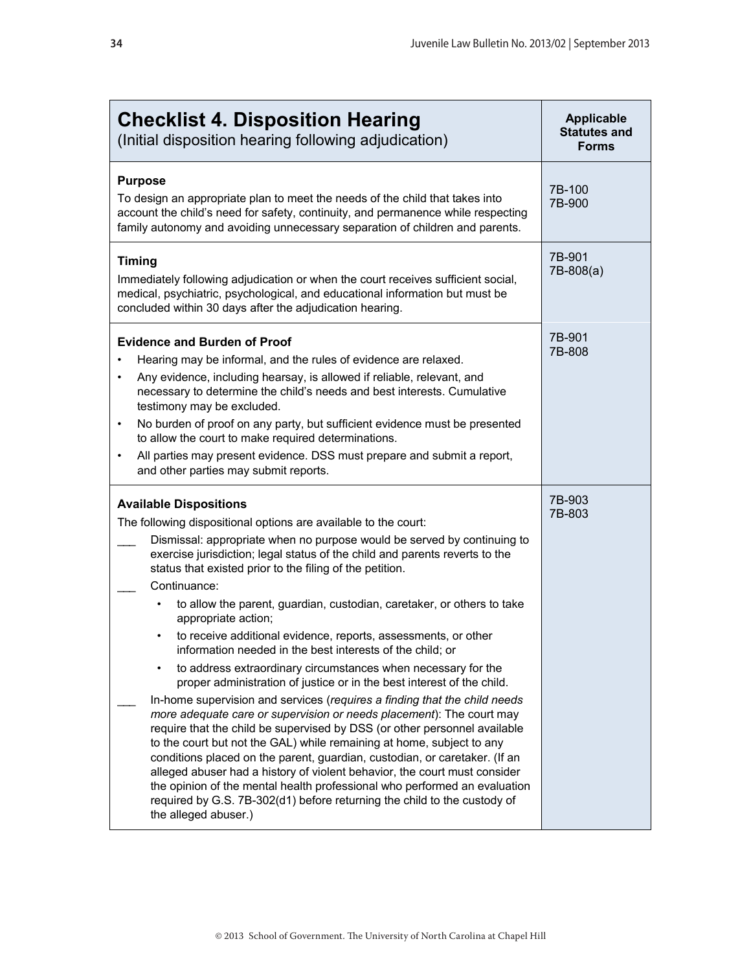<span id="page-33-0"></span>

| <b>Checklist 4. Disposition Hearing</b><br>(Initial disposition hearing following adjudication)                                                                                                                                                                                                                                                                                                                                                                                                                                                                                                                                                                                                                                                                                                                                                                                                                                                                                                                                                                                                                                                                                                                                                                                                                                                                          | <b>Applicable</b><br><b>Statutes and</b><br><b>Forms</b> |
|--------------------------------------------------------------------------------------------------------------------------------------------------------------------------------------------------------------------------------------------------------------------------------------------------------------------------------------------------------------------------------------------------------------------------------------------------------------------------------------------------------------------------------------------------------------------------------------------------------------------------------------------------------------------------------------------------------------------------------------------------------------------------------------------------------------------------------------------------------------------------------------------------------------------------------------------------------------------------------------------------------------------------------------------------------------------------------------------------------------------------------------------------------------------------------------------------------------------------------------------------------------------------------------------------------------------------------------------------------------------------|----------------------------------------------------------|
| <b>Purpose</b><br>To design an appropriate plan to meet the needs of the child that takes into<br>account the child's need for safety, continuity, and permanence while respecting<br>family autonomy and avoiding unnecessary separation of children and parents.                                                                                                                                                                                                                                                                                                                                                                                                                                                                                                                                                                                                                                                                                                                                                                                                                                                                                                                                                                                                                                                                                                       | 7B-100<br>7B-900                                         |
| <b>Timing</b><br>Immediately following adjudication or when the court receives sufficient social,<br>medical, psychiatric, psychological, and educational information but must be<br>concluded within 30 days after the adjudication hearing.                                                                                                                                                                                                                                                                                                                                                                                                                                                                                                                                                                                                                                                                                                                                                                                                                                                                                                                                                                                                                                                                                                                            | 7B-901<br>7B-808(a)                                      |
| <b>Evidence and Burden of Proof</b><br>Hearing may be informal, and the rules of evidence are relaxed.<br>Any evidence, including hearsay, is allowed if reliable, relevant, and<br>$\bullet$<br>necessary to determine the child's needs and best interests. Cumulative<br>testimony may be excluded.<br>No burden of proof on any party, but sufficient evidence must be presented<br>$\bullet$<br>to allow the court to make required determinations.<br>All parties may present evidence. DSS must prepare and submit a report,<br>$\bullet$<br>and other parties may submit reports.                                                                                                                                                                                                                                                                                                                                                                                                                                                                                                                                                                                                                                                                                                                                                                                | 7B-901<br>7B-808                                         |
| <b>Available Dispositions</b><br>The following dispositional options are available to the court:<br>Dismissal: appropriate when no purpose would be served by continuing to<br>exercise jurisdiction; legal status of the child and parents reverts to the<br>status that existed prior to the filing of the petition.<br>Continuance:<br>to allow the parent, guardian, custodian, caretaker, or others to take<br>appropriate action;<br>to receive additional evidence, reports, assessments, or other<br>information needed in the best interests of the child; or<br>to address extraordinary circumstances when necessary for the<br>proper administration of justice or in the best interest of the child.<br>In-home supervision and services (requires a finding that the child needs<br>more adequate care or supervision or needs placement): The court may<br>require that the child be supervised by DSS (or other personnel available<br>to the court but not the GAL) while remaining at home, subject to any<br>conditions placed on the parent, guardian, custodian, or caretaker. (If an<br>alleged abuser had a history of violent behavior, the court must consider<br>the opinion of the mental health professional who performed an evaluation<br>required by G.S. 7B-302(d1) before returning the child to the custody of<br>the alleged abuser.) | 7B-903<br>7B-803                                         |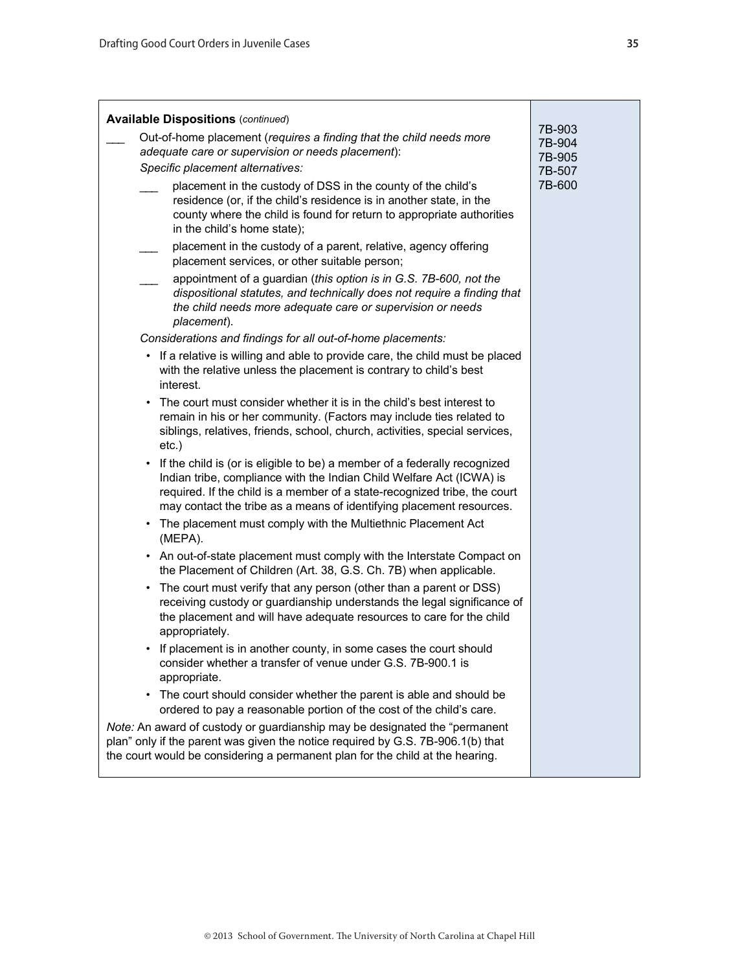| <b>Available Dispositions (continued)</b> | Out-of-home placement (requires a finding that the child needs more                                                                                                                                                                                                                                      | 7B-903           |
|-------------------------------------------|----------------------------------------------------------------------------------------------------------------------------------------------------------------------------------------------------------------------------------------------------------------------------------------------------------|------------------|
|                                           | adequate care or supervision or needs placement):                                                                                                                                                                                                                                                        | 7B-904<br>7B-905 |
| Specific placement alternatives:          |                                                                                                                                                                                                                                                                                                          | 7B-507           |
| in the child's home state);               | placement in the custody of DSS in the county of the child's<br>residence (or, if the child's residence is in another state, in the<br>county where the child is found for return to appropriate authorities                                                                                             | 7B-600           |
|                                           | placement in the custody of a parent, relative, agency offering<br>placement services, or other suitable person;                                                                                                                                                                                         |                  |
| placement).                               | appointment of a guardian (this option is in G.S. 7B-600, not the<br>dispositional statutes, and technically does not require a finding that<br>the child needs more adequate care or supervision or needs                                                                                               |                  |
|                                           | Considerations and findings for all out-of-home placements:                                                                                                                                                                                                                                              |                  |
| $\bullet$<br>interest.                    | If a relative is willing and able to provide care, the child must be placed<br>with the relative unless the placement is contrary to child's best                                                                                                                                                        |                  |
| $etc.$ )                                  | The court must consider whether it is in the child's best interest to<br>remain in his or her community. (Factors may include ties related to<br>siblings, relatives, friends, school, church, activities, special services,                                                                             |                  |
|                                           | • If the child is (or is eligible to be) a member of a federally recognized<br>Indian tribe, compliance with the Indian Child Welfare Act (ICWA) is<br>required. If the child is a member of a state-recognized tribe, the court<br>may contact the tribe as a means of identifying placement resources. |                  |
| (MEPA).                                   | • The placement must comply with the Multiethnic Placement Act                                                                                                                                                                                                                                           |                  |
| $\bullet$                                 | An out-of-state placement must comply with the Interstate Compact on<br>the Placement of Children (Art. 38, G.S. Ch. 7B) when applicable.                                                                                                                                                                |                  |
| $\bullet$<br>appropriately.               | The court must verify that any person (other than a parent or DSS)<br>receiving custody or guardianship understands the legal significance of<br>the placement and will have adequate resources to care for the child                                                                                    |                  |
| appropriate.                              | If placement is in another county, in some cases the court should<br>consider whether a transfer of venue under G.S. 7B-900.1 is                                                                                                                                                                         |                  |
|                                           | The court should consider whether the parent is able and should be<br>ordered to pay a reasonable portion of the cost of the child's care.                                                                                                                                                               |                  |
|                                           | Note: An award of custody or guardianship may be designated the "permanent<br>plan" only if the parent was given the notice required by G.S. 7B-906.1(b) that<br>the court would be considering a permanent plan for the child at the hearing.                                                           |                  |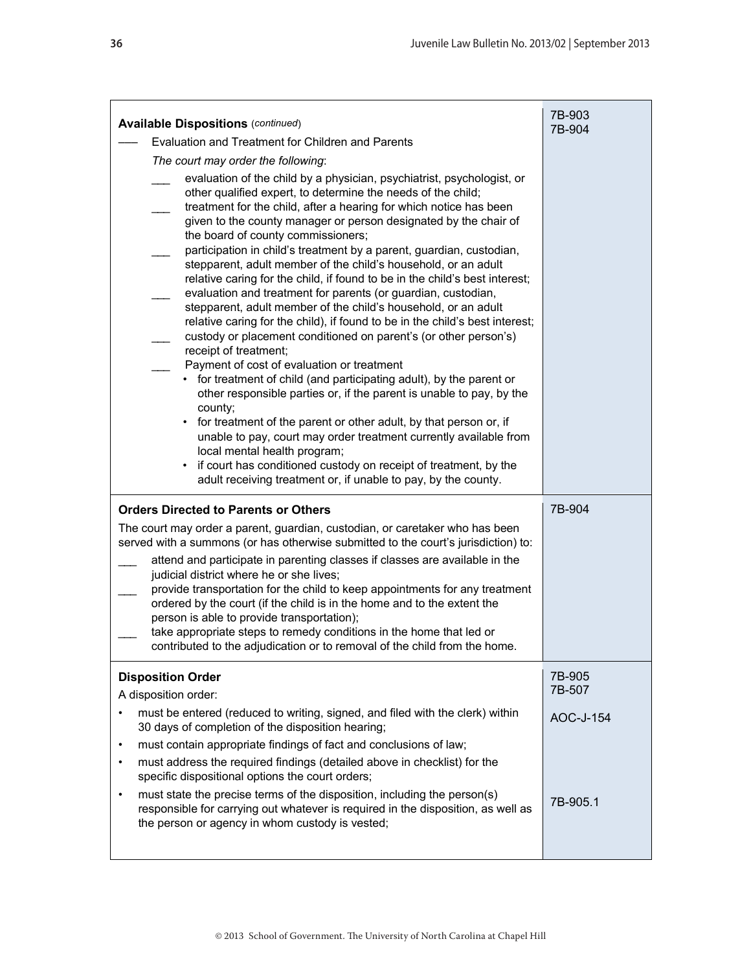| <b>Available Dispositions (continued)</b><br>Evaluation and Treatment for Children and Parents<br>The court may order the following:<br>evaluation of the child by a physician, psychiatrist, psychologist, or<br>other qualified expert, to determine the needs of the child;<br>treatment for the child, after a hearing for which notice has been<br>given to the county manager or person designated by the chair of<br>the board of county commissioners;<br>participation in child's treatment by a parent, guardian, custodian,<br>stepparent, adult member of the child's household, or an adult<br>relative caring for the child, if found to be in the child's best interest;<br>evaluation and treatment for parents (or guardian, custodian,<br>stepparent, adult member of the child's household, or an adult<br>relative caring for the child), if found to be in the child's best interest;<br>custody or placement conditioned on parent's (or other person's)<br>receipt of treatment;<br>Payment of cost of evaluation or treatment<br>• for treatment of child (and participating adult), by the parent or<br>other responsible parties or, if the parent is unable to pay, by the<br>county;<br>• for treatment of the parent or other adult, by that person or, if<br>unable to pay, court may order treatment currently available from<br>local mental health program;<br>• if court has conditioned custody on receipt of treatment, by the<br>adult receiving treatment or, if unable to pay, by the county. | 7B-903<br>7B-904                          |
|--------------------------------------------------------------------------------------------------------------------------------------------------------------------------------------------------------------------------------------------------------------------------------------------------------------------------------------------------------------------------------------------------------------------------------------------------------------------------------------------------------------------------------------------------------------------------------------------------------------------------------------------------------------------------------------------------------------------------------------------------------------------------------------------------------------------------------------------------------------------------------------------------------------------------------------------------------------------------------------------------------------------------------------------------------------------------------------------------------------------------------------------------------------------------------------------------------------------------------------------------------------------------------------------------------------------------------------------------------------------------------------------------------------------------------------------------------------------------------------------------------------------------------------|-------------------------------------------|
| <b>Orders Directed to Parents or Others</b><br>The court may order a parent, guardian, custodian, or caretaker who has been<br>served with a summons (or has otherwise submitted to the court's jurisdiction) to:<br>attend and participate in parenting classes if classes are available in the<br>judicial district where he or she lives;<br>provide transportation for the child to keep appointments for any treatment<br>ordered by the court (if the child is in the home and to the extent the<br>person is able to provide transportation);<br>take appropriate steps to remedy conditions in the home that led or<br>contributed to the adjudication or to removal of the child from the home.                                                                                                                                                                                                                                                                                                                                                                                                                                                                                                                                                                                                                                                                                                                                                                                                                             | 7B-904                                    |
| <b>Disposition Order</b><br>A disposition order:<br>must be entered (reduced to writing, signed, and filed with the clerk) within<br>30 days of completion of the disposition hearing;<br>must contain appropriate findings of fact and conclusions of law;<br>٠<br>must address the required findings (detailed above in checklist) for the<br>$\bullet$<br>specific dispositional options the court orders;<br>must state the precise terms of the disposition, including the person(s)<br>$\bullet$<br>responsible for carrying out whatever is required in the disposition, as well as<br>the person or agency in whom custody is vested;                                                                                                                                                                                                                                                                                                                                                                                                                                                                                                                                                                                                                                                                                                                                                                                                                                                                                        | 7B-905<br>7B-507<br>AOC-J-154<br>7B-905.1 |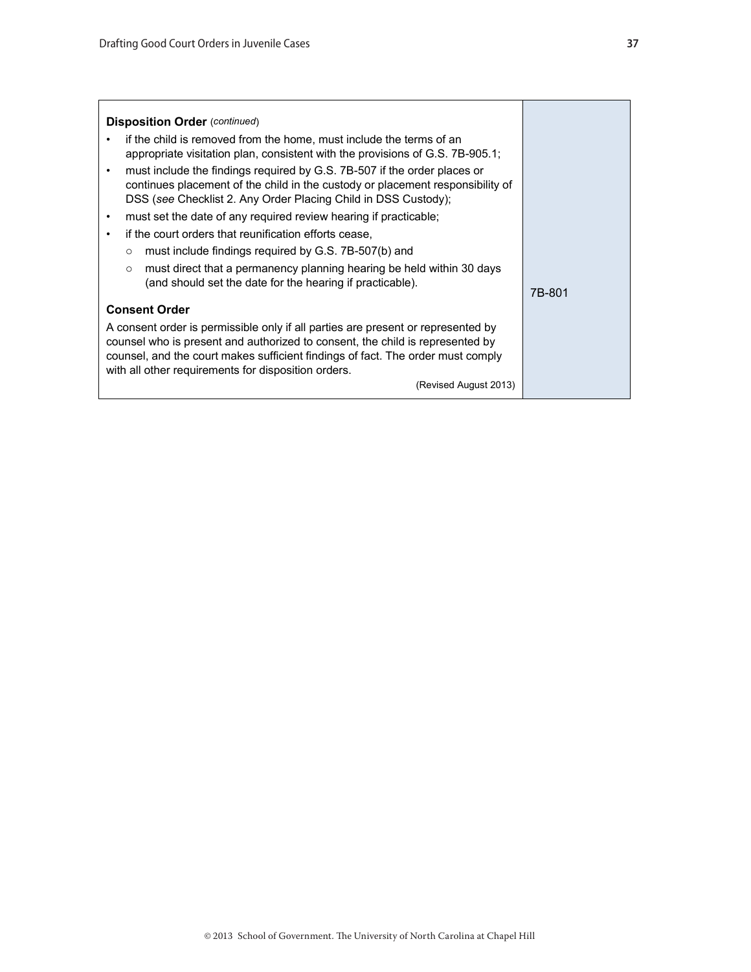| <b>Disposition Order (continued)</b>                                                                                                                                                                                                                                                                        |        |
|-------------------------------------------------------------------------------------------------------------------------------------------------------------------------------------------------------------------------------------------------------------------------------------------------------------|--------|
| if the child is removed from the home, must include the terms of an<br>appropriate visitation plan, consistent with the provisions of G.S. 7B-905.1;                                                                                                                                                        |        |
| must include the findings required by G.S. 7B-507 if the order places or<br>$\bullet$<br>continues placement of the child in the custody or placement responsibility of<br>DSS (see Checklist 2. Any Order Placing Child in DSS Custody);                                                                   |        |
| must set the date of any required review hearing if practicable;                                                                                                                                                                                                                                            |        |
| if the court orders that reunification efforts cease.<br>$\bullet$                                                                                                                                                                                                                                          |        |
| must include findings required by G.S. 7B-507(b) and<br>$\circ$                                                                                                                                                                                                                                             |        |
| must direct that a permanency planning hearing be held within 30 days<br>$\circ$<br>(and should set the date for the hearing if practicable).                                                                                                                                                               | 7B-801 |
| <b>Consent Order</b>                                                                                                                                                                                                                                                                                        |        |
| A consent order is permissible only if all parties are present or represented by<br>counsel who is present and authorized to consent, the child is represented by<br>counsel, and the court makes sufficient findings of fact. The order must comply<br>with all other requirements for disposition orders. |        |
| (Revised August 2013)                                                                                                                                                                                                                                                                                       |        |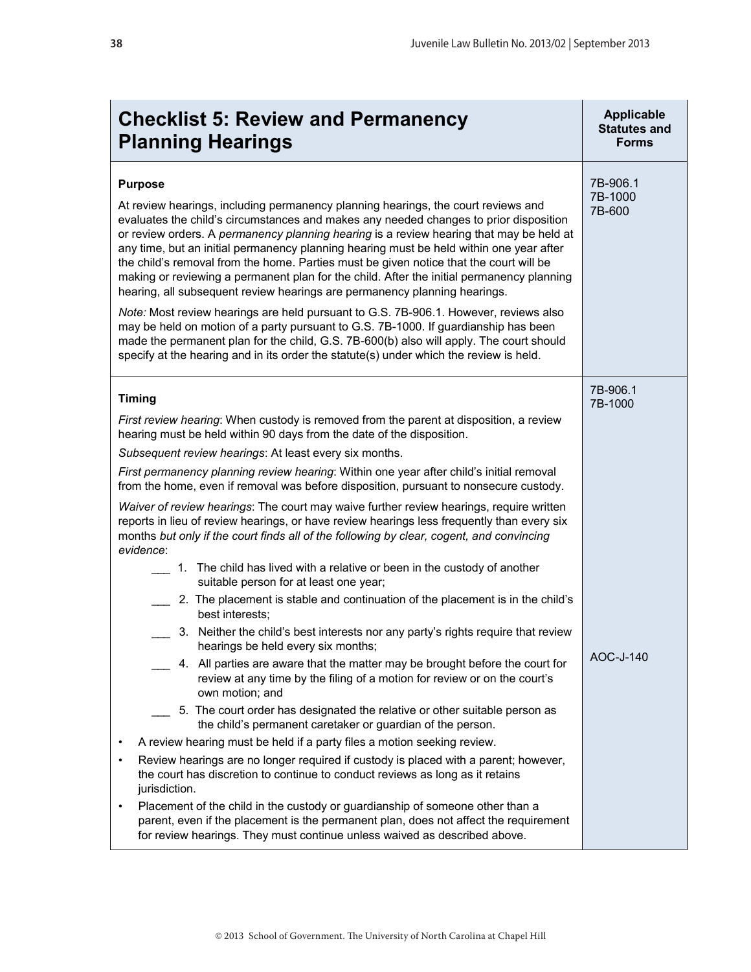<span id="page-37-0"></span>

| <b>Checklist 5: Review and Permanency</b><br><b>Planning Hearings</b>                                                                                                                                                                                                                                                                                                                                                                                                                                                                                                                                                                                                                                                                                                                                                                                                                                                                                                                                                                                                                                                                                                                                                                                                                                                                               | <b>Applicable</b><br><b>Statutes and</b><br><b>Forms</b> |
|-----------------------------------------------------------------------------------------------------------------------------------------------------------------------------------------------------------------------------------------------------------------------------------------------------------------------------------------------------------------------------------------------------------------------------------------------------------------------------------------------------------------------------------------------------------------------------------------------------------------------------------------------------------------------------------------------------------------------------------------------------------------------------------------------------------------------------------------------------------------------------------------------------------------------------------------------------------------------------------------------------------------------------------------------------------------------------------------------------------------------------------------------------------------------------------------------------------------------------------------------------------------------------------------------------------------------------------------------------|----------------------------------------------------------|
| <b>Purpose</b><br>At review hearings, including permanency planning hearings, the court reviews and<br>evaluates the child's circumstances and makes any needed changes to prior disposition<br>or review orders. A permanency planning hearing is a review hearing that may be held at<br>any time, but an initial permanency planning hearing must be held within one year after<br>the child's removal from the home. Parties must be given notice that the court will be<br>making or reviewing a permanent plan for the child. After the initial permanency planning<br>hearing, all subsequent review hearings are permanency planning hearings.<br>Note: Most review hearings are held pursuant to G.S. 7B-906.1. However, reviews also<br>may be held on motion of a party pursuant to G.S. 7B-1000. If guardianship has been<br>made the permanent plan for the child, G.S. 7B-600(b) also will apply. The court should<br>specify at the hearing and in its order the statute(s) under which the review is held.                                                                                                                                                                                                                                                                                                                          | 7B-906.1<br>7B-1000<br>7B-600                            |
| <b>Timing</b><br>First review hearing: When custody is removed from the parent at disposition, a review<br>hearing must be held within 90 days from the date of the disposition.<br>Subsequent review hearings: At least every six months.<br>First permanency planning review hearing: Within one year after child's initial removal<br>from the home, even if removal was before disposition, pursuant to nonsecure custody.<br>Waiver of review hearings: The court may waive further review hearings, require written<br>reports in lieu of review hearings, or have review hearings less frequently than every six<br>months but only if the court finds all of the following by clear, cogent, and convincing<br>evidence:<br>1. The child has lived with a relative or been in the custody of another<br>suitable person for at least one year;<br>2. The placement is stable and continuation of the placement is in the child's<br>best interests;<br>3. Neither the child's best interests nor any party's rights require that review<br>hearings be held every six months;<br>4. All parties are aware that the matter may be brought before the court for<br>review at any time by the filing of a motion for review or on the court's<br>own motion; and<br>5. The court order has designated the relative or other suitable person as | 7B-906.1<br>7B-1000<br>AOC-J-140                         |
| the child's permanent caretaker or guardian of the person.<br>A review hearing must be held if a party files a motion seeking review.<br>$\bullet$<br>Review hearings are no longer required if custody is placed with a parent; however,<br>$\bullet$<br>the court has discretion to continue to conduct reviews as long as it retains<br>jurisdiction.<br>Placement of the child in the custody or guardianship of someone other than a<br>parent, even if the placement is the permanent plan, does not affect the requirement<br>for review hearings. They must continue unless waived as described above.                                                                                                                                                                                                                                                                                                                                                                                                                                                                                                                                                                                                                                                                                                                                      |                                                          |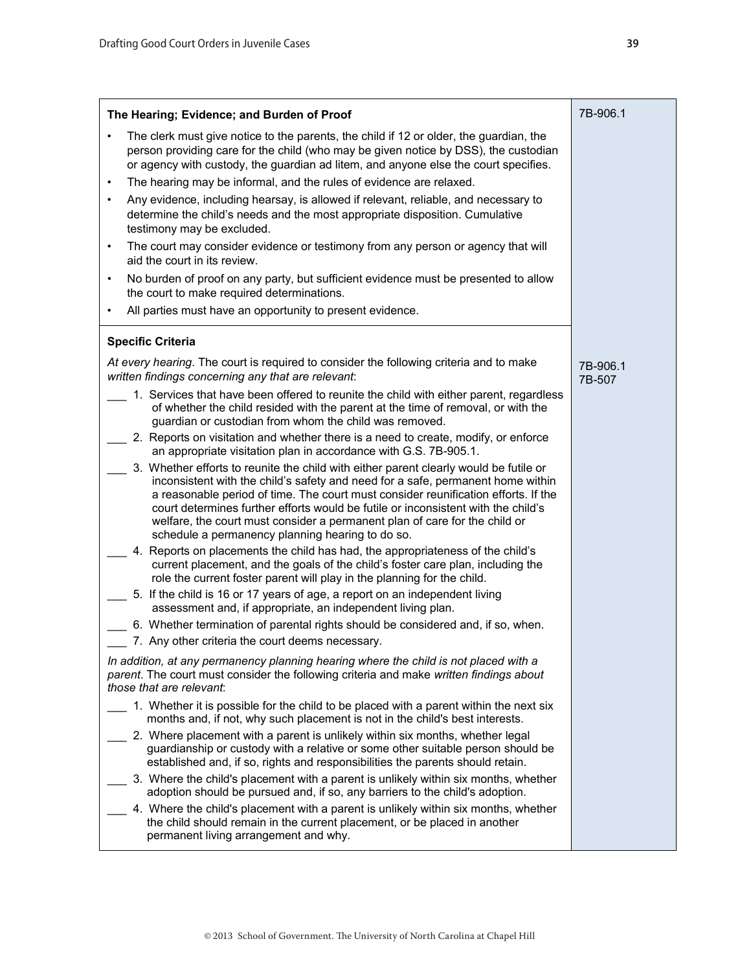| The Hearing; Evidence; and Burden of Proof                                                                                                                                                                                                                                                                                                                                                                                                                                            | 7B-906.1           |
|---------------------------------------------------------------------------------------------------------------------------------------------------------------------------------------------------------------------------------------------------------------------------------------------------------------------------------------------------------------------------------------------------------------------------------------------------------------------------------------|--------------------|
| The clerk must give notice to the parents, the child if 12 or older, the guardian, the<br>person providing care for the child (who may be given notice by DSS), the custodian<br>or agency with custody, the guardian ad litem, and anyone else the court specifies.                                                                                                                                                                                                                  |                    |
| The hearing may be informal, and the rules of evidence are relaxed.<br>$\bullet$                                                                                                                                                                                                                                                                                                                                                                                                      |                    |
| Any evidence, including hearsay, is allowed if relevant, reliable, and necessary to<br>determine the child's needs and the most appropriate disposition. Cumulative<br>testimony may be excluded.                                                                                                                                                                                                                                                                                     |                    |
| The court may consider evidence or testimony from any person or agency that will<br>$\bullet$<br>aid the court in its review.                                                                                                                                                                                                                                                                                                                                                         |                    |
| No burden of proof on any party, but sufficient evidence must be presented to allow<br>$\bullet$<br>the court to make required determinations.                                                                                                                                                                                                                                                                                                                                        |                    |
| All parties must have an opportunity to present evidence.                                                                                                                                                                                                                                                                                                                                                                                                                             |                    |
| <b>Specific Criteria</b>                                                                                                                                                                                                                                                                                                                                                                                                                                                              |                    |
| At every hearing. The court is required to consider the following criteria and to make<br>written findings concerning any that are relevant:                                                                                                                                                                                                                                                                                                                                          | 7B-906.1<br>7B-507 |
| 1. Services that have been offered to reunite the child with either parent, regardless<br>of whether the child resided with the parent at the time of removal, or with the<br>guardian or custodian from whom the child was removed.                                                                                                                                                                                                                                                  |                    |
| 2. Reports on visitation and whether there is a need to create, modify, or enforce<br>an appropriate visitation plan in accordance with G.S. 7B-905.1.                                                                                                                                                                                                                                                                                                                                |                    |
| 3. Whether efforts to reunite the child with either parent clearly would be futile or<br>inconsistent with the child's safety and need for a safe, permanent home within<br>a reasonable period of time. The court must consider reunification efforts. If the<br>court determines further efforts would be futile or inconsistent with the child's<br>welfare, the court must consider a permanent plan of care for the child or<br>schedule a permanency planning hearing to do so. |                    |
| 4. Reports on placements the child has had, the appropriateness of the child's<br>current placement, and the goals of the child's foster care plan, including the<br>role the current foster parent will play in the planning for the child.                                                                                                                                                                                                                                          |                    |
| 5. If the child is 16 or 17 years of age, a report on an independent living<br>assessment and, if appropriate, an independent living plan.                                                                                                                                                                                                                                                                                                                                            |                    |
| 6. Whether termination of parental rights should be considered and, if so, when.                                                                                                                                                                                                                                                                                                                                                                                                      |                    |
| 7. Any other criteria the court deems necessary.                                                                                                                                                                                                                                                                                                                                                                                                                                      |                    |
| In addition, at any permanency planning hearing where the child is not placed with a<br>parent. The court must consider the following criteria and make written findings about<br>those that are relevant:                                                                                                                                                                                                                                                                            |                    |
| 1. Whether it is possible for the child to be placed with a parent within the next six<br>months and, if not, why such placement is not in the child's best interests.                                                                                                                                                                                                                                                                                                                |                    |
| 2. Where placement with a parent is unlikely within six months, whether legal<br>guardianship or custody with a relative or some other suitable person should be<br>established and, if so, rights and responsibilities the parents should retain.                                                                                                                                                                                                                                    |                    |
| 3. Where the child's placement with a parent is unlikely within six months, whether<br>adoption should be pursued and, if so, any barriers to the child's adoption.                                                                                                                                                                                                                                                                                                                   |                    |
| 4. Where the child's placement with a parent is unlikely within six months, whether<br>the child should remain in the current placement, or be placed in another<br>permanent living arrangement and why.                                                                                                                                                                                                                                                                             |                    |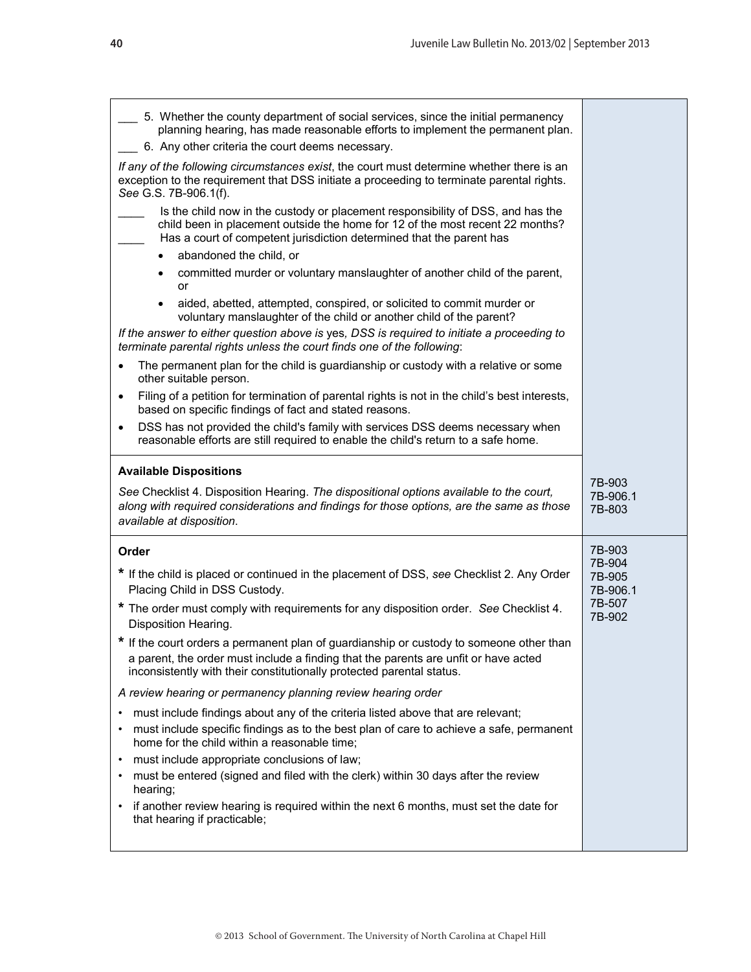$\overline{\phantom{a}}$ 

| 5. Whether the county department of social services, since the initial permanency<br>planning hearing, has made reasonable efforts to implement the permanent plan.                                                                                                 |                              |
|---------------------------------------------------------------------------------------------------------------------------------------------------------------------------------------------------------------------------------------------------------------------|------------------------------|
| 6. Any other criteria the court deems necessary.                                                                                                                                                                                                                    |                              |
| If any of the following circumstances exist, the court must determine whether there is an<br>exception to the requirement that DSS initiate a proceeding to terminate parental rights.<br>See G.S. 7B-906.1(f).                                                     |                              |
| Is the child now in the custody or placement responsibility of DSS, and has the<br>child been in placement outside the home for 12 of the most recent 22 months?<br>Has a court of competent jurisdiction determined that the parent has<br>abandoned the child, or |                              |
| $\bullet$<br>committed murder or voluntary manslaughter of another child of the parent,<br>or                                                                                                                                                                       |                              |
| aided, abetted, attempted, conspired, or solicited to commit murder or<br>$\bullet$<br>voluntary manslaughter of the child or another child of the parent?                                                                                                          |                              |
| If the answer to either question above is yes, DSS is required to initiate a proceeding to<br>terminate parental rights unless the court finds one of the following:                                                                                                |                              |
| The permanent plan for the child is guardianship or custody with a relative or some<br>$\bullet$<br>other suitable person.                                                                                                                                          |                              |
| Filing of a petition for termination of parental rights is not in the child's best interests,<br>$\bullet$<br>based on specific findings of fact and stated reasons.                                                                                                |                              |
| DSS has not provided the child's family with services DSS deems necessary when<br>$\bullet$<br>reasonable efforts are still required to enable the child's return to a safe home.                                                                                   |                              |
| <b>Available Dispositions</b>                                                                                                                                                                                                                                       |                              |
| See Checklist 4. Disposition Hearing. The dispositional options available to the court,<br>along with required considerations and findings for those options, are the same as those<br>available at disposition.                                                    | 7B-903<br>7B-906.1<br>7B-803 |
| Order                                                                                                                                                                                                                                                               | 7B-903                       |
| * If the child is placed or continued in the placement of DSS, see Checklist 2. Any Order<br>Placing Child in DSS Custody.                                                                                                                                          | 7B-904<br>7B-905<br>7B-906.1 |
| * The order must comply with requirements for any disposition order. See Checklist 4.<br>Disposition Hearing.                                                                                                                                                       | 7B-507<br>7B-902             |
| * If the court orders a permanent plan of guardianship or custody to someone other than                                                                                                                                                                             |                              |
| a parent, the order must include a finding that the parents are unfit or have acted<br>inconsistently with their constitutionally protected parental status.                                                                                                        |                              |
| A review hearing or permanency planning review hearing order                                                                                                                                                                                                        |                              |
| must include findings about any of the criteria listed above that are relevant;                                                                                                                                                                                     |                              |
| must include specific findings as to the best plan of care to achieve a safe, permanent<br>home for the child within a reasonable time;                                                                                                                             |                              |
| must include appropriate conclusions of law;                                                                                                                                                                                                                        |                              |
| must be entered (signed and filed with the clerk) within 30 days after the review<br>hearing;                                                                                                                                                                       |                              |
| if another review hearing is required within the next 6 months, must set the date for<br>$\bullet$<br>that hearing if practicable;                                                                                                                                  |                              |

 $\mathsf{r}$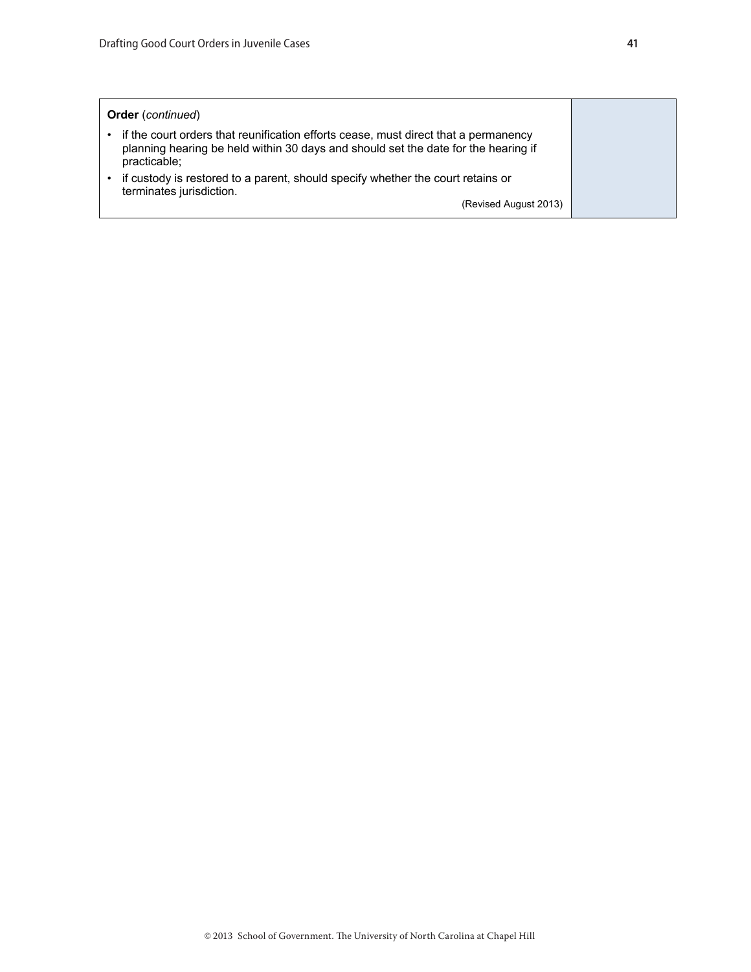# **Order** (*continued*)

- if the court orders that reunification efforts cease, must direct that a permanency planning hearing be held within 30 days and should set the date for the hearing if practicable;
- if custody is restored to a parent, should specify whether the court retains or terminates jurisdiction.

(Revised August 2013)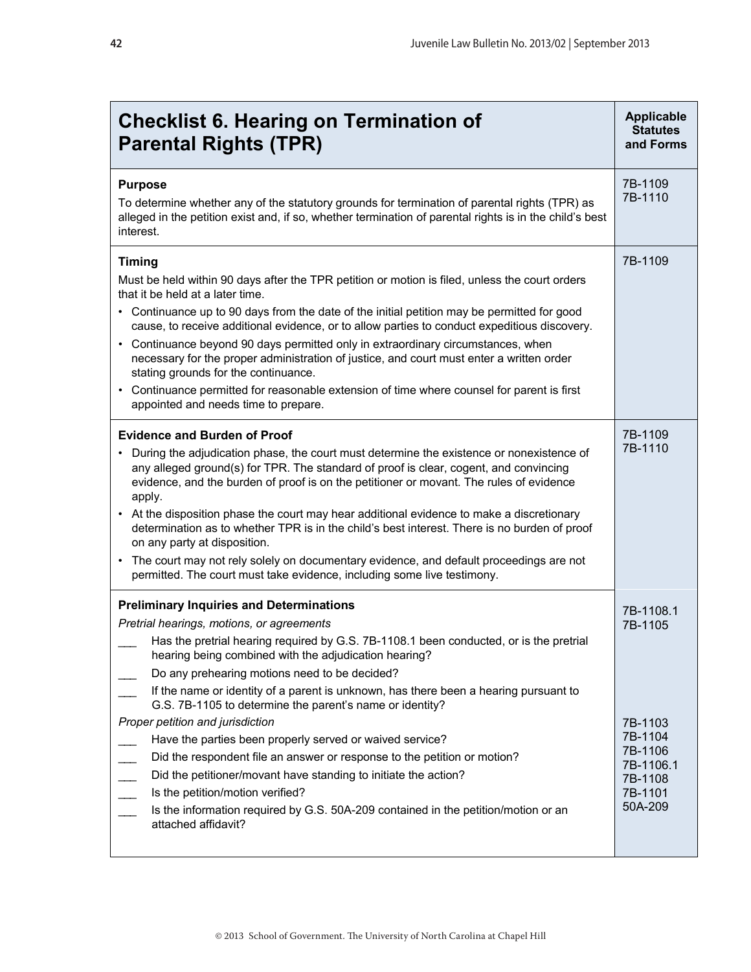<span id="page-41-0"></span>

| <b>Checklist 6. Hearing on Termination of</b><br><b>Parental Rights (TPR)</b>                                                                                                                                                                                                                                                                                                                                                                                                                                                                                                                                                                                                                                                                                                                                                                                                    | <b>Applicable</b><br><b>Statutes</b><br>and Forms                                                   |
|----------------------------------------------------------------------------------------------------------------------------------------------------------------------------------------------------------------------------------------------------------------------------------------------------------------------------------------------------------------------------------------------------------------------------------------------------------------------------------------------------------------------------------------------------------------------------------------------------------------------------------------------------------------------------------------------------------------------------------------------------------------------------------------------------------------------------------------------------------------------------------|-----------------------------------------------------------------------------------------------------|
| <b>Purpose</b><br>To determine whether any of the statutory grounds for termination of parental rights (TPR) as<br>alleged in the petition exist and, if so, whether termination of parental rights is in the child's best<br>interest.                                                                                                                                                                                                                                                                                                                                                                                                                                                                                                                                                                                                                                          | 7B-1109<br>7B-1110                                                                                  |
| <b>Timing</b><br>Must be held within 90 days after the TPR petition or motion is filed, unless the court orders<br>that it be held at a later time.<br>• Continuance up to 90 days from the date of the initial petition may be permitted for good<br>cause, to receive additional evidence, or to allow parties to conduct expeditious discovery.<br>• Continuance beyond 90 days permitted only in extraordinary circumstances, when<br>necessary for the proper administration of justice, and court must enter a written order<br>stating grounds for the continuance.<br>Continuance permitted for reasonable extension of time where counsel for parent is first<br>appointed and needs time to prepare.                                                                                                                                                                   | 7B-1109                                                                                             |
| <b>Evidence and Burden of Proof</b><br>During the adjudication phase, the court must determine the existence or nonexistence of<br>any alleged ground(s) for TPR. The standard of proof is clear, cogent, and convincing<br>evidence, and the burden of proof is on the petitioner or movant. The rules of evidence<br>apply.<br>• At the disposition phase the court may hear additional evidence to make a discretionary<br>determination as to whether TPR is in the child's best interest. There is no burden of proof<br>on any party at disposition.<br>The court may not rely solely on documentary evidence, and default proceedings are not<br>permitted. The court must take evidence, including some live testimony.                                                                                                                                                  | 7B-1109<br>7B-1110                                                                                  |
| <b>Preliminary Inquiries and Determinations</b><br>Pretrial hearings, motions, or agreements<br>Has the pretrial hearing required by G.S. 7B-1108.1 been conducted, or is the pretrial<br>hearing being combined with the adjudication hearing?<br>Do any prehearing motions need to be decided?<br>If the name or identity of a parent is unknown, has there been a hearing pursuant to<br>G.S. 7B-1105 to determine the parent's name or identity?<br>Proper petition and jurisdiction<br>Have the parties been properly served or waived service?<br>Did the respondent file an answer or response to the petition or motion?<br>Did the petitioner/movant have standing to initiate the action?<br>$\overline{\phantom{a}}$<br>Is the petition/motion verified?<br>Is the information required by G.S. 50A-209 contained in the petition/motion or an<br>attached affidavit? | 7B-1108.1<br>7B-1105<br>7B-1103<br>7B-1104<br>7B-1106<br>7B-1106.1<br>7B-1108<br>7B-1101<br>50A-209 |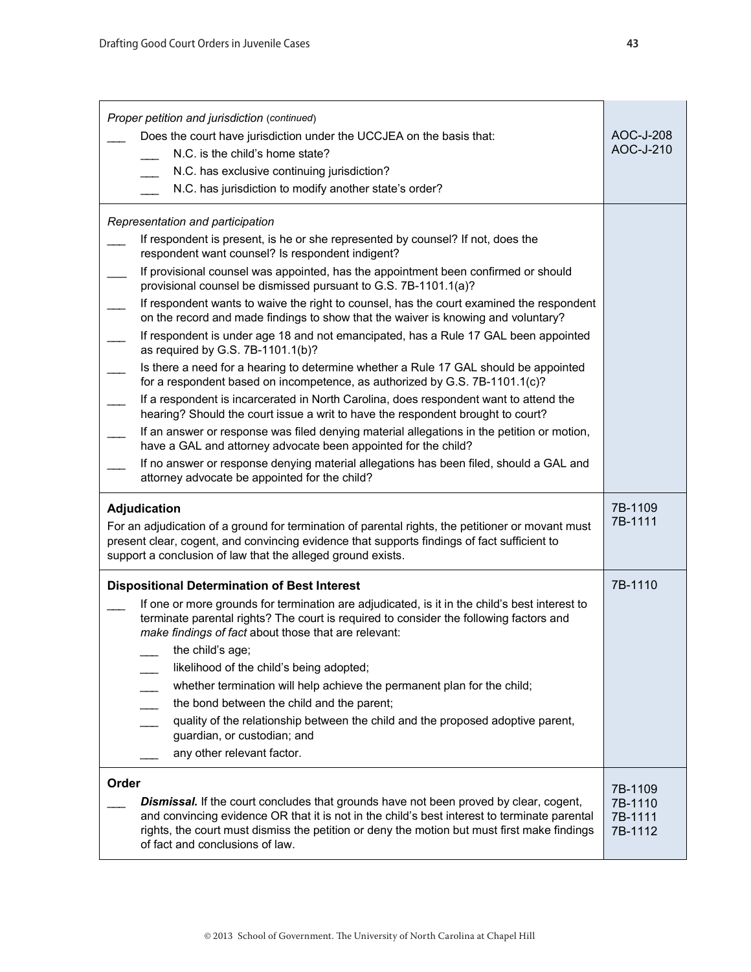| Proper petition and jurisdiction (continued)<br>Does the court have jurisdiction under the UCCJEA on the basis that:<br>N.C. is the child's home state?<br>N.C. has exclusive continuing jurisdiction?<br>N.C. has jurisdiction to modify another state's order?                | AOC-J-208<br>AOC-J-210 |
|---------------------------------------------------------------------------------------------------------------------------------------------------------------------------------------------------------------------------------------------------------------------------------|------------------------|
| Representation and participation                                                                                                                                                                                                                                                |                        |
| If respondent is present, is he or she represented by counsel? If not, does the<br>respondent want counsel? Is respondent indigent?                                                                                                                                             |                        |
| If provisional counsel was appointed, has the appointment been confirmed or should<br>provisional counsel be dismissed pursuant to G.S. 7B-1101.1(a)?                                                                                                                           |                        |
| If respondent wants to waive the right to counsel, has the court examined the respondent<br>on the record and made findings to show that the waiver is knowing and voluntary?                                                                                                   |                        |
| If respondent is under age 18 and not emancipated, has a Rule 17 GAL been appointed<br>as required by G.S. 7B-1101.1(b)?                                                                                                                                                        |                        |
| Is there a need for a hearing to determine whether a Rule 17 GAL should be appointed<br>for a respondent based on incompetence, as authorized by G.S. 7B-1101.1(c)?                                                                                                             |                        |
| If a respondent is incarcerated in North Carolina, does respondent want to attend the<br>hearing? Should the court issue a writ to have the respondent brought to court?                                                                                                        |                        |
| If an answer or response was filed denying material allegations in the petition or motion,<br>have a GAL and attorney advocate been appointed for the child?                                                                                                                    |                        |
| If no answer or response denying material allegations has been filed, should a GAL and<br>attorney advocate be appointed for the child?                                                                                                                                         |                        |
| Adjudication<br>For an adjudication of a ground for termination of parental rights, the petitioner or movant must<br>present clear, cogent, and convincing evidence that supports findings of fact sufficient to<br>support a conclusion of law that the alleged ground exists. | 7B-1109<br>7B-1111     |
| <b>Dispositional Determination of Best Interest</b>                                                                                                                                                                                                                             | 7B-1110                |
| If one or more grounds for termination are adjudicated, is it in the child's best interest to<br>terminate parental rights? The court is required to consider the following factors and<br>make findings of fact about those that are relevant:                                 |                        |
| the child's age;<br>likelihood of the child's being adopted;                                                                                                                                                                                                                    |                        |
| whether termination will help achieve the permanent plan for the child;                                                                                                                                                                                                         |                        |
| the bond between the child and the parent;<br>quality of the relationship between the child and the proposed adoptive parent,                                                                                                                                                   |                        |
| guardian, or custodian; and                                                                                                                                                                                                                                                     |                        |
| any other relevant factor.                                                                                                                                                                                                                                                      |                        |
| Order<br>Dismissal. If the court concludes that grounds have not been proved by clear, cogent,                                                                                                                                                                                  | 7B-1109<br>7B-1110     |
| and convincing evidence OR that it is not in the child's best interest to terminate parental<br>rights, the court must dismiss the petition or deny the motion but must first make findings<br>of fact and conclusions of law.                                                  | 7B-1111<br>7B-1112     |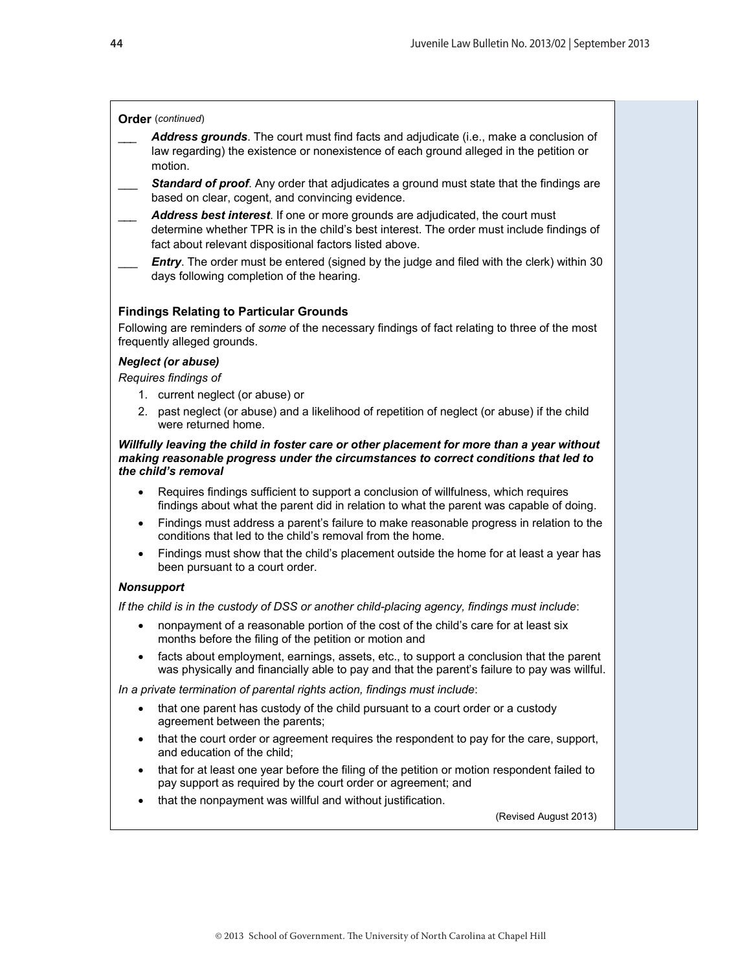#### **Order** (*continued*)

- Address grounds. The court must find facts and adjudicate (i.e., make a conclusion of law regarding) the existence or nonexistence of each ground alleged in the petition or motion.
- **Standard of proof.** Any order that adjudicates a ground must state that the findings are based on clear, cogent, and convincing evidence.
- Address best interest. If one or more grounds are adjudicated, the court must determine whether TPR is in the child's best interest. The order must include findings of fact about relevant dispositional factors listed above.
- *Entry*. The order must be entered (signed by the judge and filed with the clerk) within 30 days following completion of the hearing.

#### **Findings Relating to Particular Grounds**

Following are reminders of *some* of the necessary findings of fact relating to three of the most frequently alleged grounds.

#### *Neglect (or abuse)*

*Requires findings of*

- 1. current neglect (or abuse) or
- 2. past neglect (or abuse) and a likelihood of repetition of neglect (or abuse) if the child were returned home.

*Willfully leaving the child in foster care or other placement for more than a year without making reasonable progress under the circumstances to correct conditions that led to the child's removal*

- Requires findings sufficient to support a conclusion of willfulness, which requires findings about what the parent did in relation to what the parent was capable of doing.
- Findings must address a parent's failure to make reasonable progress in relation to the conditions that led to the child's removal from the home.
- Findings must show that the child's placement outside the home for at least a year has been pursuant to a court order.

#### *Nonsupport*

*If the child is in the custody of DSS or another child-placing agency, findings must include*:

- nonpayment of a reasonable portion of the cost of the child's care for at least six months before the filing of the petition or motion and
- facts about employment, earnings, assets, etc., to support a conclusion that the parent was physically and financially able to pay and that the parent's failure to pay was willful.

*In a private termination of parental rights action, findings must include*:

- that one parent has custody of the child pursuant to a court order or a custody agreement between the parents;
- that the court order or agreement requires the respondent to pay for the care, support, and education of the child;
- that for at least one year before the filing of the petition or motion respondent failed to pay support as required by the court order or agreement; and
- that the nonpayment was willful and without justification.

(Revised August 2013)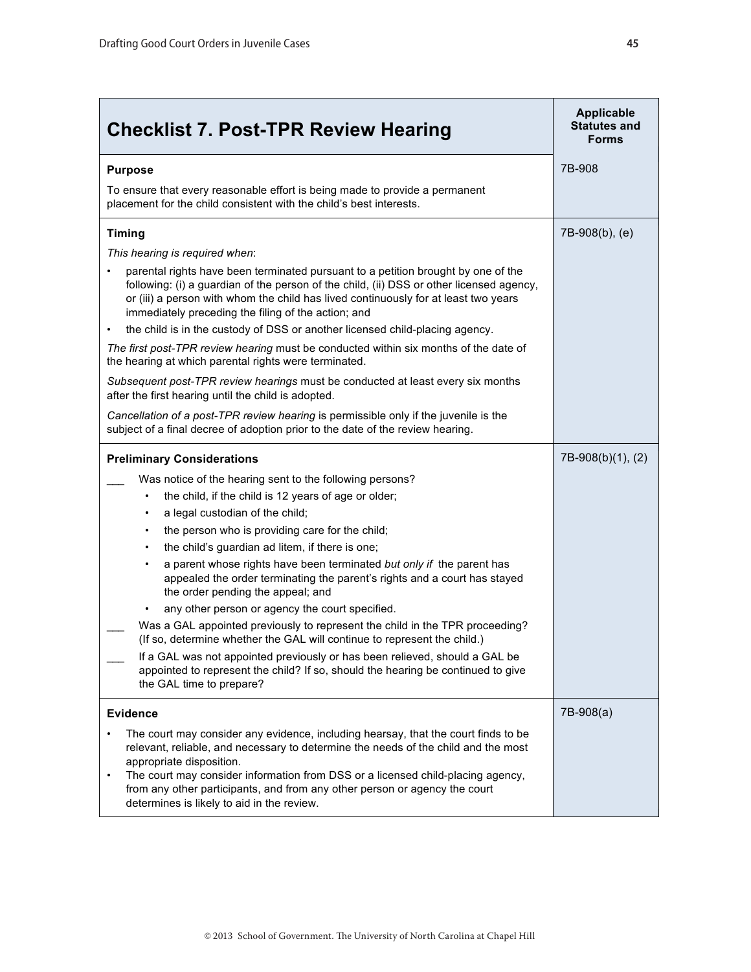<span id="page-44-0"></span>

| <b>Checklist 7. Post-TPR Review Hearing</b>                                                                                                                                                                                                                                                                                                                                                                                                                                                                                                                                                                                                                                                                                                                                                                                                                                                                                              | <b>Applicable</b><br><b>Statutes and</b><br><b>Forms</b> |
|------------------------------------------------------------------------------------------------------------------------------------------------------------------------------------------------------------------------------------------------------------------------------------------------------------------------------------------------------------------------------------------------------------------------------------------------------------------------------------------------------------------------------------------------------------------------------------------------------------------------------------------------------------------------------------------------------------------------------------------------------------------------------------------------------------------------------------------------------------------------------------------------------------------------------------------|----------------------------------------------------------|
| <b>Purpose</b><br>To ensure that every reasonable effort is being made to provide a permanent<br>placement for the child consistent with the child's best interests.                                                                                                                                                                                                                                                                                                                                                                                                                                                                                                                                                                                                                                                                                                                                                                     | 7B-908                                                   |
| <b>Timing</b><br>This hearing is required when:<br>parental rights have been terminated pursuant to a petition brought by one of the<br>following: (i) a guardian of the person of the child, (ii) DSS or other licensed agency,<br>or (iii) a person with whom the child has lived continuously for at least two years<br>immediately preceding the filing of the action; and<br>the child is in the custody of DSS or another licensed child-placing agency.<br>٠<br>The first post-TPR review hearing must be conducted within six months of the date of<br>the hearing at which parental rights were terminated.<br>Subsequent post-TPR review hearings must be conducted at least every six months<br>after the first hearing until the child is adopted.<br>Cancellation of a post-TPR review hearing is permissible only if the juvenile is the<br>subject of a final decree of adoption prior to the date of the review hearing. | 7B-908(b), (e)                                           |
| <b>Preliminary Considerations</b><br>Was notice of the hearing sent to the following persons?<br>the child, if the child is 12 years of age or older;<br>a legal custodian of the child;<br>٠<br>the person who is providing care for the child;<br>٠<br>the child's guardian ad litem, if there is one;<br>$\bullet$<br>a parent whose rights have been terminated but only if the parent has<br>٠<br>appealed the order terminating the parent's rights and a court has stayed<br>the order pending the appeal; and<br>any other person or agency the court specified.<br>Was a GAL appointed previously to represent the child in the TPR proceeding?<br>(If so, determine whether the GAL will continue to represent the child.)<br>If a GAL was not appointed previously or has been relieved, should a GAL be<br>appointed to represent the child? If so, should the hearing be continued to give<br>the GAL time to prepare?      | 7B-908(b)(1), (2)                                        |
| <b>Evidence</b><br>The court may consider any evidence, including hearsay, that the court finds to be<br>relevant, reliable, and necessary to determine the needs of the child and the most<br>appropriate disposition.<br>The court may consider information from DSS or a licensed child-placing agency,<br>٠<br>from any other participants, and from any other person or agency the court<br>determines is likely to aid in the review.                                                                                                                                                                                                                                                                                                                                                                                                                                                                                              | 7B-908(a)                                                |